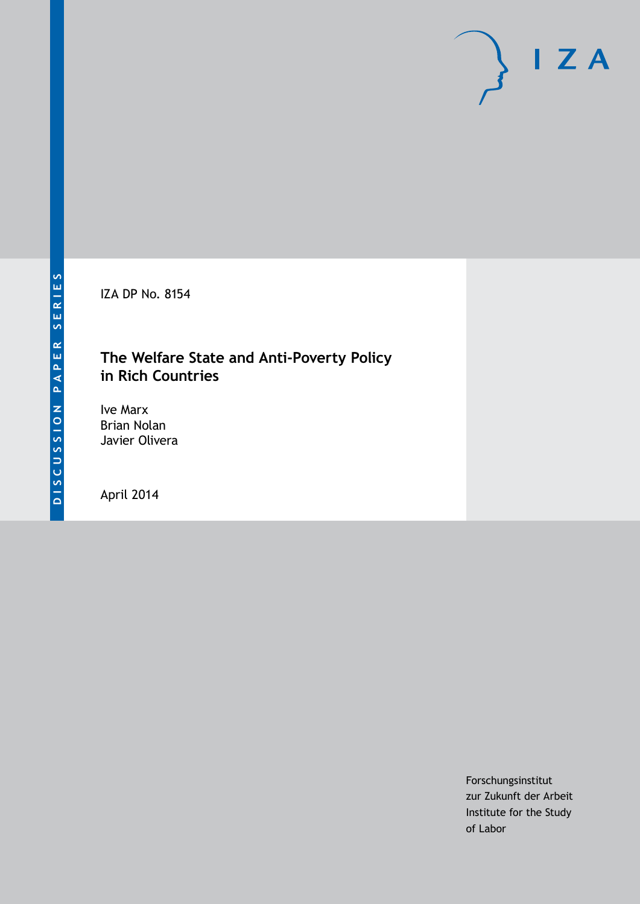IZA DP No. 8154

# **The Welfare State and Anti-Poverty Policy in Rich Countries**

Ive Marx Brian Nolan Javier Olivera

April 2014

Forschungsinstitut zur Zukunft der Arbeit Institute for the Study of Labor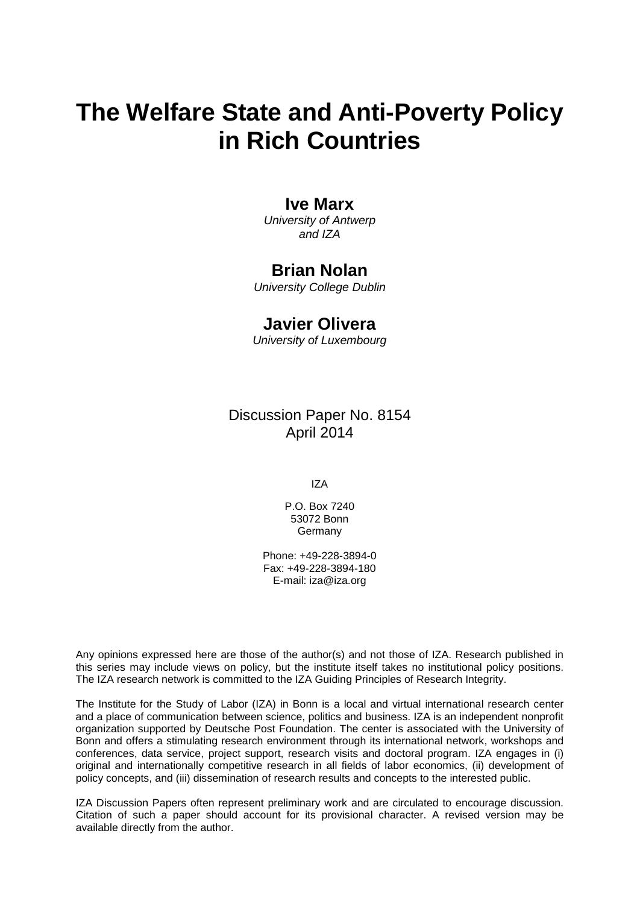# **The Welfare State and Anti-Poverty Policy in Rich Countries**

### **Ive Marx**

*University of Antwerp and IZA*

### **Brian Nolan**

*University College Dublin*

### **Javier Olivera**

*University of Luxembourg*

Discussion Paper No. 8154 April 2014

IZA

P.O. Box 7240 53072 Bonn **Germany** 

Phone: +49-228-3894-0 Fax: +49-228-3894-180 E-mail: [iza@iza.org](mailto:iza@iza.org)

Any opinions expressed here are those of the author(s) and not those of IZA. Research published in this series may include views on policy, but the institute itself takes no institutional policy positions. The IZA research network is committed to the IZA Guiding Principles of Research Integrity.

The Institute for the Study of Labor (IZA) in Bonn is a local and virtual international research center and a place of communication between science, politics and business. IZA is an independent nonprofit organization supported by Deutsche Post Foundation. The center is associated with the University of Bonn and offers a stimulating research environment through its international network, workshops and conferences, data service, project support, research visits and doctoral program. IZA engages in (i) original and internationally competitive research in all fields of labor economics, (ii) development of policy concepts, and (iii) dissemination of research results and concepts to the interested public.

IZA Discussion Papers often represent preliminary work and are circulated to encourage discussion. Citation of such a paper should account for its provisional character. A revised version may be available directly from the author.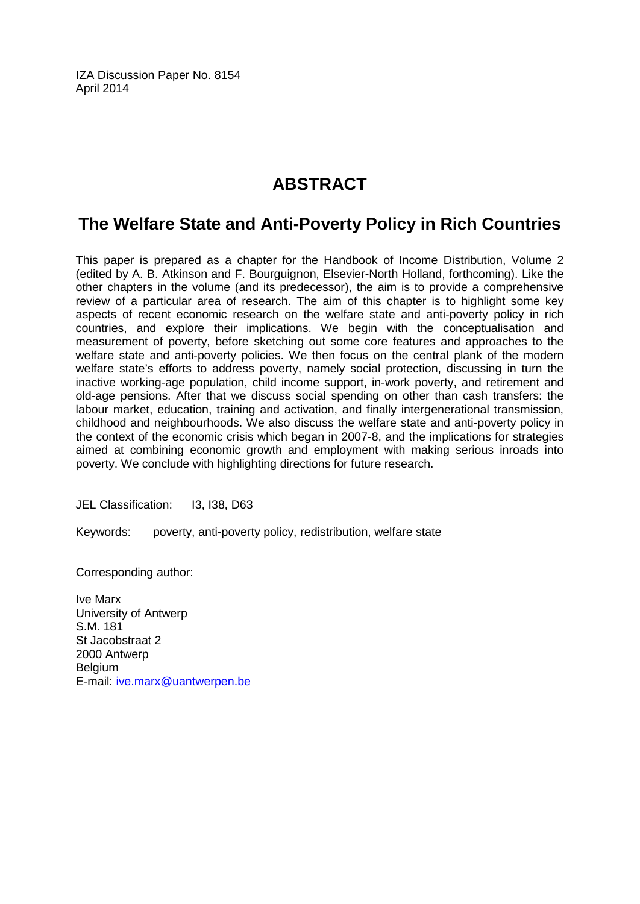IZA Discussion Paper No. 8154 April 2014

# **ABSTRACT**

# **The Welfare State and Anti-Poverty Policy in Rich Countries**

This paper is prepared as a chapter for the Handbook of Income Distribution, Volume 2 (edited by A. B. Atkinson and F. Bourguignon, Elsevier-North Holland, forthcoming). Like the other chapters in the volume (and its predecessor), the aim is to provide a comprehensive review of a particular area of research. The aim of this chapter is to highlight some key aspects of recent economic research on the welfare state and anti-poverty policy in rich countries, and explore their implications. We begin with the conceptualisation and measurement of poverty, before sketching out some core features and approaches to the welfare state and anti-poverty policies. We then focus on the central plank of the modern welfare state's efforts to address poverty, namely social protection, discussing in turn the inactive working-age population, child income support, in-work poverty, and retirement and old-age pensions. After that we discuss social spending on other than cash transfers: the labour market, education, training and activation, and finally intergenerational transmission, childhood and neighbourhoods. We also discuss the welfare state and anti-poverty policy in the context of the economic crisis which began in 2007-8, and the implications for strategies aimed at combining economic growth and employment with making serious inroads into poverty. We conclude with highlighting directions for future research.

JEL Classification: I3, I38, D63

Keywords: poverty, anti-poverty policy, redistribution, welfare state

Corresponding author:

Ive Marx University of Antwerp S.M. 181 St Jacobstraat 2 2000 Antwerp Belgium E-mail: [ive.marx@uantwerpen.be](mailto:ive.marx@uantwerpen.be)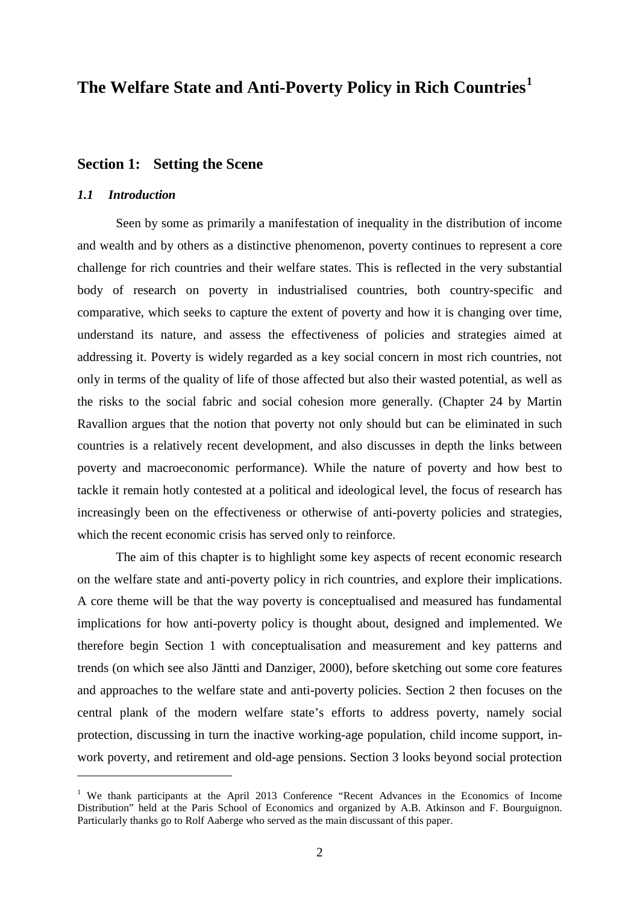### **The Welfare State and Anti-Poverty Policy in Rich Countries<sup>1</sup>**

#### **Section 1: Setting the Scene**

#### *1.1 Introduction*

-

Seen by some as primarily a manifestation of inequality in the distribution of income and wealth and by others as a distinctive phenomenon, poverty continues to represent a core challenge for rich countries and their welfare states. This is reflected in the very substantial body of research on poverty in industrialised countries, both country-specific and comparative, which seeks to capture the extent of poverty and how it is changing over time, understand its nature, and assess the effectiveness of policies and strategies aimed at addressing it. Poverty is widely regarded as a key social concern in most rich countries, not only in terms of the quality of life of those affected but also their wasted potential, as well as the risks to the social fabric and social cohesion more generally. (Chapter 24 by Martin Ravallion argues that the notion that poverty not only should but can be eliminated in such countries is a relatively recent development, and also discusses in depth the links between poverty and macroeconomic performance). While the nature of poverty and how best to tackle it remain hotly contested at a political and ideological level, the focus of research has increasingly been on the effectiveness or otherwise of anti-poverty policies and strategies, which the recent economic crisis has served only to reinforce.

The aim of this chapter is to highlight some key aspects of recent economic research on the welfare state and anti-poverty policy in rich countries, and explore their implications. A core theme will be that the way poverty is conceptualised and measured has fundamental implications for how anti-poverty policy is thought about, designed and implemented. We therefore begin Section 1 with conceptualisation and measurement and key patterns and trends (on which see also Jäntti and Danziger, 2000), before sketching out some core features and approaches to the welfare state and anti-poverty policies. Section 2 then focuses on the central plank of the modern welfare state's efforts to address poverty, namely social protection, discussing in turn the inactive working-age population, child income support, inwork poverty, and retirement and old-age pensions. Section 3 looks beyond social protection

<span id="page-3-0"></span><sup>&</sup>lt;sup>1</sup> We thank participants at the April 2013 Conference "Recent Advances in the Economics of Income Distribution" held at the Paris School of Economics and organized by A.B. Atkinson and F. Bourguignon. Particularly thanks go to Rolf Aaberge who served as the main discussant of this paper.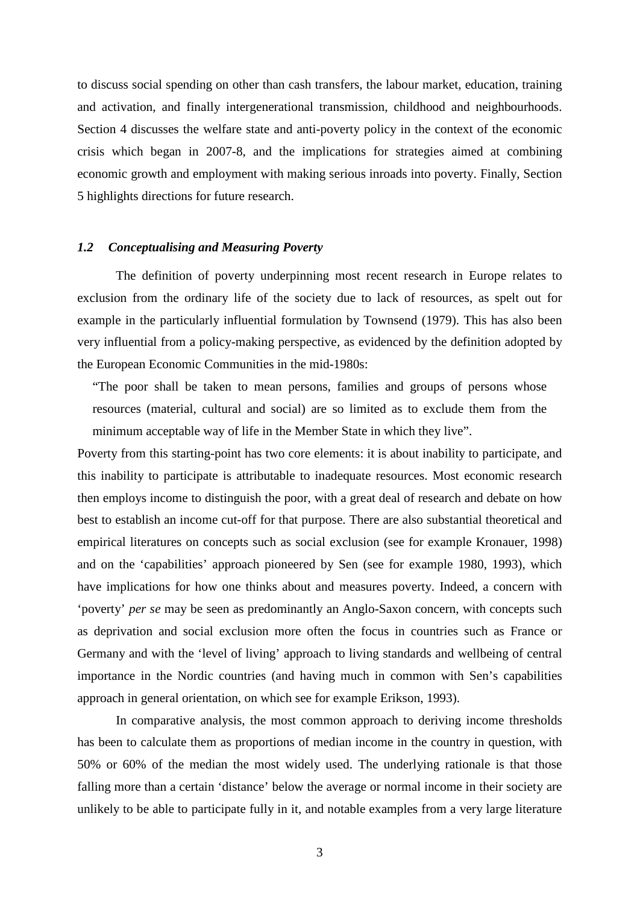to discuss social spending on other than cash transfers, the labour market, education, training and activation, and finally intergenerational transmission, childhood and neighbourhoods. Section 4 discusses the welfare state and anti-poverty policy in the context of the economic crisis which began in 2007-8, and the implications for strategies aimed at combining economic growth and employment with making serious inroads into poverty. Finally, Section 5 highlights directions for future research.

#### *1.2 Conceptualising and Measuring Poverty*

The definition of poverty underpinning most recent research in Europe relates to exclusion from the ordinary life of the society due to lack of resources, as spelt out for example in the particularly influential formulation by Townsend (1979). This has also been very influential from a policy-making perspective, as evidenced by the definition adopted by the European Economic Communities in the mid-1980s:

"The poor shall be taken to mean persons, families and groups of persons whose resources (material, cultural and social) are so limited as to exclude them from the minimum acceptable way of life in the Member State in which they live".

Poverty from this starting-point has two core elements: it is about inability to participate, and this inability to participate is attributable to inadequate resources. Most economic research then employs income to distinguish the poor, with a great deal of research and debate on how best to establish an income cut-off for that purpose. There are also substantial theoretical and empirical literatures on concepts such as social exclusion (see for example Kronauer, 1998) and on the 'capabilities' approach pioneered by Sen (see for example 1980, 1993), which have implications for how one thinks about and measures poverty. Indeed, a concern with 'poverty' *per se* may be seen as predominantly an Anglo-Saxon concern, with concepts such as deprivation and social exclusion more often the focus in countries such as France or Germany and with the 'level of living' approach to living standards and wellbeing of central importance in the Nordic countries (and having much in common with Sen's capabilities approach in general orientation, on which see for example Erikson, 1993).

In comparative analysis, the most common approach to deriving income thresholds has been to calculate them as proportions of median income in the country in question, with 50% or 60% of the median the most widely used. The underlying rationale is that those falling more than a certain 'distance' below the average or normal income in their society are unlikely to be able to participate fully in it, and notable examples from a very large literature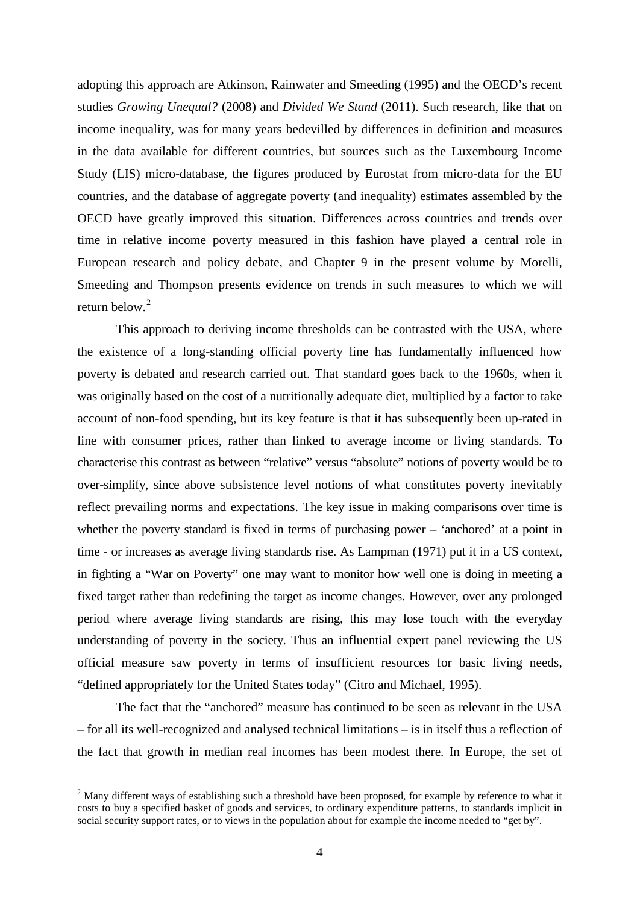adopting this approach are Atkinson, Rainwater and Smeeding (1995) and the OECD's recent studies *Growing Unequal?* (2008) and *Divided We Stand* (2011). Such research, like that on income inequality, was for many years bedevilled by differences in definition and measures in the data available for different countries, but sources such as the Luxembourg Income Study (LIS) micro-database, the figures produced by Eurostat from micro-data for the EU countries, and the database of aggregate poverty (and inequality) estimates assembled by the OECD have greatly improved this situation. Differences across countries and trends over time in relative income poverty measured in this fashion have played a central role in European research and policy debate, and Chapter 9 in the present volume by Morelli, Smeeding and Thompson presents evidence on trends in such measures to which we will return below.<sup>[2](#page-3-0)</sup>

This approach to deriving income thresholds can be contrasted with the USA, where the existence of a long-standing official poverty line has fundamentally influenced how poverty is debated and research carried out. That standard goes back to the 1960s, when it was originally based on the cost of a nutritionally adequate diet, multiplied by a factor to take account of non-food spending, but its key feature is that it has subsequently been up-rated in line with consumer prices, rather than linked to average income or living standards. To characterise this contrast as between "relative" versus "absolute" notions of poverty would be to over-simplify, since above subsistence level notions of what constitutes poverty inevitably reflect prevailing norms and expectations. The key issue in making comparisons over time is whether the poverty standard is fixed in terms of purchasing power – 'anchored' at a point in time - or increases as average living standards rise. As Lampman (1971) put it in a US context, in fighting a "War on Poverty" one may want to monitor how well one is doing in meeting a fixed target rather than redefining the target as income changes. However, over any prolonged period where average living standards are rising, this may lose touch with the everyday understanding of poverty in the society. Thus an influential expert panel reviewing the US official measure saw poverty in terms of insufficient resources for basic living needs, "defined appropriately for the United States today" (Citro and Michael, 1995).

The fact that the "anchored" measure has continued to be seen as relevant in the USA – for all its well-recognized and analysed technical limitations – is in itself thus a reflection of the fact that growth in median real incomes has been modest there. In Europe, the set of

-

<span id="page-5-0"></span><sup>&</sup>lt;sup>2</sup> Many different ways of establishing such a threshold have been proposed, for example by reference to what it costs to buy a specified basket of goods and services, to ordinary expenditure patterns, to standards implicit in social security support rates, or to views in the population about for example the income needed to "get by".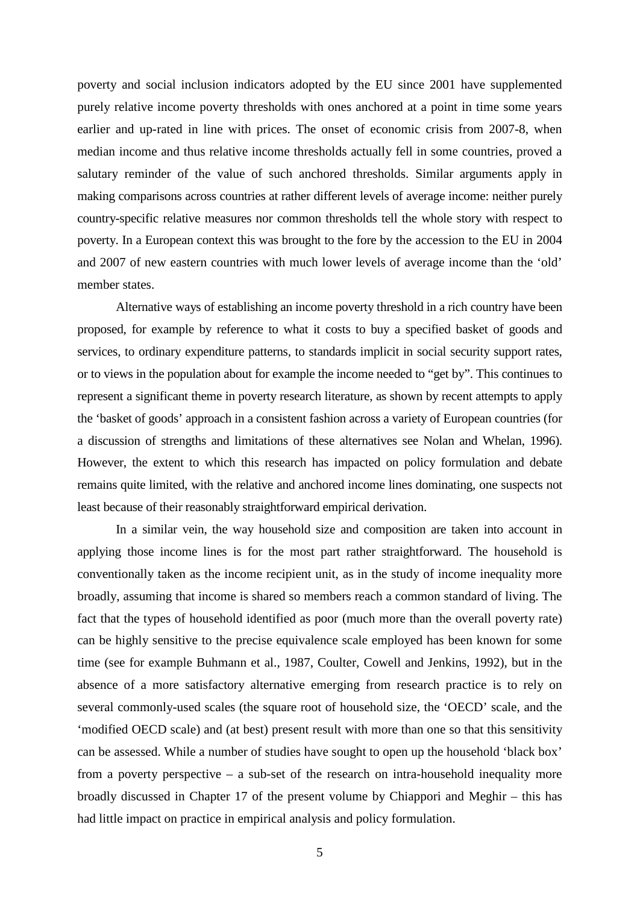poverty and social inclusion indicators adopted by the EU since 2001 have supplemented purely relative income poverty thresholds with ones anchored at a point in time some years earlier and up-rated in line with prices. The onset of economic crisis from 2007-8, when median income and thus relative income thresholds actually fell in some countries, proved a salutary reminder of the value of such anchored thresholds. Similar arguments apply in making comparisons across countries at rather different levels of average income: neither purely country-specific relative measures nor common thresholds tell the whole story with respect to poverty. In a European context this was brought to the fore by the accession to the EU in 2004 and 2007 of new eastern countries with much lower levels of average income than the 'old' member states.

Alternative ways of establishing an income poverty threshold in a rich country have been proposed, for example by reference to what it costs to buy a specified basket of goods and services, to ordinary expenditure patterns, to standards implicit in social security support rates, or to views in the population about for example the income needed to "get by". This continues to represent a significant theme in poverty research literature, as shown by recent attempts to apply the 'basket of goods' approach in a consistent fashion across a variety of European countries (for a discussion of strengths and limitations of these alternatives see Nolan and Whelan, 1996). However, the extent to which this research has impacted on policy formulation and debate remains quite limited, with the relative and anchored income lines dominating, one suspects not least because of their reasonably straightforward empirical derivation.

In a similar vein, the way household size and composition are taken into account in applying those income lines is for the most part rather straightforward. The household is conventionally taken as the income recipient unit, as in the study of income inequality more broadly, assuming that income is shared so members reach a common standard of living. The fact that the types of household identified as poor (much more than the overall poverty rate) can be highly sensitive to the precise equivalence scale employed has been known for some time (see for example Buhmann et al., 1987, Coulter, Cowell and Jenkins, 1992), but in the absence of a more satisfactory alternative emerging from research practice is to rely on several commonly-used scales (the square root of household size, the 'OECD' scale, and the 'modified OECD scale) and (at best) present result with more than one so that this sensitivity can be assessed. While a number of studies have sought to open up the household 'black box' from a poverty perspective – a sub-set of the research on intra-household inequality more broadly discussed in Chapter 17 of the present volume by Chiappori and Meghir – this has had little impact on practice in empirical analysis and policy formulation.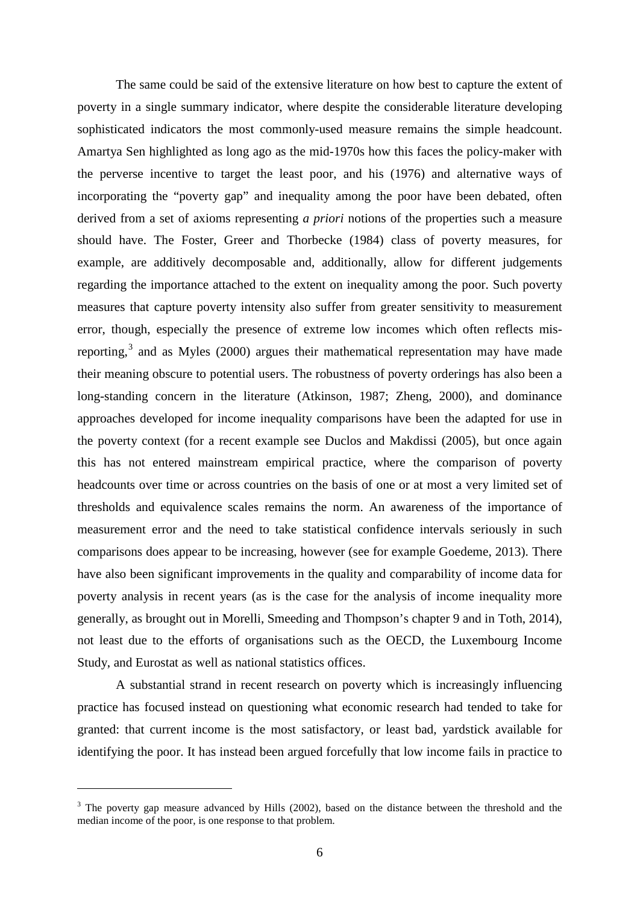The same could be said of the extensive literature on how best to capture the extent of poverty in a single summary indicator, where despite the considerable literature developing sophisticated indicators the most commonly-used measure remains the simple headcount. Amartya Sen highlighted as long ago as the mid-1970s how this faces the policy-maker with the perverse incentive to target the least poor, and his (1976) and alternative ways of incorporating the "poverty gap" and inequality among the poor have been debated, often derived from a set of axioms representing *a priori* notions of the properties such a measure should have. The Foster, Greer and Thorbecke (1984) class of poverty measures, for example, are additively decomposable and, additionally, allow for different judgements regarding the importance attached to the extent on inequality among the poor. Such poverty measures that capture poverty intensity also suffer from greater sensitivity to measurement error, though, especially the presence of extreme low incomes which often reflects misreporting, $3$  and as Myles (2000) argues their mathematical representation may have made their meaning obscure to potential users. The robustness of poverty orderings has also been a long-standing concern in the literature (Atkinson, 1987; Zheng, 2000), and dominance approaches developed for income inequality comparisons have been the adapted for use in the poverty context (for a recent example see Duclos and Makdissi (2005), but once again this has not entered mainstream empirical practice, where the comparison of poverty headcounts over time or across countries on the basis of one or at most a very limited set of thresholds and equivalence scales remains the norm. An awareness of the importance of measurement error and the need to take statistical confidence intervals seriously in such comparisons does appear to be increasing, however (see for example Goedeme, 2013). There have also been significant improvements in the quality and comparability of income data for poverty analysis in recent years (as is the case for the analysis of income inequality more generally, as brought out in Morelli, Smeeding and Thompson's chapter 9 and in Toth, 2014), not least due to the efforts of organisations such as the OECD, the Luxembourg Income Study, and Eurostat as well as national statistics offices.

A substantial strand in recent research on poverty which is increasingly influencing practice has focused instead on questioning what economic research had tended to take for granted: that current income is the most satisfactory, or least bad, yardstick available for identifying the poor. It has instead been argued forcefully that low income fails in practice to

-

<span id="page-7-0"></span><sup>&</sup>lt;sup>3</sup> The poverty gap measure advanced by Hills (2002), based on the distance between the threshold and the median income of the poor, is one response to that problem.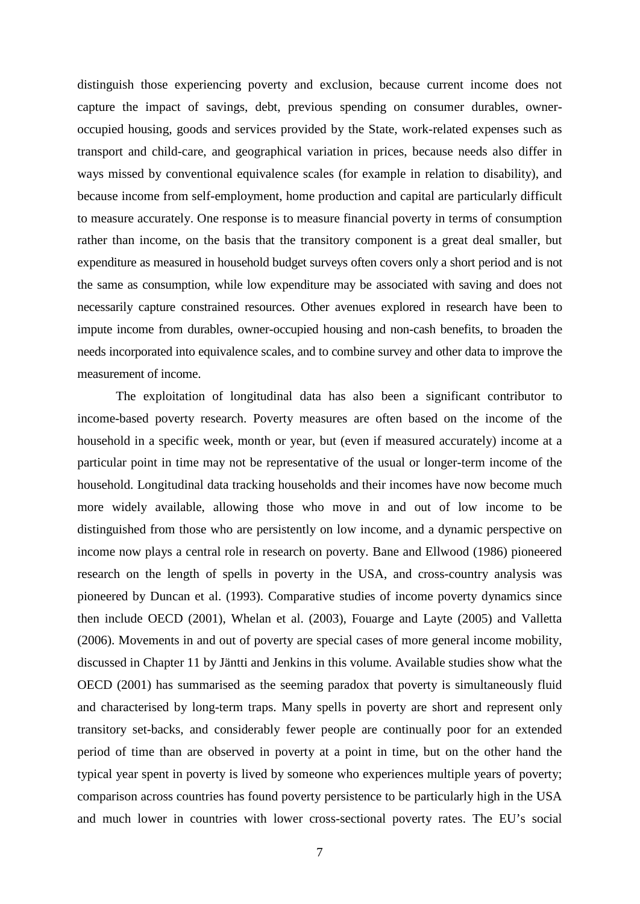distinguish those experiencing poverty and exclusion, because current income does not capture the impact of savings, debt, previous spending on consumer durables, owneroccupied housing, goods and services provided by the State, work-related expenses such as transport and child-care, and geographical variation in prices, because needs also differ in ways missed by conventional equivalence scales (for example in relation to disability), and because income from self-employment, home production and capital are particularly difficult to measure accurately. One response is to measure financial poverty in terms of consumption rather than income, on the basis that the transitory component is a great deal smaller, but expenditure as measured in household budget surveys often covers only a short period and is not the same as consumption, while low expenditure may be associated with saving and does not necessarily capture constrained resources. Other avenues explored in research have been to impute income from durables, owner-occupied housing and non-cash benefits, to broaden the needs incorporated into equivalence scales, and to combine survey and other data to improve the measurement of income.

The exploitation of longitudinal data has also been a significant contributor to income-based poverty research. Poverty measures are often based on the income of the household in a specific week, month or year, but (even if measured accurately) income at a particular point in time may not be representative of the usual or longer-term income of the household. Longitudinal data tracking households and their incomes have now become much more widely available, allowing those who move in and out of low income to be distinguished from those who are persistently on low income, and a dynamic perspective on income now plays a central role in research on poverty. Bane and Ellwood (1986) pioneered research on the length of spells in poverty in the USA, and cross-country analysis was pioneered by Duncan et al. (1993). Comparative studies of income poverty dynamics since then include OECD (2001), Whelan et al. (2003), Fouarge and Layte (2005) and Valletta (2006). Movements in and out of poverty are special cases of more general income mobility, discussed in Chapter 11 by Jäntti and Jenkins in this volume. Available studies show what the OECD (2001) has summarised as the seeming paradox that poverty is simultaneously fluid and characterised by long-term traps. Many spells in poverty are short and represent only transitory set-backs, and considerably fewer people are continually poor for an extended period of time than are observed in poverty at a point in time, but on the other hand the typical year spent in poverty is lived by someone who experiences multiple years of poverty; comparison across countries has found poverty persistence to be particularly high in the USA and much lower in countries with lower cross-sectional poverty rates. The EU's social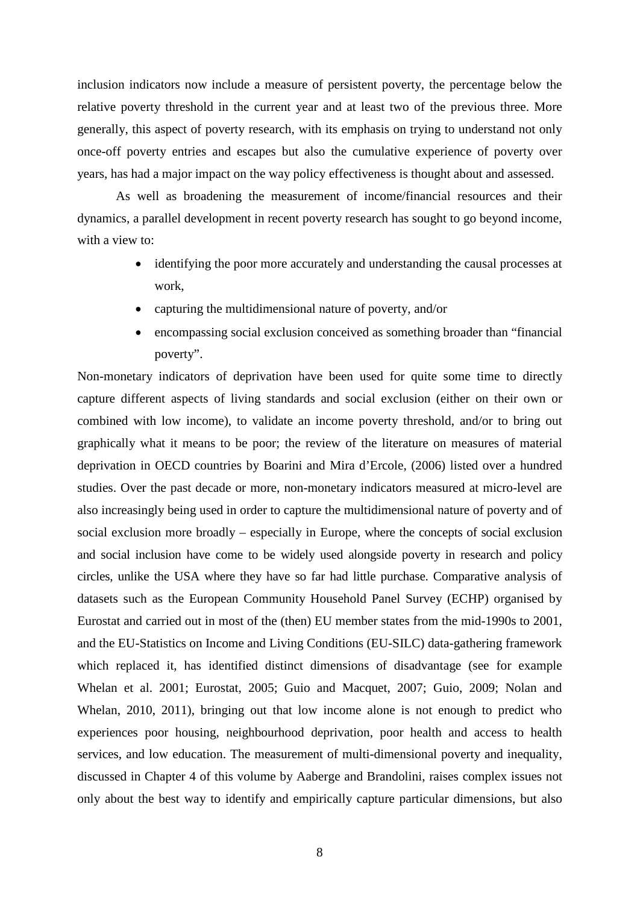inclusion indicators now include a measure of persistent poverty, the percentage below the relative poverty threshold in the current year and at least two of the previous three. More generally, this aspect of poverty research, with its emphasis on trying to understand not only once-off poverty entries and escapes but also the cumulative experience of poverty over years, has had a major impact on the way policy effectiveness is thought about and assessed.

As well as broadening the measurement of income/financial resources and their dynamics, a parallel development in recent poverty research has sought to go beyond income, with a view to:

- identifying the poor more accurately and understanding the causal processes at work,
- capturing the multidimensional nature of poverty, and/or
- encompassing social exclusion conceived as something broader than "financial poverty".

Non-monetary indicators of deprivation have been used for quite some time to directly capture different aspects of living standards and social exclusion (either on their own or combined with low income), to validate an income poverty threshold, and/or to bring out graphically what it means to be poor; the review of the literature on measures of material deprivation in OECD countries by Boarini and Mira d'Ercole, (2006) listed over a hundred studies. Over the past decade or more, non-monetary indicators measured at micro-level are also increasingly being used in order to capture the multidimensional nature of poverty and of social exclusion more broadly – especially in Europe, where the concepts of social exclusion and social inclusion have come to be widely used alongside poverty in research and policy circles, unlike the USA where they have so far had little purchase. Comparative analysis of datasets such as the European Community Household Panel Survey (ECHP) organised by Eurostat and carried out in most of the (then) EU member states from the mid-1990s to 2001, and the EU-Statistics on Income and Living Conditions (EU-SILC) data-gathering framework which replaced it, has identified distinct dimensions of disadvantage (see for example Whelan et al. 2001; Eurostat, 2005; Guio and Macquet, 2007; Guio, 2009; Nolan and Whelan, 2010, 2011), bringing out that low income alone is not enough to predict who experiences poor housing, neighbourhood deprivation, poor health and access to health services, and low education. The measurement of multi-dimensional poverty and inequality, discussed in Chapter 4 of this volume by Aaberge and Brandolini, raises complex issues not only about the best way to identify and empirically capture particular dimensions, but also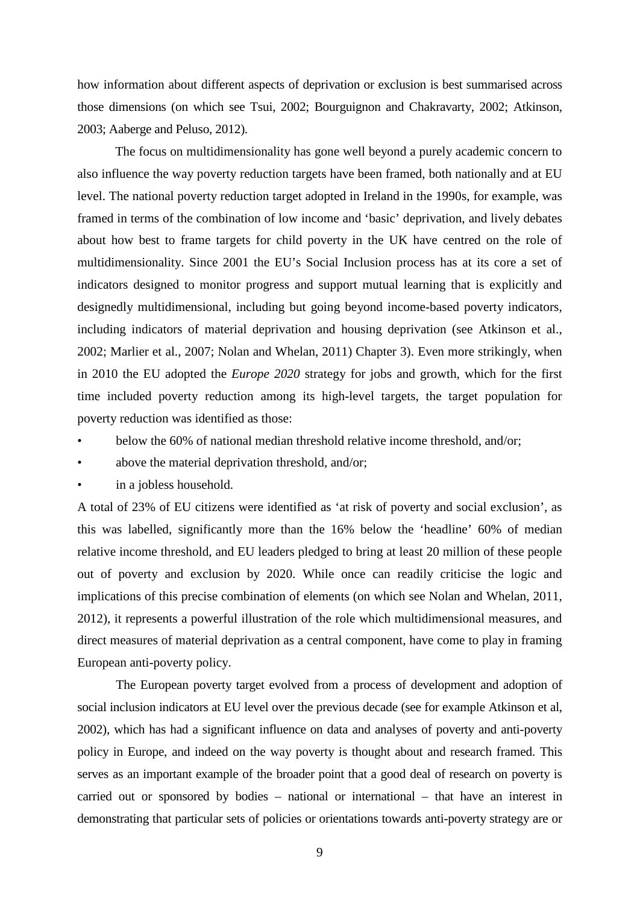how information about different aspects of deprivation or exclusion is best summarised across those dimensions (on which see Tsui, 2002; Bourguignon and Chakravarty, 2002; Atkinson, 2003; Aaberge and Peluso, 2012).

The focus on multidimensionality has gone well beyond a purely academic concern to also influence the way poverty reduction targets have been framed, both nationally and at EU level. The national poverty reduction target adopted in Ireland in the 1990s, for example, was framed in terms of the combination of low income and 'basic' deprivation, and lively debates about how best to frame targets for child poverty in the UK have centred on the role of multidimensionality. Since 2001 the EU's Social Inclusion process has at its core a set of indicators designed to monitor progress and support mutual learning that is explicitly and designedly multidimensional, including but going beyond income-based poverty indicators, including indicators of material deprivation and housing deprivation (see Atkinson et al., 2002; Marlier et al., 2007; Nolan and Whelan, 2011) Chapter 3). Even more strikingly, when in 2010 the EU adopted the *Europe 2020* strategy for jobs and growth, which for the first time included poverty reduction among its high-level targets, the target population for poverty reduction was identified as those:

- below the 60% of national median threshold relative income threshold, and/or;
- above the material deprivation threshold, and/or;
- in a jobless household.

A total of 23% of EU citizens were identified as 'at risk of poverty and social exclusion', as this was labelled, significantly more than the 16% below the 'headline' 60% of median relative income threshold, and EU leaders pledged to bring at least 20 million of these people out of poverty and exclusion by 2020. While once can readily criticise the logic and implications of this precise combination of elements (on which see Nolan and Whelan, 2011, 2012), it represents a powerful illustration of the role which multidimensional measures, and direct measures of material deprivation as a central component, have come to play in framing European anti-poverty policy.

The European poverty target evolved from a process of development and adoption of social inclusion indicators at EU level over the previous decade (see for example Atkinson et al, 2002), which has had a significant influence on data and analyses of poverty and anti-poverty policy in Europe, and indeed on the way poverty is thought about and research framed. This serves as an important example of the broader point that a good deal of research on poverty is carried out or sponsored by bodies – national or international – that have an interest in demonstrating that particular sets of policies or orientations towards anti-poverty strategy are or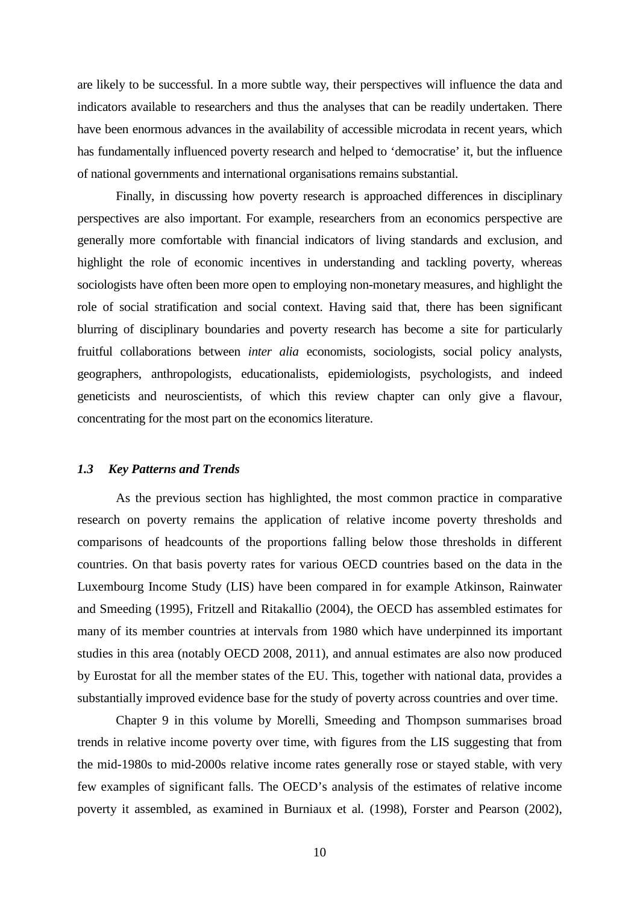are likely to be successful. In a more subtle way, their perspectives will influence the data and indicators available to researchers and thus the analyses that can be readily undertaken. There have been enormous advances in the availability of accessible microdata in recent years, which has fundamentally influenced poverty research and helped to 'democratise' it, but the influence of national governments and international organisations remains substantial.

Finally, in discussing how poverty research is approached differences in disciplinary perspectives are also important. For example, researchers from an economics perspective are generally more comfortable with financial indicators of living standards and exclusion, and highlight the role of economic incentives in understanding and tackling poverty, whereas sociologists have often been more open to employing non-monetary measures, and highlight the role of social stratification and social context. Having said that, there has been significant blurring of disciplinary boundaries and poverty research has become a site for particularly fruitful collaborations between *inter alia* economists, sociologists, social policy analysts, geographers, anthropologists, educationalists, epidemiologists, psychologists, and indeed geneticists and neuroscientists, of which this review chapter can only give a flavour, concentrating for the most part on the economics literature.

#### *1.3 Key Patterns and Trends*

As the previous section has highlighted, the most common practice in comparative research on poverty remains the application of relative income poverty thresholds and comparisons of headcounts of the proportions falling below those thresholds in different countries. On that basis poverty rates for various OECD countries based on the data in the Luxembourg Income Study (LIS) have been compared in for example Atkinson, Rainwater and Smeeding (1995), Fritzell and Ritakallio (2004), the OECD has assembled estimates for many of its member countries at intervals from 1980 which have underpinned its important studies in this area (notably OECD 2008, 2011), and annual estimates are also now produced by Eurostat for all the member states of the EU. This, together with national data, provides a substantially improved evidence base for the study of poverty across countries and over time.

Chapter 9 in this volume by Morelli, Smeeding and Thompson summarises broad trends in relative income poverty over time, with figures from the LIS suggesting that from the mid-1980s to mid-2000s relative income rates generally rose or stayed stable, with very few examples of significant falls. The OECD's analysis of the estimates of relative income poverty it assembled, as examined in Burniaux et al*.* (1998), Forster and Pearson (2002),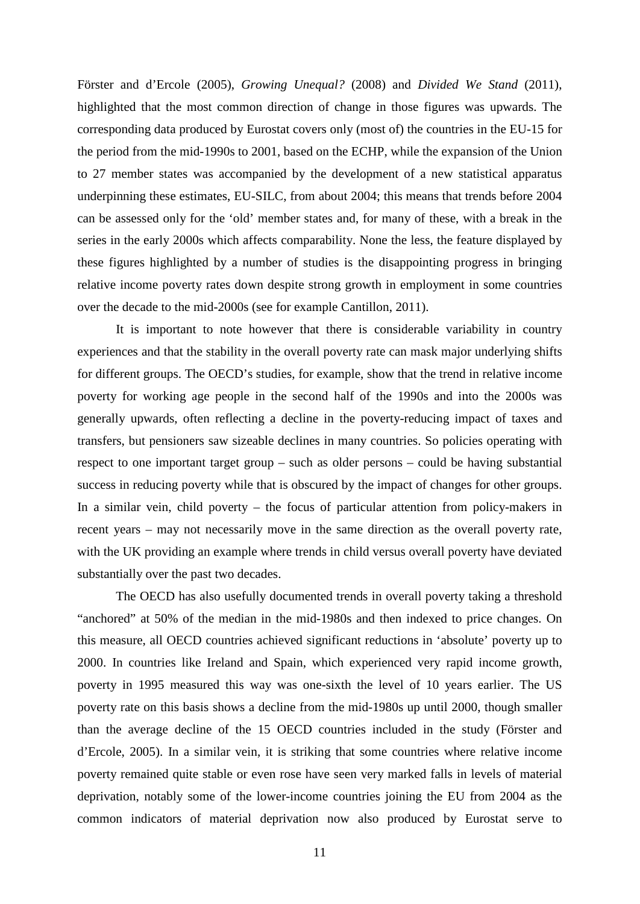Förster and d'Ercole (2005), *Growing Unequal?* (2008) and *Divided We Stand* (2011), highlighted that the most common direction of change in those figures was upwards. The corresponding data produced by Eurostat covers only (most of) the countries in the EU-15 for the period from the mid-1990s to 2001, based on the ECHP, while the expansion of the Union to 27 member states was accompanied by the development of a new statistical apparatus underpinning these estimates, EU-SILC, from about 2004; this means that trends before 2004 can be assessed only for the 'old' member states and, for many of these, with a break in the series in the early 2000s which affects comparability. None the less, the feature displayed by these figures highlighted by a number of studies is the disappointing progress in bringing relative income poverty rates down despite strong growth in employment in some countries over the decade to the mid-2000s (see for example Cantillon, 2011).

It is important to note however that there is considerable variability in country experiences and that the stability in the overall poverty rate can mask major underlying shifts for different groups. The OECD's studies, for example, show that the trend in relative income poverty for working age people in the second half of the 1990s and into the 2000s was generally upwards, often reflecting a decline in the poverty-reducing impact of taxes and transfers, but pensioners saw sizeable declines in many countries. So policies operating with respect to one important target group – such as older persons – could be having substantial success in reducing poverty while that is obscured by the impact of changes for other groups. In a similar vein, child poverty – the focus of particular attention from policy-makers in recent years – may not necessarily move in the same direction as the overall poverty rate, with the UK providing an example where trends in child versus overall poverty have deviated substantially over the past two decades.

The OECD has also usefully documented trends in overall poverty taking a threshold "anchored" at 50% of the median in the mid-1980s and then indexed to price changes. On this measure, all OECD countries achieved significant reductions in 'absolute' poverty up to 2000. In countries like Ireland and Spain, which experienced very rapid income growth, poverty in 1995 measured this way was one-sixth the level of 10 years earlier. The US poverty rate on this basis shows a decline from the mid-1980s up until 2000, though smaller than the average decline of the 15 OECD countries included in the study (Förster and d'Ercole, 2005). In a similar vein, it is striking that some countries where relative income poverty remained quite stable or even rose have seen very marked falls in levels of material deprivation, notably some of the lower-income countries joining the EU from 2004 as the common indicators of material deprivation now also produced by Eurostat serve to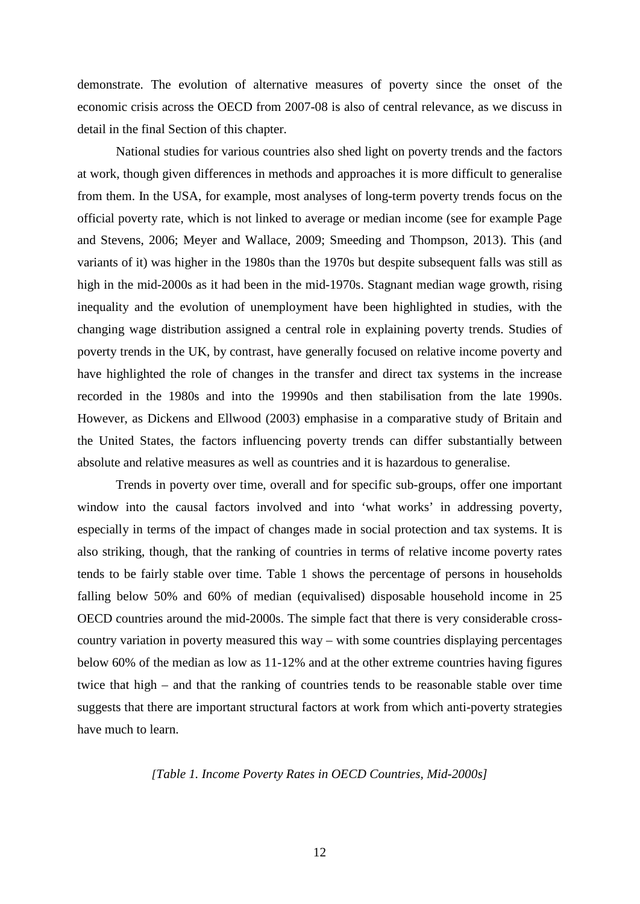demonstrate. The evolution of alternative measures of poverty since the onset of the economic crisis across the OECD from 2007-08 is also of central relevance, as we discuss in detail in the final Section of this chapter.

National studies for various countries also shed light on poverty trends and the factors at work, though given differences in methods and approaches it is more difficult to generalise from them. In the USA, for example, most analyses of long-term poverty trends focus on the official poverty rate, which is not linked to average or median income (see for example Page and Stevens, 2006; Meyer and Wallace, 2009; Smeeding and Thompson, 2013). This (and variants of it) was higher in the 1980s than the 1970s but despite subsequent falls was still as high in the mid-2000s as it had been in the mid-1970s. Stagnant median wage growth, rising inequality and the evolution of unemployment have been highlighted in studies, with the changing wage distribution assigned a central role in explaining poverty trends. Studies of poverty trends in the UK, by contrast, have generally focused on relative income poverty and have highlighted the role of changes in the transfer and direct tax systems in the increase recorded in the 1980s and into the 19990s and then stabilisation from the late 1990s. However, as Dickens and Ellwood (2003) emphasise in a comparative study of Britain and the United States, the factors influencing poverty trends can differ substantially between absolute and relative measures as well as countries and it is hazardous to generalise.

Trends in poverty over time, overall and for specific sub-groups, offer one important window into the causal factors involved and into 'what works' in addressing poverty, especially in terms of the impact of changes made in social protection and tax systems. It is also striking, though, that the ranking of countries in terms of relative income poverty rates tends to be fairly stable over time. Table 1 shows the percentage of persons in households falling below 50% and 60% of median (equivalised) disposable household income in 25 OECD countries around the mid-2000s. The simple fact that there is very considerable crosscountry variation in poverty measured this way – with some countries displaying percentages below 60% of the median as low as 11-12% and at the other extreme countries having figures twice that high – and that the ranking of countries tends to be reasonable stable over time suggests that there are important structural factors at work from which anti-poverty strategies have much to learn.

#### *[Table 1. Income Poverty Rates in OECD Countries, Mid-2000s]*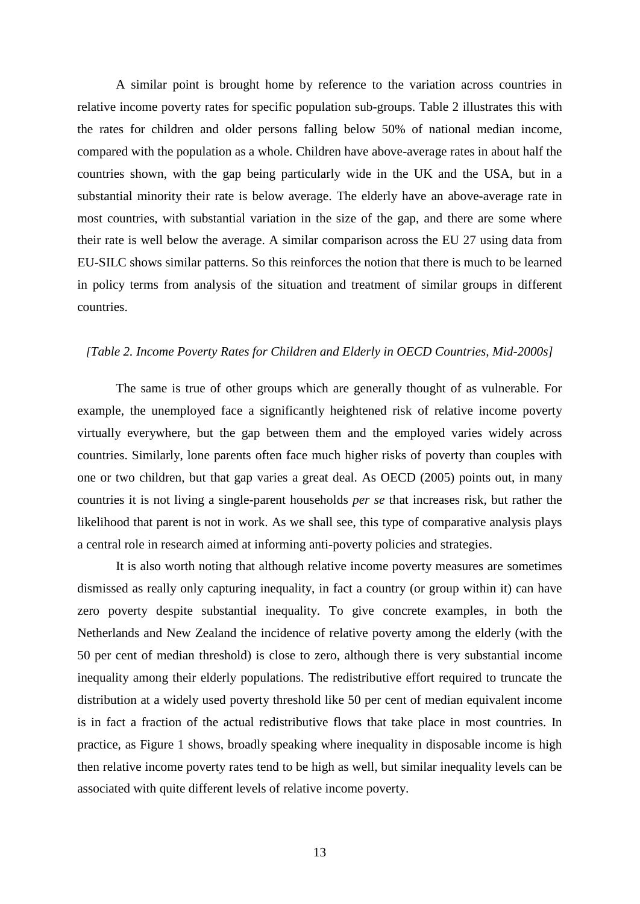A similar point is brought home by reference to the variation across countries in relative income poverty rates for specific population sub-groups. Table 2 illustrates this with the rates for children and older persons falling below 50% of national median income, compared with the population as a whole. Children have above-average rates in about half the countries shown, with the gap being particularly wide in the UK and the USA, but in a substantial minority their rate is below average. The elderly have an above-average rate in most countries, with substantial variation in the size of the gap, and there are some where their rate is well below the average. A similar comparison across the EU 27 using data from EU-SILC shows similar patterns. So this reinforces the notion that there is much to be learned in policy terms from analysis of the situation and treatment of similar groups in different countries.

#### *[Table 2. Income Poverty Rates for Children and Elderly in OECD Countries, Mid-2000s]*

The same is true of other groups which are generally thought of as vulnerable. For example, the unemployed face a significantly heightened risk of relative income poverty virtually everywhere, but the gap between them and the employed varies widely across countries. Similarly, lone parents often face much higher risks of poverty than couples with one or two children, but that gap varies a great deal. As OECD (2005) points out, in many countries it is not living a single-parent households *per se* that increases risk, but rather the likelihood that parent is not in work. As we shall see, this type of comparative analysis plays a central role in research aimed at informing anti-poverty policies and strategies.

It is also worth noting that although relative income poverty measures are sometimes dismissed as really only capturing inequality, in fact a country (or group within it) can have zero poverty despite substantial inequality. To give concrete examples, in both the Netherlands and New Zealand the incidence of relative poverty among the elderly (with the 50 per cent of median threshold) is close to zero, although there is very substantial income inequality among their elderly populations. The redistributive effort required to truncate the distribution at a widely used poverty threshold like 50 per cent of median equivalent income is in fact a fraction of the actual redistributive flows that take place in most countries. In practice, as Figure 1 shows, broadly speaking where inequality in disposable income is high then relative income poverty rates tend to be high as well, but similar inequality levels can be associated with quite different levels of relative income poverty.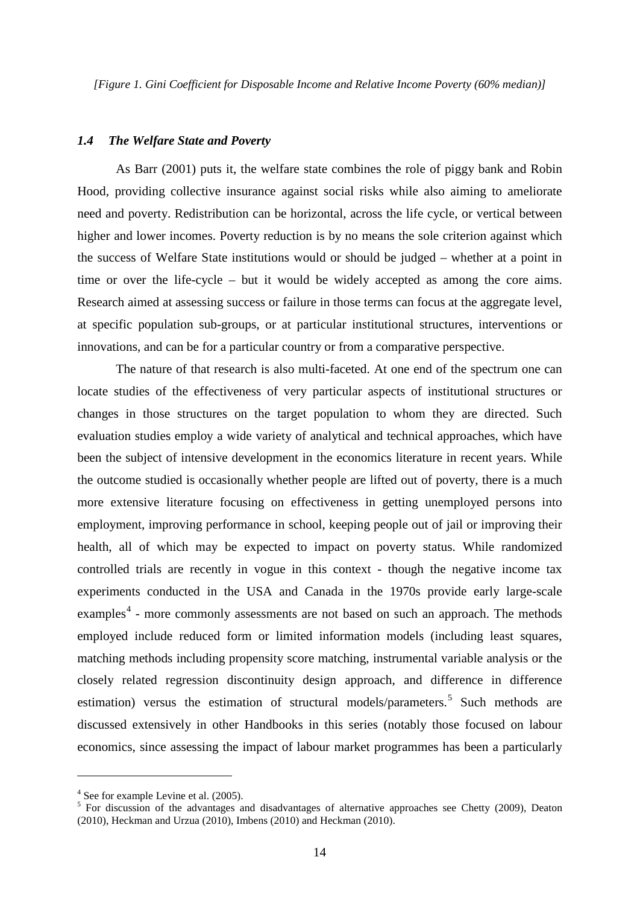#### *1.4 The Welfare State and Poverty*

As Barr (2001) puts it, the welfare state combines the role of piggy bank and Robin Hood, providing collective insurance against social risks while also aiming to ameliorate need and poverty. Redistribution can be horizontal, across the life cycle, or vertical between higher and lower incomes. Poverty reduction is by no means the sole criterion against which the success of Welfare State institutions would or should be judged – whether at a point in time or over the life-cycle – but it would be widely accepted as among the core aims. Research aimed at assessing success or failure in those terms can focus at the aggregate level, at specific population sub-groups, or at particular institutional structures, interventions or innovations, and can be for a particular country or from a comparative perspective.

The nature of that research is also multi-faceted. At one end of the spectrum one can locate studies of the effectiveness of very particular aspects of institutional structures or changes in those structures on the target population to whom they are directed. Such evaluation studies employ a wide variety of analytical and technical approaches, which have been the subject of intensive development in the economics literature in recent years. While the outcome studied is occasionally whether people are lifted out of poverty, there is a much more extensive literature focusing on effectiveness in getting unemployed persons into employment, improving performance in school, keeping people out of jail or improving their health, all of which may be expected to impact on poverty status. While randomized controlled trials are recently in vogue in this context - though the negative income tax experiments conducted in the USA and Canada in the 1970s provide early large-scale examples<sup>[4](#page-7-0)</sup> - more commonly assessments are not based on such an approach. The methods employed include reduced form or limited information models (including least squares, matching methods including propensity score matching, instrumental variable analysis or the closely related regression discontinuity design approach, and difference in difference estimation) versus the estimation of structural models/parameters.<sup>[5](#page-15-0)</sup> Such methods are discussed extensively in other Handbooks in this series (notably those focused on labour economics, since assessing the impact of labour market programmes has been a particularly

<span id="page-15-1"></span>-

 $4$  See for example Levine et al. (2005).

<span id="page-15-0"></span><sup>&</sup>lt;sup>5</sup> For discussion of the advantages and disadvantages of alternative approaches see Chetty (2009), Deaton (2010), Heckman and Urzua (2010), Imbens (2010) and Heckman (2010).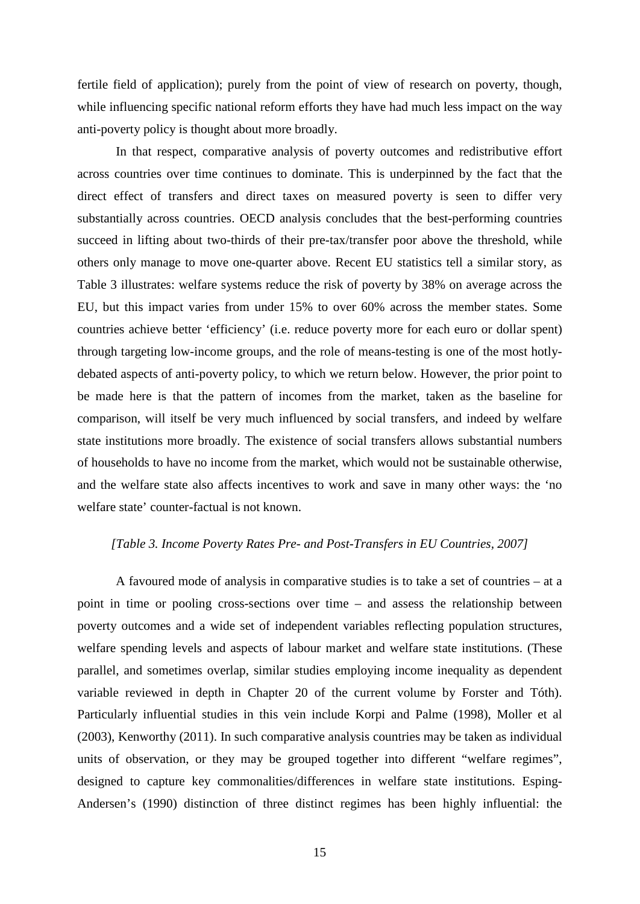fertile field of application); purely from the point of view of research on poverty, though, while influencing specific national reform efforts they have had much less impact on the way anti-poverty policy is thought about more broadly.

In that respect, comparative analysis of poverty outcomes and redistributive effort across countries over time continues to dominate. This is underpinned by the fact that the direct effect of transfers and direct taxes on measured poverty is seen to differ very substantially across countries. OECD analysis concludes that the best-performing countries succeed in lifting about two-thirds of their pre-tax/transfer poor above the threshold, while others only manage to move one-quarter above. Recent EU statistics tell a similar story, as Table 3 illustrates: welfare systems reduce the risk of poverty by 38% on average across the EU, but this impact varies from under 15% to over 60% across the member states. Some countries achieve better 'efficiency' (i.e. reduce poverty more for each euro or dollar spent) through targeting low-income groups, and the role of means-testing is one of the most hotlydebated aspects of anti-poverty policy, to which we return below. However, the prior point to be made here is that the pattern of incomes from the market, taken as the baseline for comparison, will itself be very much influenced by social transfers, and indeed by welfare state institutions more broadly. The existence of social transfers allows substantial numbers of households to have no income from the market, which would not be sustainable otherwise, and the welfare state also affects incentives to work and save in many other ways: the 'no welfare state' counter-factual is not known.

#### *[Table 3. Income Poverty Rates Pre- and Post-Transfers in EU Countries, 2007]*

A favoured mode of analysis in comparative studies is to take a set of countries – at a point in time or pooling cross-sections over time – and assess the relationship between poverty outcomes and a wide set of independent variables reflecting population structures, welfare spending levels and aspects of labour market and welfare state institutions. (These parallel, and sometimes overlap, similar studies employing income inequality as dependent variable reviewed in depth in Chapter 20 of the current volume by Forster and Tóth). Particularly influential studies in this vein include Korpi and Palme (1998), Moller et al (2003), Kenworthy (2011). In such comparative analysis countries may be taken as individual units of observation, or they may be grouped together into different "welfare regimes", designed to capture key commonalities/differences in welfare state institutions. Esping-Andersen's (1990) distinction of three distinct regimes has been highly influential: the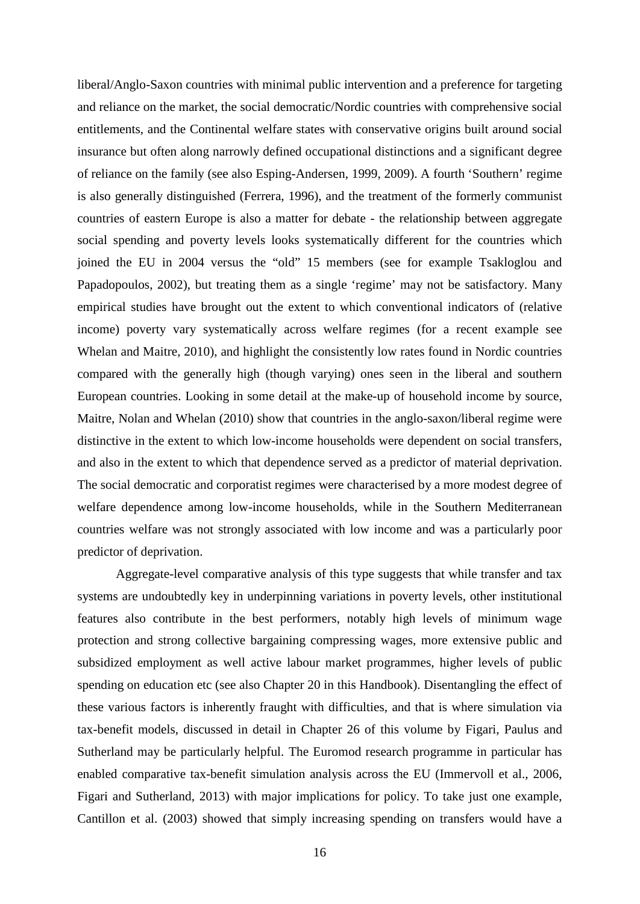liberal/Anglo-Saxon countries with minimal public intervention and a preference for targeting and reliance on the market, the social democratic/Nordic countries with comprehensive social entitlements, and the Continental welfare states with conservative origins built around social insurance but often along narrowly defined occupational distinctions and a significant degree of reliance on the family (see also Esping-Andersen, 1999, 2009). A fourth 'Southern' regime is also generally distinguished (Ferrera, 1996), and the treatment of the formerly communist countries of eastern Europe is also a matter for debate - the relationship between aggregate social spending and poverty levels looks systematically different for the countries which joined the EU in 2004 versus the "old" 15 members (see for example Tsakloglou and Papadopoulos, 2002), but treating them as a single 'regime' may not be satisfactory. Many empirical studies have brought out the extent to which conventional indicators of (relative income) poverty vary systematically across welfare regimes (for a recent example see Whelan and Maitre, 2010), and highlight the consistently low rates found in Nordic countries compared with the generally high (though varying) ones seen in the liberal and southern European countries. Looking in some detail at the make-up of household income by source, Maitre, Nolan and Whelan (2010) show that countries in the anglo-saxon/liberal regime were distinctive in the extent to which low-income households were dependent on social transfers, and also in the extent to which that dependence served as a predictor of material deprivation. The social democratic and corporatist regimes were characterised by a more modest degree of welfare dependence among low-income households, while in the Southern Mediterranean countries welfare was not strongly associated with low income and was a particularly poor predictor of deprivation.

Aggregate-level comparative analysis of this type suggests that while transfer and tax systems are undoubtedly key in underpinning variations in poverty levels, other institutional features also contribute in the best performers, notably high levels of minimum wage protection and strong collective bargaining compressing wages, more extensive public and subsidized employment as well active labour market programmes, higher levels of public spending on education etc (see also Chapter 20 in this Handbook). Disentangling the effect of these various factors is inherently fraught with difficulties, and that is where simulation via tax-benefit models, discussed in detail in Chapter 26 of this volume by Figari, Paulus and Sutherland may be particularly helpful. The Euromod research programme in particular has enabled comparative tax-benefit simulation analysis across the EU (Immervoll et al., 2006, Figari and Sutherland, 2013) with major implications for policy. To take just one example, Cantillon et al. (2003) showed that simply increasing spending on transfers would have a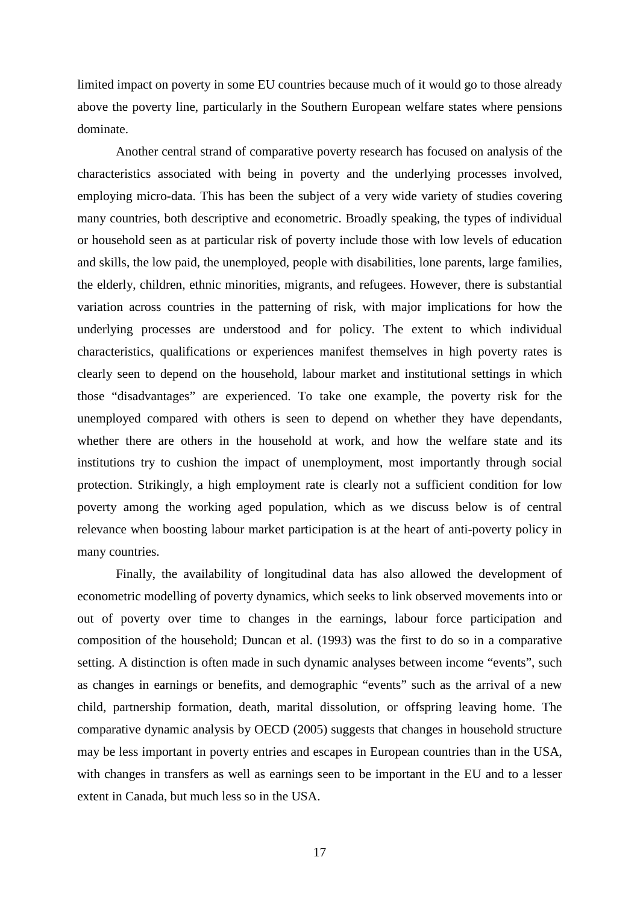limited impact on poverty in some EU countries because much of it would go to those already above the poverty line, particularly in the Southern European welfare states where pensions dominate.

Another central strand of comparative poverty research has focused on analysis of the characteristics associated with being in poverty and the underlying processes involved, employing micro-data. This has been the subject of a very wide variety of studies covering many countries, both descriptive and econometric. Broadly speaking, the types of individual or household seen as at particular risk of poverty include those with low levels of education and skills, the low paid, the unemployed, people with disabilities, lone parents, large families, the elderly, children, ethnic minorities, migrants, and refugees. However, there is substantial variation across countries in the patterning of risk, with major implications for how the underlying processes are understood and for policy. The extent to which individual characteristics, qualifications or experiences manifest themselves in high poverty rates is clearly seen to depend on the household, labour market and institutional settings in which those "disadvantages" are experienced. To take one example, the poverty risk for the unemployed compared with others is seen to depend on whether they have dependants, whether there are others in the household at work, and how the welfare state and its institutions try to cushion the impact of unemployment, most importantly through social protection. Strikingly, a high employment rate is clearly not a sufficient condition for low poverty among the working aged population, which as we discuss below is of central relevance when boosting labour market participation is at the heart of anti-poverty policy in many countries.

Finally, the availability of longitudinal data has also allowed the development of econometric modelling of poverty dynamics, which seeks to link observed movements into or out of poverty over time to changes in the earnings, labour force participation and composition of the household; Duncan et al. (1993) was the first to do so in a comparative setting. A distinction is often made in such dynamic analyses between income "events", such as changes in earnings or benefits, and demographic "events" such as the arrival of a new child, partnership formation, death, marital dissolution, or offspring leaving home. The comparative dynamic analysis by OECD (2005) suggests that changes in household structure may be less important in poverty entries and escapes in European countries than in the USA, with changes in transfers as well as earnings seen to be important in the EU and to a lesser extent in Canada, but much less so in the USA.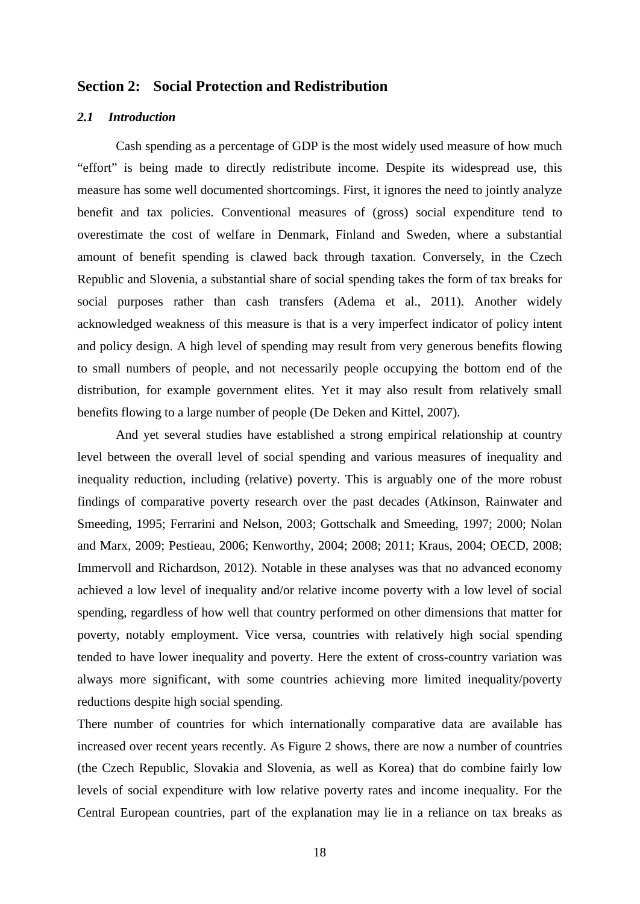#### **Section 2: Social Protection and Redistribution**

#### *2.1 Introduction*

Cash spending as a percentage of GDP is the most widely used measure of how much "effort" is being made to directly redistribute income. Despite its widespread use, this measure has some well documented shortcomings. First, it ignores the need to jointly analyze benefit and tax policies. Conventional measures of (gross) social expenditure tend to overestimate the cost of welfare in Denmark, Finland and Sweden, where a substantial amount of benefit spending is clawed back through taxation. Conversely, in the Czech Republic and Slovenia, a substantial share of social spending takes the form of tax breaks for social purposes rather than cash transfers (Adema et al., 2011). Another widely acknowledged weakness of this measure is that is a very imperfect indicator of policy intent and policy design. A high level of spending may result from very generous benefits flowing to small numbers of people, and not necessarily people occupying the bottom end of the distribution, for example government elites. Yet it may also result from relatively small benefits flowing to a large number of people (De Deken and Kittel, 2007).

And yet several studies have established a strong empirical relationship at country level between the overall level of social spending and various measures of inequality and inequality reduction, including (relative) poverty. This is arguably one of the more robust findings of comparative poverty research over the past decades (Atkinson, Rainwater and Smeeding, 1995; Ferrarini and Nelson, 2003; Gottschalk and Smeeding, 1997; 2000; Nolan and Marx, 2009; Pestieau, 2006; Kenworthy, 2004; 2008; 2011; Kraus, 2004; OECD, 2008; Immervoll and Richardson, 2012). Notable in these analyses was that no advanced economy achieved a low level of inequality and/or relative income poverty with a low level of social spending, regardless of how well that country performed on other dimensions that matter for poverty, notably employment. Vice versa, countries with relatively high social spending tended to have lower inequality and poverty. Here the extent of cross-country variation was always more significant, with some countries achieving more limited inequality/poverty reductions despite high social spending.

There number of countries for which internationally comparative data are available has increased over recent years recently. As Figure 2 shows, there are now a number of countries (the Czech Republic, Slovakia and Slovenia, as well as Korea) that do combine fairly low levels of social expenditure with low relative poverty rates and income inequality. For the Central European countries, part of the explanation may lie in a reliance on tax breaks as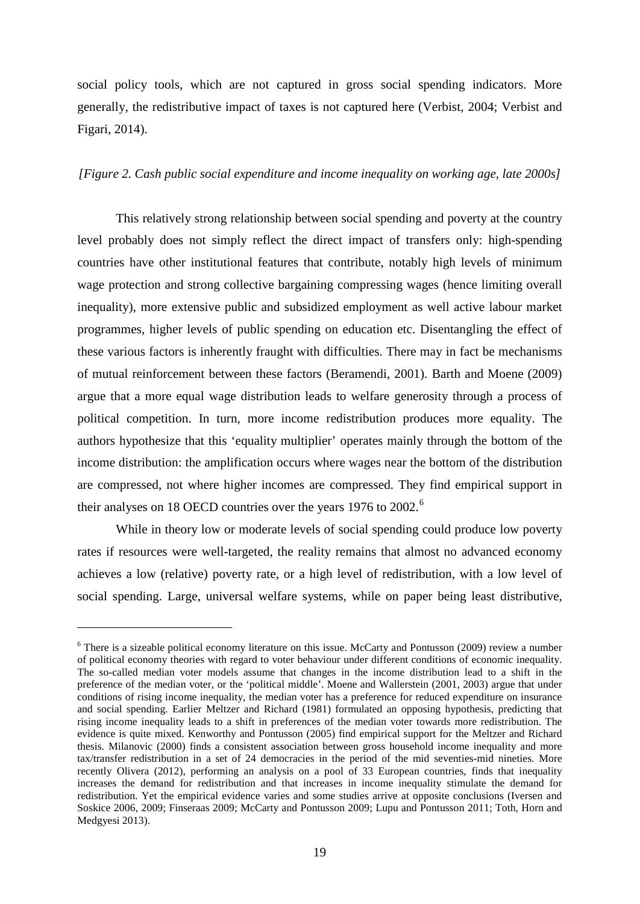social policy tools, which are not captured in gross social spending indicators. More generally, the redistributive impact of taxes is not captured here (Verbist, 2004; Verbist and Figari, 2014).

#### *[Figure 2. Cash public social expenditure and income inequality on working age, late 2000s]*

This relatively strong relationship between social spending and poverty at the country level probably does not simply reflect the direct impact of transfers only: high-spending countries have other institutional features that contribute, notably high levels of minimum wage protection and strong collective bargaining compressing wages (hence limiting overall inequality), more extensive public and subsidized employment as well active labour market programmes, higher levels of public spending on education etc. Disentangling the effect of these various factors is inherently fraught with difficulties. There may in fact be mechanisms of mutual reinforcement between these factors (Beramendi, 2001). Barth and Moene (2009) argue that a more equal wage distribution leads to welfare generosity through a process of political competition. In turn, more income redistribution produces more equality. The authors hypothesize that this 'equality multiplier' operates mainly through the bottom of the income distribution: the amplification occurs where wages near the bottom of the distribution are compressed, not where higher incomes are compressed. They find empirical support in their analyses on 18 OECD countries over the years 197[6](#page-15-1) to 2002.<sup>6</sup>

While in theory low or moderate levels of social spending could produce low poverty rates if resources were well-targeted, the reality remains that almost no advanced economy achieves a low (relative) poverty rate, or a high level of redistribution, with a low level of social spending. Large, universal welfare systems, while on paper being least distributive,

-

<sup>&</sup>lt;sup>6</sup> There is a sizeable political economy literature on this issue. McCarty and Pontusson (2009) review a number of political economy theories with regard to voter behaviour under different conditions of economic inequality. The so-called median voter models assume that changes in the income distribution lead to a shift in the preference of the median voter, or the 'political middle'. Moene and Wallerstein (2001, 2003) argue that under conditions of rising income inequality, the median voter has a preference for reduced expenditure on insurance and social spending. Earlier Meltzer and Richard (1981) formulated an opposing hypothesis, predicting that rising income inequality leads to a shift in preferences of the median voter towards more redistribution. The evidence is quite mixed. Kenworthy and Pontusson (2005) find empirical support for the Meltzer and Richard thesis. Milanovic (2000) finds a consistent association between gross household income inequality and more tax/transfer redistribution in a set of 24 democracies in the period of the mid seventies-mid nineties. More recently Olivera (2012), performing an analysis on a pool of 33 European countries, finds that inequality increases the demand for redistribution and that increases in income inequality stimulate the demand for redistribution. Yet the empirical evidence varies and some studies arrive at opposite conclusions (Iversen and Soskice 2006, 2009; Finseraas 2009; McCarty and Pontusson 2009; Lupu and Pontusson 2011; Toth, Horn and Medgyesi 2013).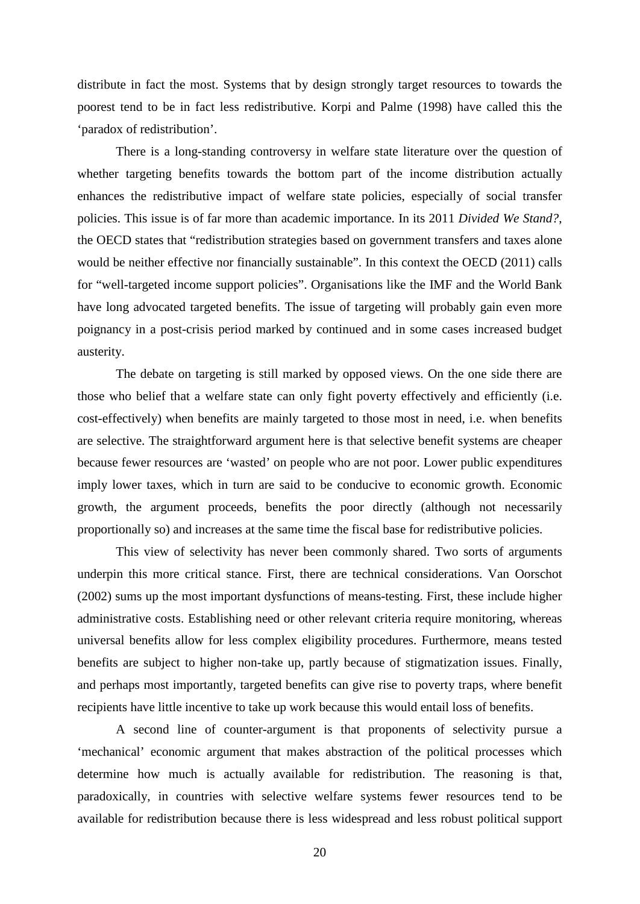distribute in fact the most. Systems that by design strongly target resources to towards the poorest tend to be in fact less redistributive. Korpi and Palme (1998) have called this the 'paradox of redistribution'.

There is a long-standing controversy in welfare state literature over the question of whether targeting benefits towards the bottom part of the income distribution actually enhances the redistributive impact of welfare state policies, especially of social transfer policies. This issue is of far more than academic importance. In its 2011 *Divided We Stand?*, the OECD states that "redistribution strategies based on government transfers and taxes alone would be neither effective nor financially sustainable". In this context the OECD (2011) calls for "well-targeted income support policies". Organisations like the IMF and the World Bank have long advocated targeted benefits. The issue of targeting will probably gain even more poignancy in a post-crisis period marked by continued and in some cases increased budget austerity.

The debate on targeting is still marked by opposed views. On the one side there are those who belief that a welfare state can only fight poverty effectively and efficiently (i.e. cost-effectively) when benefits are mainly targeted to those most in need, i.e. when benefits are selective. The straightforward argument here is that selective benefit systems are cheaper because fewer resources are 'wasted' on people who are not poor. Lower public expenditures imply lower taxes, which in turn are said to be conducive to economic growth. Economic growth, the argument proceeds, benefits the poor directly (although not necessarily proportionally so) and increases at the same time the fiscal base for redistributive policies.

This view of selectivity has never been commonly shared. Two sorts of arguments underpin this more critical stance. First, there are technical considerations. Van Oorschot (2002) sums up the most important dysfunctions of means-testing. First, these include higher administrative costs. Establishing need or other relevant criteria require monitoring, whereas universal benefits allow for less complex eligibility procedures. Furthermore, means tested benefits are subject to higher non-take up, partly because of stigmatization issues. Finally, and perhaps most importantly, targeted benefits can give rise to poverty traps, where benefit recipients have little incentive to take up work because this would entail loss of benefits.

A second line of counter-argument is that proponents of selectivity pursue a 'mechanical' economic argument that makes abstraction of the political processes which determine how much is actually available for redistribution. The reasoning is that, paradoxically, in countries with selective welfare systems fewer resources tend to be available for redistribution because there is less widespread and less robust political support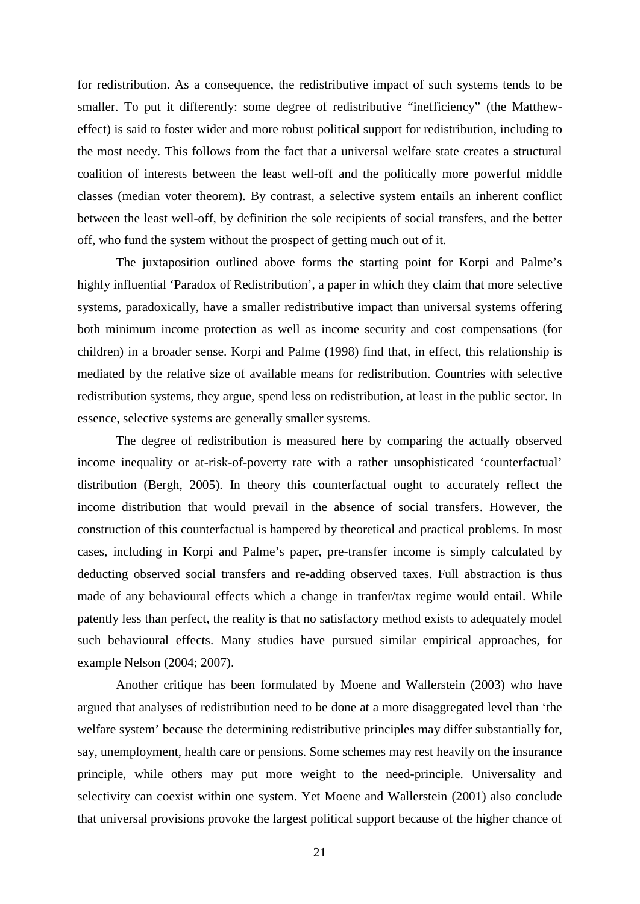for redistribution. As a consequence, the redistributive impact of such systems tends to be smaller. To put it differently: some degree of redistributive "inefficiency" (the Mattheweffect) is said to foster wider and more robust political support for redistribution, including to the most needy. This follows from the fact that a universal welfare state creates a structural coalition of interests between the least well-off and the politically more powerful middle classes (median voter theorem). By contrast, a selective system entails an inherent conflict between the least well-off, by definition the sole recipients of social transfers, and the better off, who fund the system without the prospect of getting much out of it.

The juxtaposition outlined above forms the starting point for Korpi and Palme's highly influential 'Paradox of Redistribution', a paper in which they claim that more selective systems, paradoxically, have a smaller redistributive impact than universal systems offering both minimum income protection as well as income security and cost compensations (for children) in a broader sense. Korpi and Palme (1998) find that, in effect, this relationship is mediated by the relative size of available means for redistribution. Countries with selective redistribution systems, they argue, spend less on redistribution, at least in the public sector. In essence, selective systems are generally smaller systems.

The degree of redistribution is measured here by comparing the actually observed income inequality or at-risk-of-poverty rate with a rather unsophisticated 'counterfactual' distribution (Bergh, 2005). In theory this counterfactual ought to accurately reflect the income distribution that would prevail in the absence of social transfers. However, the construction of this counterfactual is hampered by theoretical and practical problems. In most cases, including in Korpi and Palme's paper, pre-transfer income is simply calculated by deducting observed social transfers and re-adding observed taxes. Full abstraction is thus made of any behavioural effects which a change in tranfer/tax regime would entail. While patently less than perfect, the reality is that no satisfactory method exists to adequately model such behavioural effects. Many studies have pursued similar empirical approaches, for example Nelson (2004; 2007).

Another critique has been formulated by Moene and Wallerstein (2003) who have argued that analyses of redistribution need to be done at a more disaggregated level than 'the welfare system' because the determining redistributive principles may differ substantially for, say, unemployment, health care or pensions. Some schemes may rest heavily on the insurance principle, while others may put more weight to the need-principle. Universality and selectivity can coexist within one system. Yet Moene and Wallerstein (2001) also conclude that universal provisions provoke the largest political support because of the higher chance of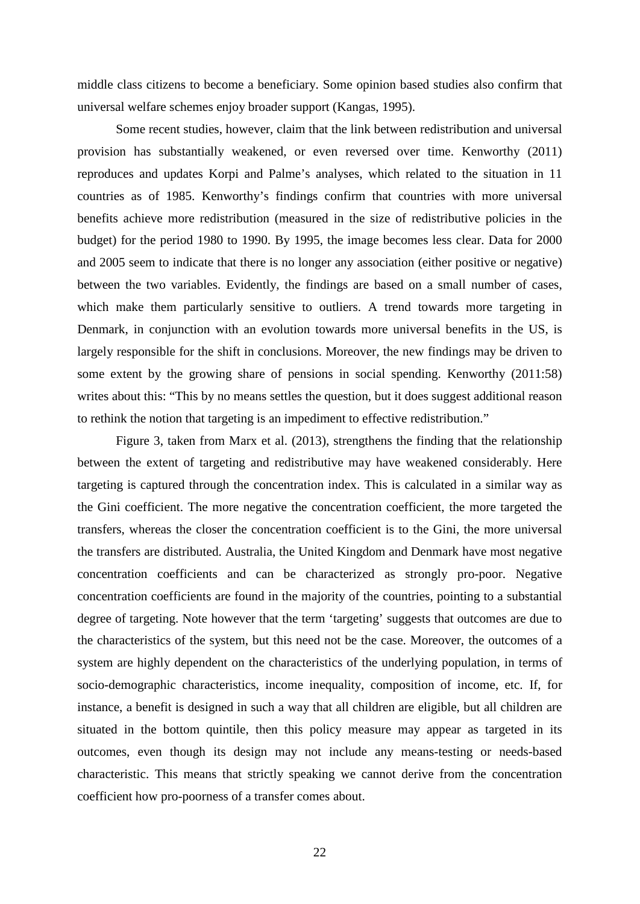middle class citizens to become a beneficiary. Some opinion based studies also confirm that universal welfare schemes enjoy broader support (Kangas, 1995).

Some recent studies, however, claim that the link between redistribution and universal provision has substantially weakened, or even reversed over time. Kenworthy (2011) reproduces and updates Korpi and Palme's analyses, which related to the situation in 11 countries as of 1985. Kenworthy's findings confirm that countries with more universal benefits achieve more redistribution (measured in the size of redistributive policies in the budget) for the period 1980 to 1990. By 1995, the image becomes less clear. Data for 2000 and 2005 seem to indicate that there is no longer any association (either positive or negative) between the two variables. Evidently, the findings are based on a small number of cases, which make them particularly sensitive to outliers. A trend towards more targeting in Denmark, in conjunction with an evolution towards more universal benefits in the US, is largely responsible for the shift in conclusions. Moreover, the new findings may be driven to some extent by the growing share of pensions in social spending. Kenworthy (2011:58) writes about this: "This by no means settles the question, but it does suggest additional reason to rethink the notion that targeting is an impediment to effective redistribution."

Figure 3, taken from Marx et al. (2013), strengthens the finding that the relationship between the extent of targeting and redistributive may have weakened considerably. Here targeting is captured through the concentration index. This is calculated in a similar way as the Gini coefficient. The more negative the concentration coefficient, the more targeted the transfers, whereas the closer the concentration coefficient is to the Gini, the more universal the transfers are distributed. Australia, the United Kingdom and Denmark have most negative concentration coefficients and can be characterized as strongly pro-poor. Negative concentration coefficients are found in the majority of the countries, pointing to a substantial degree of targeting. Note however that the term 'targeting' suggests that outcomes are due to the characteristics of the system, but this need not be the case. Moreover, the outcomes of a system are highly dependent on the characteristics of the underlying population, in terms of socio-demographic characteristics, income inequality, composition of income, etc. If, for instance, a benefit is designed in such a way that all children are eligible, but all children are situated in the bottom quintile, then this policy measure may appear as targeted in its outcomes, even though its design may not include any means-testing or needs-based characteristic. This means that strictly speaking we cannot derive from the concentration coefficient how pro-poorness of a transfer comes about.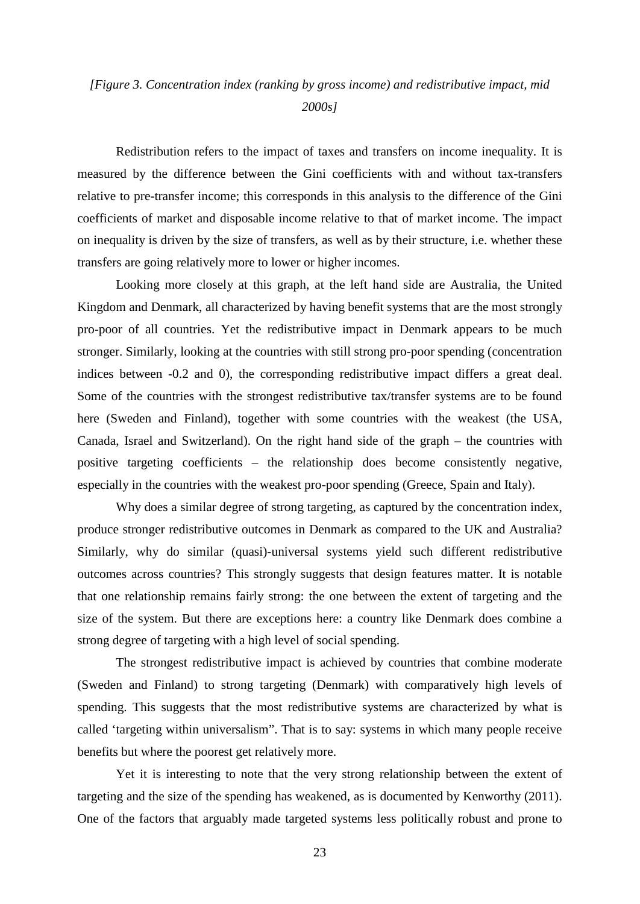### *[Figure 3. Concentration index (ranking by gross income) and redistributive impact, mid 2000s]*

Redistribution refers to the impact of taxes and transfers on income inequality. It is measured by the difference between the Gini coefficients with and without tax-transfers relative to pre-transfer income; this corresponds in this analysis to the difference of the Gini coefficients of market and disposable income relative to that of market income. The impact on inequality is driven by the size of transfers, as well as by their structure, i.e. whether these transfers are going relatively more to lower or higher incomes.

Looking more closely at this graph, at the left hand side are Australia, the United Kingdom and Denmark, all characterized by having benefit systems that are the most strongly pro-poor of all countries. Yet the redistributive impact in Denmark appears to be much stronger. Similarly, looking at the countries with still strong pro-poor spending (concentration indices between -0.2 and 0), the corresponding redistributive impact differs a great deal. Some of the countries with the strongest redistributive tax/transfer systems are to be found here (Sweden and Finland), together with some countries with the weakest (the USA, Canada, Israel and Switzerland). On the right hand side of the graph – the countries with positive targeting coefficients – the relationship does become consistently negative, especially in the countries with the weakest pro-poor spending (Greece, Spain and Italy).

Why does a similar degree of strong targeting, as captured by the concentration index, produce stronger redistributive outcomes in Denmark as compared to the UK and Australia? Similarly, why do similar (quasi)-universal systems yield such different redistributive outcomes across countries? This strongly suggests that design features matter. It is notable that one relationship remains fairly strong: the one between the extent of targeting and the size of the system. But there are exceptions here: a country like Denmark does combine a strong degree of targeting with a high level of social spending.

The strongest redistributive impact is achieved by countries that combine moderate (Sweden and Finland) to strong targeting (Denmark) with comparatively high levels of spending. This suggests that the most redistributive systems are characterized by what is called 'targeting within universalism". That is to say: systems in which many people receive benefits but where the poorest get relatively more.

Yet it is interesting to note that the very strong relationship between the extent of targeting and the size of the spending has weakened, as is documented by Kenworthy (2011). One of the factors that arguably made targeted systems less politically robust and prone to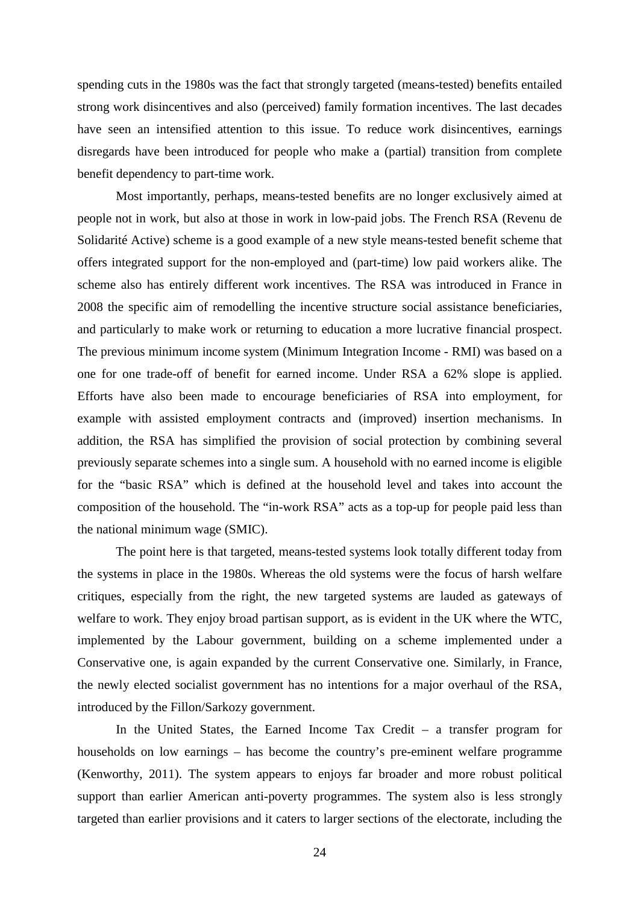spending cuts in the 1980s was the fact that strongly targeted (means-tested) benefits entailed strong work disincentives and also (perceived) family formation incentives. The last decades have seen an intensified attention to this issue. To reduce work disincentives, earnings disregards have been introduced for people who make a (partial) transition from complete benefit dependency to part-time work.

Most importantly, perhaps, means-tested benefits are no longer exclusively aimed at people not in work, but also at those in work in low-paid jobs. The French RSA (Revenu de Solidarité Active) scheme is a good example of a new style means-tested benefit scheme that offers integrated support for the non-employed and (part-time) low paid workers alike. The scheme also has entirely different work incentives. The RSA was introduced in France in 2008 the specific aim of remodelling the incentive structure social assistance beneficiaries, and particularly to make work or returning to education a more lucrative financial prospect. The previous minimum income system (Minimum Integration Income - RMI) was based on a one for one trade-off of benefit for earned income. Under RSA a 62% slope is applied. Efforts have also been made to encourage beneficiaries of RSA into employment, for example with assisted employment contracts and (improved) insertion mechanisms. In addition, the RSA has simplified the provision of social protection by combining several previously separate schemes into a single sum. A household with no earned income is eligible for the "basic RSA" which is defined at the household level and takes into account the composition of the household. The "in-work RSA" acts as a top-up for people paid less than the national minimum wage (SMIC).

The point here is that targeted, means-tested systems look totally different today from the systems in place in the 1980s. Whereas the old systems were the focus of harsh welfare critiques, especially from the right, the new targeted systems are lauded as gateways of welfare to work. They enjoy broad partisan support, as is evident in the UK where the WTC, implemented by the Labour government, building on a scheme implemented under a Conservative one, is again expanded by the current Conservative one. Similarly, in France, the newly elected socialist government has no intentions for a major overhaul of the RSA, introduced by the Fillon/Sarkozy government.

In the United States, the Earned Income Tax Credit  $-$  a transfer program for households on low earnings – has become the country's pre-eminent welfare programme (Kenworthy, 2011). The system appears to enjoys far broader and more robust political support than earlier American anti-poverty programmes. The system also is less strongly targeted than earlier provisions and it caters to larger sections of the electorate, including the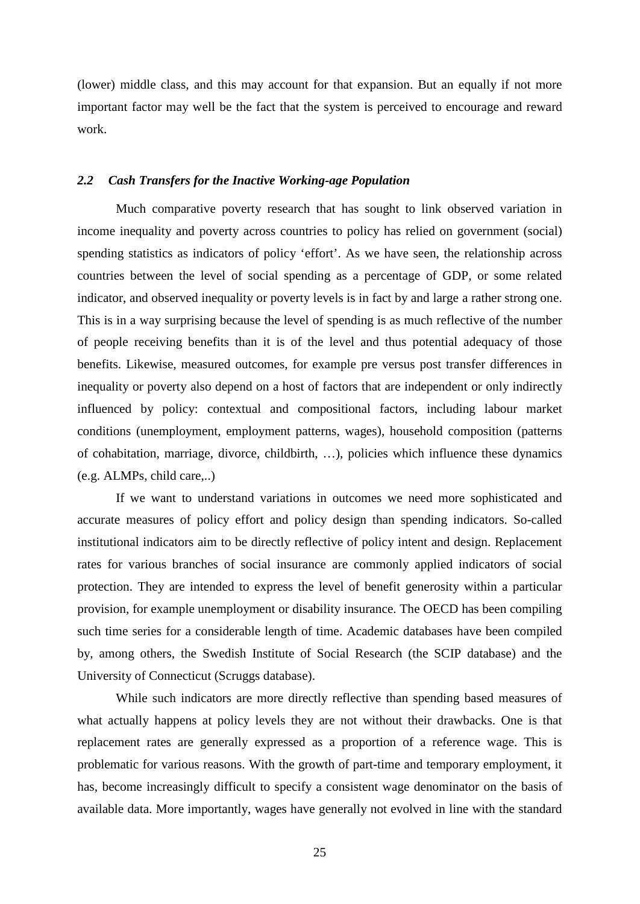(lower) middle class, and this may account for that expansion. But an equally if not more important factor may well be the fact that the system is perceived to encourage and reward work.

#### *2.2 Cash Transfers for the Inactive Working-age Population*

Much comparative poverty research that has sought to link observed variation in income inequality and poverty across countries to policy has relied on government (social) spending statistics as indicators of policy 'effort'. As we have seen, the relationship across countries between the level of social spending as a percentage of GDP, or some related indicator, and observed inequality or poverty levels is in fact by and large a rather strong one. This is in a way surprising because the level of spending is as much reflective of the number of people receiving benefits than it is of the level and thus potential adequacy of those benefits. Likewise, measured outcomes, for example pre versus post transfer differences in inequality or poverty also depend on a host of factors that are independent or only indirectly influenced by policy: contextual and compositional factors, including labour market conditions (unemployment, employment patterns, wages), household composition (patterns of cohabitation, marriage, divorce, childbirth, …), policies which influence these dynamics (e.g. ALMPs, child care,..)

If we want to understand variations in outcomes we need more sophisticated and accurate measures of policy effort and policy design than spending indicators. So-called institutional indicators aim to be directly reflective of policy intent and design. Replacement rates for various branches of social insurance are commonly applied indicators of social protection. They are intended to express the level of benefit generosity within a particular provision, for example unemployment or disability insurance. The OECD has been compiling such time series for a considerable length of time. Academic databases have been compiled by, among others, the Swedish Institute of Social Research (the SCIP database) and the University of Connecticut (Scruggs database).

While such indicators are more directly reflective than spending based measures of what actually happens at policy levels they are not without their drawbacks. One is that replacement rates are generally expressed as a proportion of a reference wage. This is problematic for various reasons. With the growth of part-time and temporary employment, it has, become increasingly difficult to specify a consistent wage denominator on the basis of available data. More importantly, wages have generally not evolved in line with the standard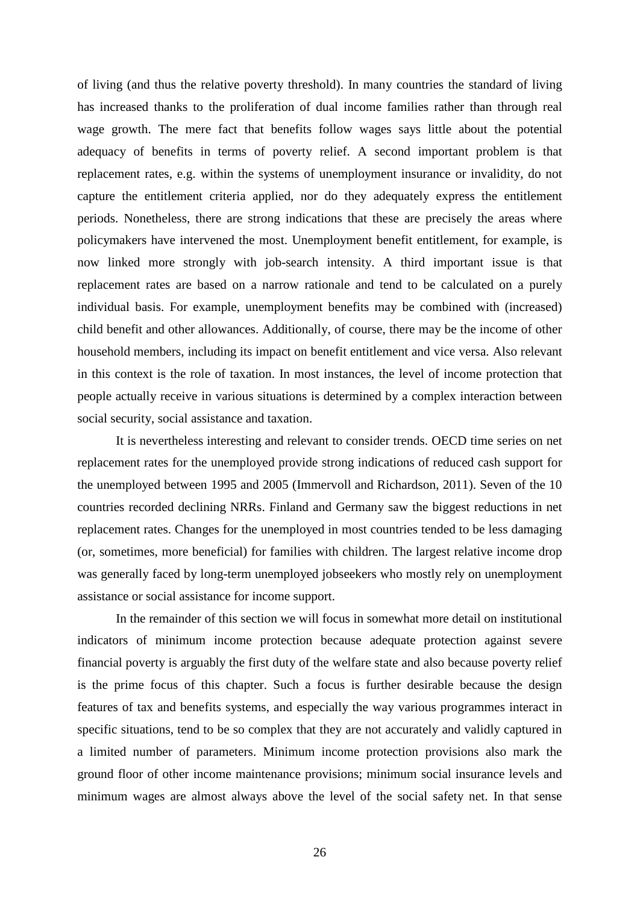of living (and thus the relative poverty threshold). In many countries the standard of living has increased thanks to the proliferation of dual income families rather than through real wage growth. The mere fact that benefits follow wages says little about the potential adequacy of benefits in terms of poverty relief. A second important problem is that replacement rates, e.g. within the systems of unemployment insurance or invalidity, do not capture the entitlement criteria applied, nor do they adequately express the entitlement periods. Nonetheless, there are strong indications that these are precisely the areas where policymakers have intervened the most. Unemployment benefit entitlement, for example, is now linked more strongly with job-search intensity. A third important issue is that replacement rates are based on a narrow rationale and tend to be calculated on a purely individual basis. For example, unemployment benefits may be combined with (increased) child benefit and other allowances. Additionally, of course, there may be the income of other household members, including its impact on benefit entitlement and vice versa. Also relevant in this context is the role of taxation. In most instances, the level of income protection that people actually receive in various situations is determined by a complex interaction between social security, social assistance and taxation.

It is nevertheless interesting and relevant to consider trends. OECD time series on net replacement rates for the unemployed provide strong indications of reduced cash support for the unemployed between 1995 and 2005 (Immervoll and Richardson, 2011). Seven of the 10 countries recorded declining NRRs. Finland and Germany saw the biggest reductions in net replacement rates. Changes for the unemployed in most countries tended to be less damaging (or, sometimes, more beneficial) for families with children. The largest relative income drop was generally faced by long-term unemployed jobseekers who mostly rely on unemployment assistance or social assistance for income support.

In the remainder of this section we will focus in somewhat more detail on institutional indicators of minimum income protection because adequate protection against severe financial poverty is arguably the first duty of the welfare state and also because poverty relief is the prime focus of this chapter. Such a focus is further desirable because the design features of tax and benefits systems, and especially the way various programmes interact in specific situations, tend to be so complex that they are not accurately and validly captured in a limited number of parameters. Minimum income protection provisions also mark the ground floor of other income maintenance provisions; minimum social insurance levels and minimum wages are almost always above the level of the social safety net. In that sense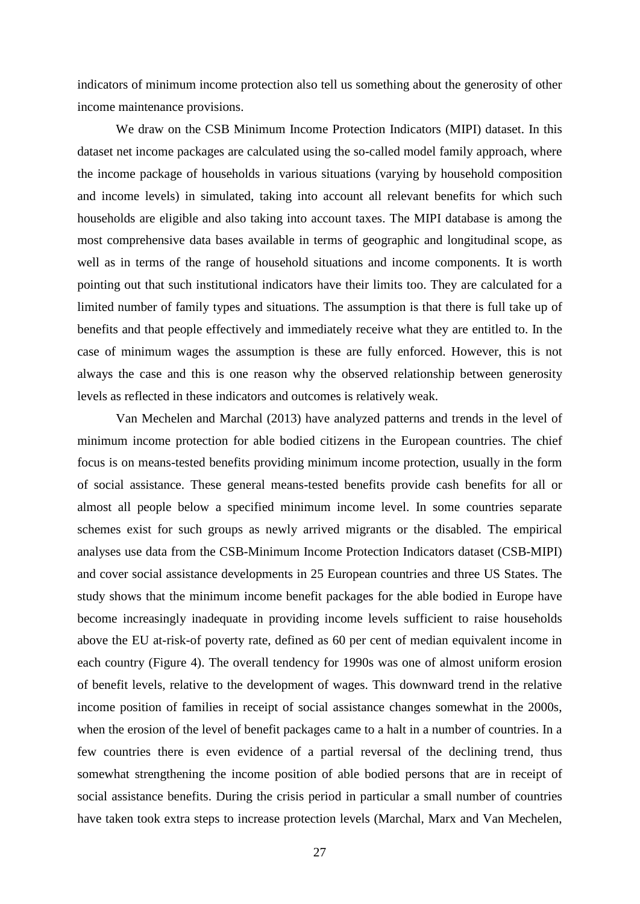indicators of minimum income protection also tell us something about the generosity of other income maintenance provisions.

We draw on the CSB Minimum Income Protection Indicators (MIPI) dataset. In this dataset net income packages are calculated using the so-called model family approach, where the income package of households in various situations (varying by household composition and income levels) in simulated, taking into account all relevant benefits for which such households are eligible and also taking into account taxes. The MIPI database is among the most comprehensive data bases available in terms of geographic and longitudinal scope, as well as in terms of the range of household situations and income components. It is worth pointing out that such institutional indicators have their limits too. They are calculated for a limited number of family types and situations. The assumption is that there is full take up of benefits and that people effectively and immediately receive what they are entitled to. In the case of minimum wages the assumption is these are fully enforced. However, this is not always the case and this is one reason why the observed relationship between generosity levels as reflected in these indicators and outcomes is relatively weak.

Van Mechelen and Marchal (2013) have analyzed patterns and trends in the level of minimum income protection for able bodied citizens in the European countries. The chief focus is on means-tested benefits providing minimum income protection, usually in the form of social assistance. These general means-tested benefits provide cash benefits for all or almost all people below a specified minimum income level. In some countries separate schemes exist for such groups as newly arrived migrants or the disabled. The empirical analyses use data from the CSB-Minimum Income Protection Indicators dataset (CSB-MIPI) and cover social assistance developments in 25 European countries and three US States. The study shows that the minimum income benefit packages for the able bodied in Europe have become increasingly inadequate in providing income levels sufficient to raise households above the EU at-risk-of poverty rate, defined as 60 per cent of median equivalent income in each country (Figure 4). The overall tendency for 1990s was one of almost uniform erosion of benefit levels, relative to the development of wages. This downward trend in the relative income position of families in receipt of social assistance changes somewhat in the 2000s, when the erosion of the level of benefit packages came to a halt in a number of countries. In a few countries there is even evidence of a partial reversal of the declining trend, thus somewhat strengthening the income position of able bodied persons that are in receipt of social assistance benefits. During the crisis period in particular a small number of countries have taken took extra steps to increase protection levels (Marchal, Marx and Van Mechelen,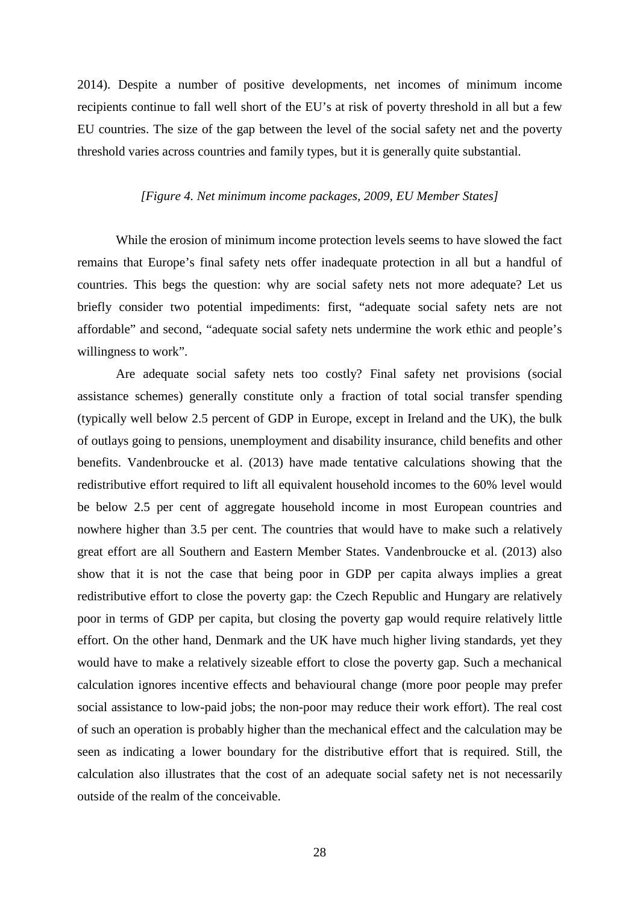2014). Despite a number of positive developments, net incomes of minimum income recipients continue to fall well short of the EU's at risk of poverty threshold in all but a few EU countries. The size of the gap between the level of the social safety net and the poverty threshold varies across countries and family types, but it is generally quite substantial.

#### *[Figure 4. Net minimum income packages, 2009, EU Member States]*

While the erosion of minimum income protection levels seems to have slowed the fact remains that Europe's final safety nets offer inadequate protection in all but a handful of countries. This begs the question: why are social safety nets not more adequate? Let us briefly consider two potential impediments: first, "adequate social safety nets are not affordable" and second, "adequate social safety nets undermine the work ethic and people's willingness to work".

Are adequate social safety nets too costly? Final safety net provisions (social assistance schemes) generally constitute only a fraction of total social transfer spending (typically well below 2.5 percent of GDP in Europe, except in Ireland and the UK), the bulk of outlays going to pensions, unemployment and disability insurance, child benefits and other benefits. Vandenbroucke et al. (2013) have made tentative calculations showing that the redistributive effort required to lift all equivalent household incomes to the 60% level would be below 2.5 per cent of aggregate household income in most European countries and nowhere higher than 3.5 per cent. The countries that would have to make such a relatively great effort are all Southern and Eastern Member States. Vandenbroucke et al. (2013) also show that it is not the case that being poor in GDP per capita always implies a great redistributive effort to close the poverty gap: the Czech Republic and Hungary are relatively poor in terms of GDP per capita, but closing the poverty gap would require relatively little effort. On the other hand, Denmark and the UK have much higher living standards, yet they would have to make a relatively sizeable effort to close the poverty gap. Such a mechanical calculation ignores incentive effects and behavioural change (more poor people may prefer social assistance to low-paid jobs; the non-poor may reduce their work effort). The real cost of such an operation is probably higher than the mechanical effect and the calculation may be seen as indicating a lower boundary for the distributive effort that is required. Still, the calculation also illustrates that the cost of an adequate social safety net is not necessarily outside of the realm of the conceivable.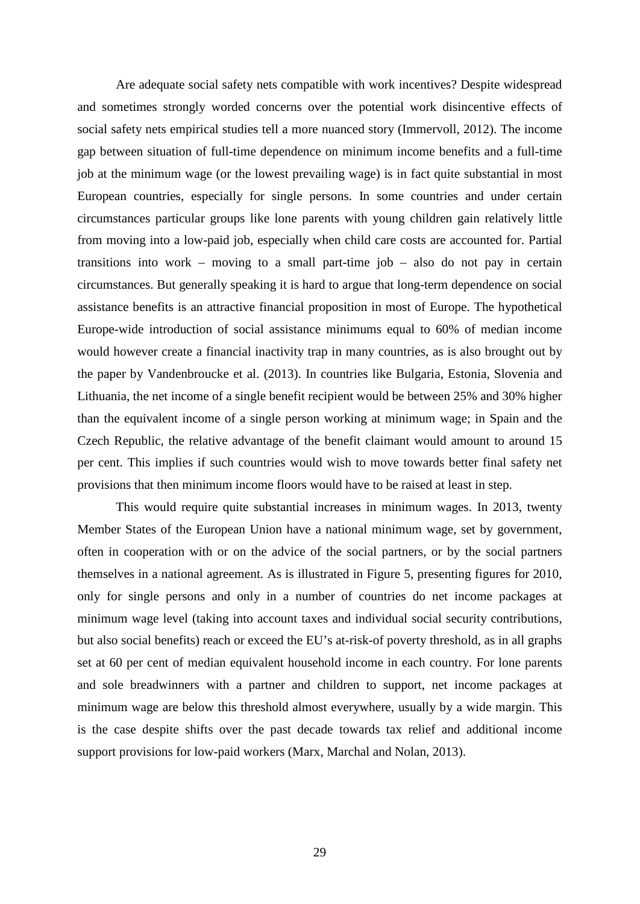Are adequate social safety nets compatible with work incentives? Despite widespread and sometimes strongly worded concerns over the potential work disincentive effects of social safety nets empirical studies tell a more nuanced story (Immervoll, 2012). The income gap between situation of full-time dependence on minimum income benefits and a full-time job at the minimum wage (or the lowest prevailing wage) is in fact quite substantial in most European countries, especially for single persons. In some countries and under certain circumstances particular groups like lone parents with young children gain relatively little from moving into a low-paid job, especially when child care costs are accounted for. Partial transitions into work – moving to a small part-time job – also do not pay in certain circumstances. But generally speaking it is hard to argue that long-term dependence on social assistance benefits is an attractive financial proposition in most of Europe. The hypothetical Europe-wide introduction of social assistance minimums equal to 60% of median income would however create a financial inactivity trap in many countries, as is also brought out by the paper by Vandenbroucke et al. (2013). In countries like Bulgaria, Estonia, Slovenia and Lithuania, the net income of a single benefit recipient would be between 25% and 30% higher than the equivalent income of a single person working at minimum wage; in Spain and the Czech Republic, the relative advantage of the benefit claimant would amount to around 15 per cent. This implies if such countries would wish to move towards better final safety net provisions that then minimum income floors would have to be raised at least in step.

This would require quite substantial increases in minimum wages. In 2013, twenty Member States of the European Union have a national minimum wage, set by government, often in cooperation with or on the advice of the social partners, or by the social partners themselves in a national agreement. As is illustrated in Figure 5, presenting figures for 2010, only for single persons and only in a number of countries do net income packages at minimum wage level (taking into account taxes and individual social security contributions, but also social benefits) reach or exceed the EU's at-risk-of poverty threshold, as in all graphs set at 60 per cent of median equivalent household income in each country. For lone parents and sole breadwinners with a partner and children to support, net income packages at minimum wage are below this threshold almost everywhere, usually by a wide margin. This is the case despite shifts over the past decade towards tax relief and additional income support provisions for low-paid workers (Marx, Marchal and Nolan, 2013).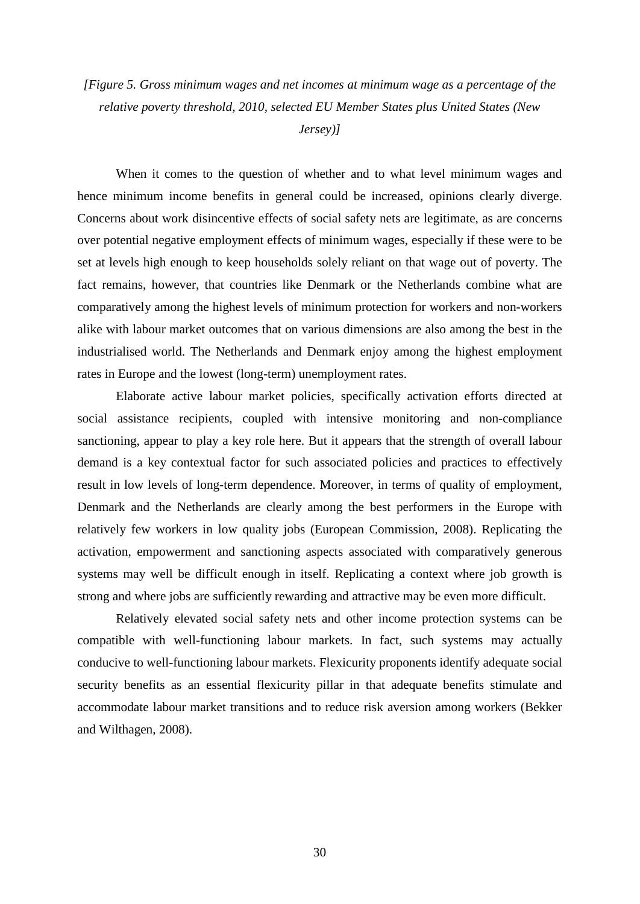## *[Figure 5. Gross minimum wages and net incomes at minimum wage as a percentage of the relative poverty threshold, 2010, selected EU Member States plus United States (New Jersey)]*

When it comes to the question of whether and to what level minimum wages and hence minimum income benefits in general could be increased, opinions clearly diverge. Concerns about work disincentive effects of social safety nets are legitimate, as are concerns over potential negative employment effects of minimum wages, especially if these were to be set at levels high enough to keep households solely reliant on that wage out of poverty. The fact remains, however, that countries like Denmark or the Netherlands combine what are comparatively among the highest levels of minimum protection for workers and non-workers alike with labour market outcomes that on various dimensions are also among the best in the industrialised world. The Netherlands and Denmark enjoy among the highest employment rates in Europe and the lowest (long-term) unemployment rates.

Elaborate active labour market policies, specifically activation efforts directed at social assistance recipients, coupled with intensive monitoring and non-compliance sanctioning, appear to play a key role here. But it appears that the strength of overall labour demand is a key contextual factor for such associated policies and practices to effectively result in low levels of long-term dependence. Moreover, in terms of quality of employment, Denmark and the Netherlands are clearly among the best performers in the Europe with relatively few workers in low quality jobs (European Commission, 2008). Replicating the activation, empowerment and sanctioning aspects associated with comparatively generous systems may well be difficult enough in itself. Replicating a context where job growth is strong and where jobs are sufficiently rewarding and attractive may be even more difficult.

Relatively elevated social safety nets and other income protection systems can be compatible with well-functioning labour markets. In fact, such systems may actually conducive to well-functioning labour markets. Flexicurity proponents identify adequate social security benefits as an essential flexicurity pillar in that adequate benefits stimulate and accommodate labour market transitions and to reduce risk aversion among workers (Bekker and Wilthagen, 2008).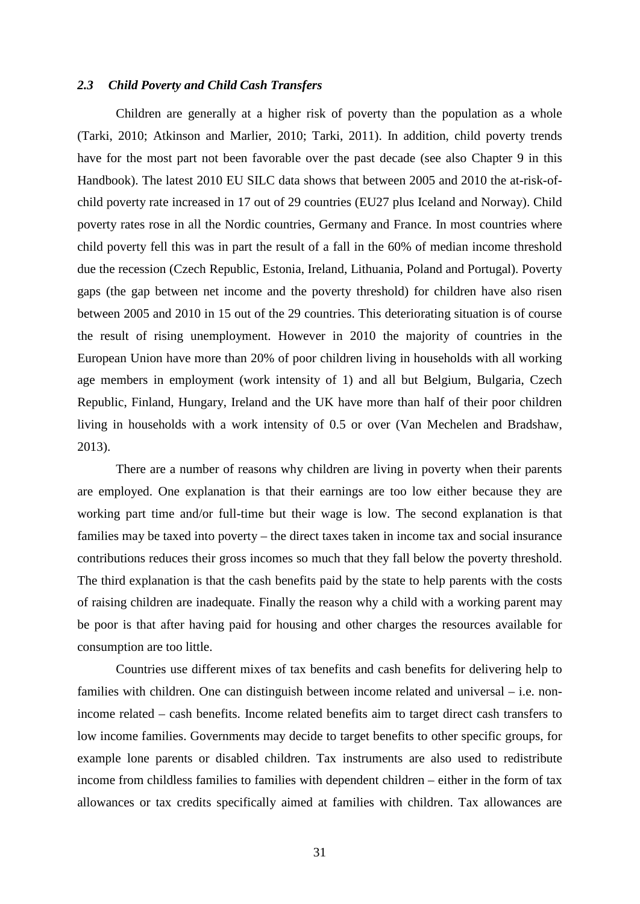#### *2.3 Child Poverty and Child Cash Transfers*

Children are generally at a higher risk of poverty than the population as a whole (Tarki, 2010; Atkinson and Marlier, 2010; Tarki, 2011). In addition, child poverty trends have for the most part not been favorable over the past decade (see also Chapter 9 in this Handbook). The latest 2010 EU SILC data shows that between 2005 and 2010 the at-risk-ofchild poverty rate increased in 17 out of 29 countries (EU27 plus Iceland and Norway). Child poverty rates rose in all the Nordic countries, Germany and France. In most countries where child poverty fell this was in part the result of a fall in the 60% of median income threshold due the recession (Czech Republic, Estonia, Ireland, Lithuania, Poland and Portugal). Poverty gaps (the gap between net income and the poverty threshold) for children have also risen between 2005 and 2010 in 15 out of the 29 countries. This deteriorating situation is of course the result of rising unemployment. However in 2010 the majority of countries in the European Union have more than 20% of poor children living in households with all working age members in employment (work intensity of 1) and all but Belgium, Bulgaria, Czech Republic, Finland, Hungary, Ireland and the UK have more than half of their poor children living in households with a work intensity of 0.5 or over (Van Mechelen and Bradshaw, 2013).

There are a number of reasons why children are living in poverty when their parents are employed. One explanation is that their earnings are too low either because they are working part time and/or full-time but their wage is low. The second explanation is that families may be taxed into poverty – the direct taxes taken in income tax and social insurance contributions reduces their gross incomes so much that they fall below the poverty threshold. The third explanation is that the cash benefits paid by the state to help parents with the costs of raising children are inadequate. Finally the reason why a child with a working parent may be poor is that after having paid for housing and other charges the resources available for consumption are too little.

Countries use different mixes of tax benefits and cash benefits for delivering help to families with children. One can distinguish between income related and universal – i.e. nonincome related – cash benefits. Income related benefits aim to target direct cash transfers to low income families. Governments may decide to target benefits to other specific groups, for example lone parents or disabled children. Tax instruments are also used to redistribute income from childless families to families with dependent children – either in the form of tax allowances or tax credits specifically aimed at families with children. Tax allowances are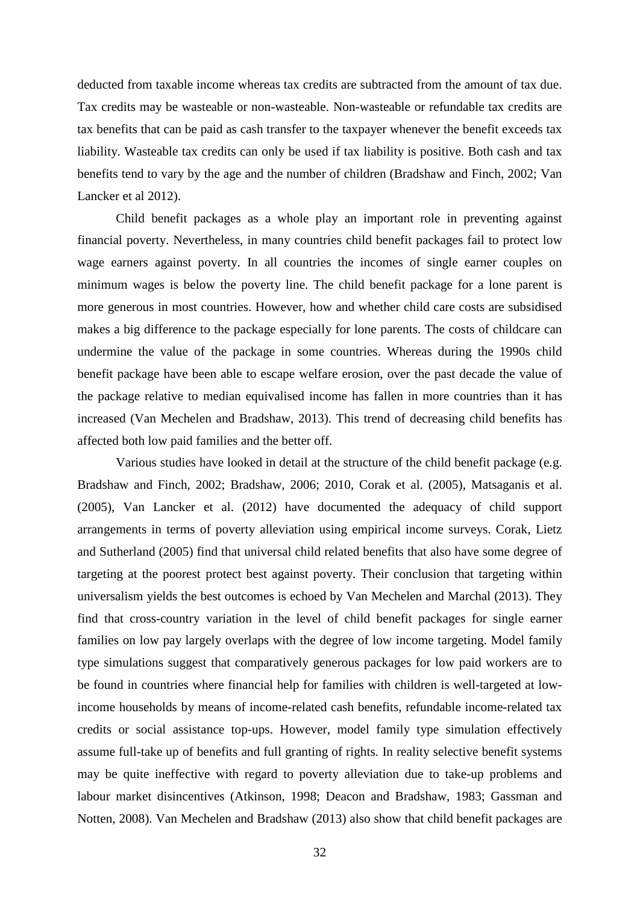deducted from taxable income whereas tax credits are subtracted from the amount of tax due. Tax credits may be wasteable or non-wasteable. Non-wasteable or refundable tax credits are tax benefits that can be paid as cash transfer to the taxpayer whenever the benefit exceeds tax liability. Wasteable tax credits can only be used if tax liability is positive. Both cash and tax benefits tend to vary by the age and the number of children (Bradshaw and Finch, 2002; Van Lancker et al 2012).

Child benefit packages as a whole play an important role in preventing against financial poverty. Nevertheless, in many countries child benefit packages fail to protect low wage earners against poverty. In all countries the incomes of single earner couples on minimum wages is below the poverty line. The child benefit package for a lone parent is more generous in most countries. However, how and whether child care costs are subsidised makes a big difference to the package especially for lone parents. The costs of childcare can undermine the value of the package in some countries. Whereas during the 1990s child benefit package have been able to escape welfare erosion, over the past decade the value of the package relative to median equivalised income has fallen in more countries than it has increased (Van Mechelen and Bradshaw, 2013). This trend of decreasing child benefits has affected both low paid families and the better off.

Various studies have looked in detail at the structure of the child benefit package (e.g. Bradshaw and Finch, 2002; Bradshaw, 2006; 2010, Corak et al. (2005), Matsaganis et al. (2005), Van Lancker et al. (2012) have documented the adequacy of child support arrangements in terms of poverty alleviation using empirical income surveys. Corak, Lietz and Sutherland (2005) find that universal child related benefits that also have some degree of targeting at the poorest protect best against poverty. Their conclusion that targeting within universalism yields the best outcomes is echoed by Van Mechelen and Marchal (2013). They find that cross-country variation in the level of child benefit packages for single earner families on low pay largely overlaps with the degree of low income targeting. Model family type simulations suggest that comparatively generous packages for low paid workers are to be found in countries where financial help for families with children is well-targeted at lowincome households by means of income-related cash benefits, refundable income-related tax credits or social assistance top-ups. However, model family type simulation effectively assume full-take up of benefits and full granting of rights. In reality selective benefit systems may be quite ineffective with regard to poverty alleviation due to take-up problems and labour market disincentives (Atkinson, 1998; Deacon and Bradshaw, 1983; Gassman and Notten, 2008). Van Mechelen and Bradshaw (2013) also show that child benefit packages are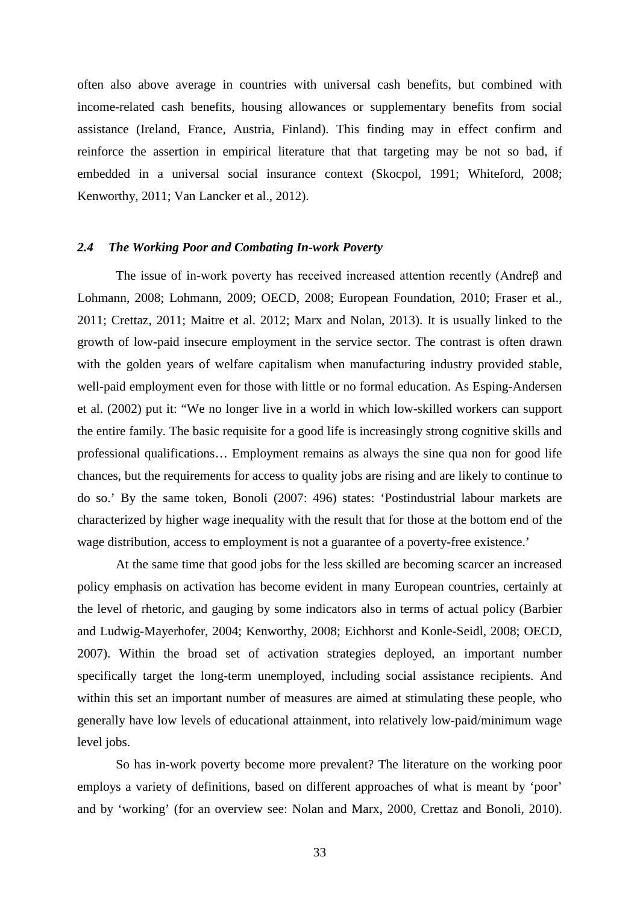often also above average in countries with universal cash benefits, but combined with income-related cash benefits, housing allowances or supplementary benefits from social assistance (Ireland, France, Austria, Finland). This finding may in effect confirm and reinforce the assertion in empirical literature that that targeting may be not so bad, if embedded in a universal social insurance context (Skocpol, 1991; Whiteford, 2008; Kenworthy, 2011; Van Lancker et al., 2012).

#### *2.4 The Working Poor and Combating In-work Poverty*

The issue of in-work poverty has received increased attention recently (Andreβ and Lohmann, 2008; Lohmann, 2009; OECD, 2008; European Foundation, 2010; Fraser et al., 2011; Crettaz, 2011; Maitre et al. 2012; Marx and Nolan, 2013). It is usually linked to the growth of low-paid insecure employment in the service sector. The contrast is often drawn with the golden years of welfare capitalism when manufacturing industry provided stable, well-paid employment even for those with little or no formal education. As Esping-Andersen et al. (2002) put it: "We no longer live in a world in which low-skilled workers can support the entire family. The basic requisite for a good life is increasingly strong cognitive skills and professional qualifications… Employment remains as always the sine qua non for good life chances, but the requirements for access to quality jobs are rising and are likely to continue to do so.' By the same token, Bonoli (2007: 496) states: 'Postindustrial labour markets are characterized by higher wage inequality with the result that for those at the bottom end of the wage distribution, access to employment is not a guarantee of a poverty-free existence.'

At the same time that good jobs for the less skilled are becoming scarcer an increased policy emphasis on activation has become evident in many European countries, certainly at the level of rhetoric, and gauging by some indicators also in terms of actual policy (Barbier and Ludwig-Mayerhofer, 2004; Kenworthy, 2008; Eichhorst and Konle-Seidl, 2008; OECD, 2007). Within the broad set of activation strategies deployed, an important number specifically target the long-term unemployed, including social assistance recipients. And within this set an important number of measures are aimed at stimulating these people, who generally have low levels of educational attainment, into relatively low-paid/minimum wage level jobs.

So has in-work poverty become more prevalent? The literature on the working poor employs a variety of definitions, based on different approaches of what is meant by 'poor' and by 'working' (for an overview see: Nolan and Marx, 2000, Crettaz and Bonoli, 2010).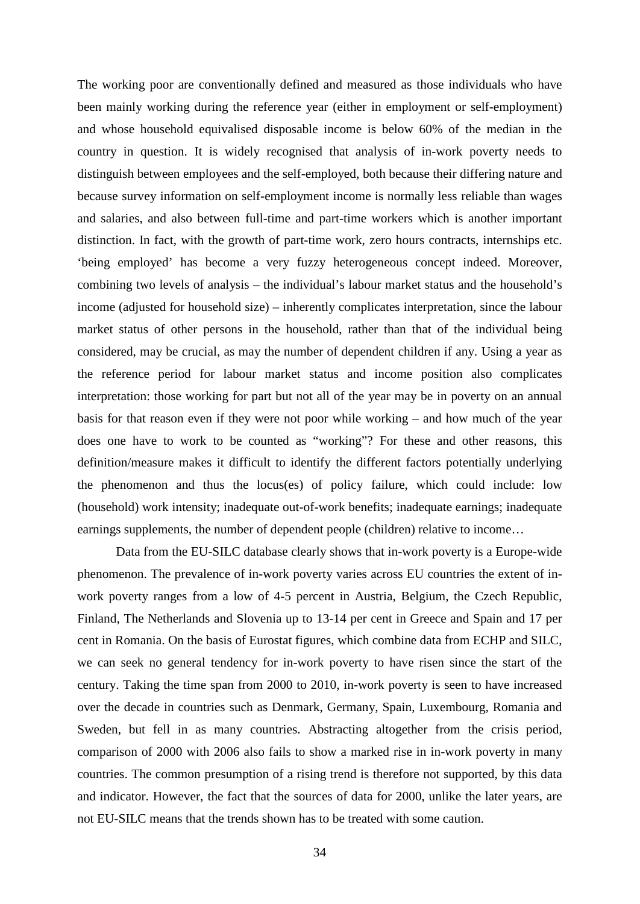The working poor are conventionally defined and measured as those individuals who have been mainly working during the reference year (either in employment or self-employment) and whose household equivalised disposable income is below 60% of the median in the country in question. It is widely recognised that analysis of in-work poverty needs to distinguish between employees and the self-employed, both because their differing nature and because survey information on self-employment income is normally less reliable than wages and salaries, and also between full-time and part-time workers which is another important distinction. In fact, with the growth of part-time work, zero hours contracts, internships etc. 'being employed' has become a very fuzzy heterogeneous concept indeed. Moreover, combining two levels of analysis – the individual's labour market status and the household's income (adjusted for household size) – inherently complicates interpretation, since the labour market status of other persons in the household, rather than that of the individual being considered, may be crucial, as may the number of dependent children if any. Using a year as the reference period for labour market status and income position also complicates interpretation: those working for part but not all of the year may be in poverty on an annual basis for that reason even if they were not poor while working – and how much of the year does one have to work to be counted as "working"? For these and other reasons, this definition/measure makes it difficult to identify the different factors potentially underlying the phenomenon and thus the locus(es) of policy failure, which could include: low (household) work intensity; inadequate out-of-work benefits; inadequate earnings; inadequate earnings supplements, the number of dependent people (children) relative to income…

Data from the EU-SILC database clearly shows that in-work poverty is a Europe-wide phenomenon. The prevalence of in-work poverty varies across EU countries the extent of inwork poverty ranges from a low of 4-5 percent in Austria, Belgium, the Czech Republic, Finland, The Netherlands and Slovenia up to 13-14 per cent in Greece and Spain and 17 per cent in Romania. On the basis of Eurostat figures, which combine data from ECHP and SILC, we can seek no general tendency for in-work poverty to have risen since the start of the century. Taking the time span from 2000 to 2010, in-work poverty is seen to have increased over the decade in countries such as Denmark, Germany, Spain, Luxembourg, Romania and Sweden, but fell in as many countries. Abstracting altogether from the crisis period, comparison of 2000 with 2006 also fails to show a marked rise in in-work poverty in many countries. The common presumption of a rising trend is therefore not supported, by this data and indicator. However, the fact that the sources of data for 2000, unlike the later years, are not EU-SILC means that the trends shown has to be treated with some caution.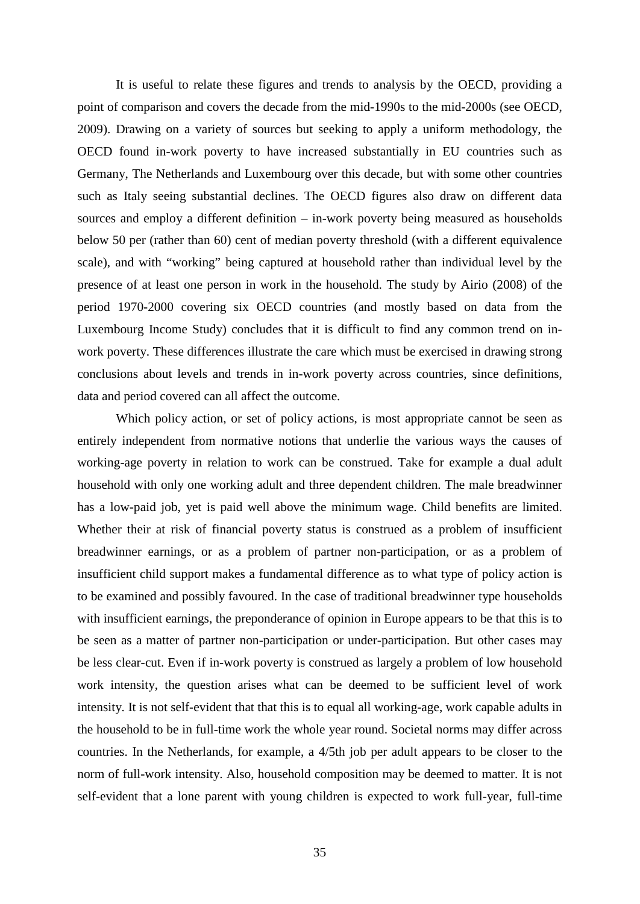It is useful to relate these figures and trends to analysis by the OECD, providing a point of comparison and covers the decade from the mid-1990s to the mid-2000s (see OECD, 2009). Drawing on a variety of sources but seeking to apply a uniform methodology, the OECD found in-work poverty to have increased substantially in EU countries such as Germany, The Netherlands and Luxembourg over this decade, but with some other countries such as Italy seeing substantial declines. The OECD figures also draw on different data sources and employ a different definition – in-work poverty being measured as households below 50 per (rather than 60) cent of median poverty threshold (with a different equivalence scale), and with "working" being captured at household rather than individual level by the presence of at least one person in work in the household. The study by Airio (2008) of the period 1970-2000 covering six OECD countries (and mostly based on data from the Luxembourg Income Study) concludes that it is difficult to find any common trend on inwork poverty. These differences illustrate the care which must be exercised in drawing strong conclusions about levels and trends in in-work poverty across countries, since definitions, data and period covered can all affect the outcome.

Which policy action, or set of policy actions, is most appropriate cannot be seen as entirely independent from normative notions that underlie the various ways the causes of working-age poverty in relation to work can be construed. Take for example a dual adult household with only one working adult and three dependent children. The male breadwinner has a low-paid job, yet is paid well above the minimum wage. Child benefits are limited. Whether their at risk of financial poverty status is construed as a problem of insufficient breadwinner earnings, or as a problem of partner non-participation, or as a problem of insufficient child support makes a fundamental difference as to what type of policy action is to be examined and possibly favoured. In the case of traditional breadwinner type households with insufficient earnings, the preponderance of opinion in Europe appears to be that this is to be seen as a matter of partner non-participation or under-participation. But other cases may be less clear-cut. Even if in-work poverty is construed as largely a problem of low household work intensity, the question arises what can be deemed to be sufficient level of work intensity. It is not self-evident that that this is to equal all working-age, work capable adults in the household to be in full-time work the whole year round. Societal norms may differ across countries. In the Netherlands, for example, a 4/5th job per adult appears to be closer to the norm of full-work intensity. Also, household composition may be deemed to matter. It is not self-evident that a lone parent with young children is expected to work full-year, full-time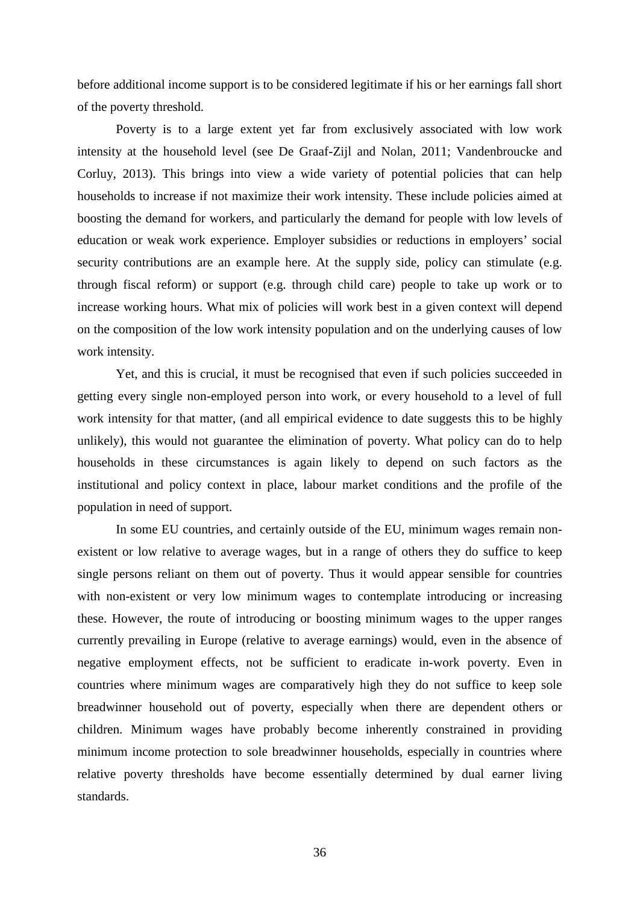before additional income support is to be considered legitimate if his or her earnings fall short of the poverty threshold.

Poverty is to a large extent yet far from exclusively associated with low work intensity at the household level (see De Graaf-Zijl and Nolan, 2011; Vandenbroucke and Corluy, 2013). This brings into view a wide variety of potential policies that can help households to increase if not maximize their work intensity. These include policies aimed at boosting the demand for workers, and particularly the demand for people with low levels of education or weak work experience. Employer subsidies or reductions in employers' social security contributions are an example here. At the supply side, policy can stimulate (e.g. through fiscal reform) or support (e.g. through child care) people to take up work or to increase working hours. What mix of policies will work best in a given context will depend on the composition of the low work intensity population and on the underlying causes of low work intensity.

Yet, and this is crucial, it must be recognised that even if such policies succeeded in getting every single non-employed person into work, or every household to a level of full work intensity for that matter, (and all empirical evidence to date suggests this to be highly unlikely), this would not guarantee the elimination of poverty. What policy can do to help households in these circumstances is again likely to depend on such factors as the institutional and policy context in place, labour market conditions and the profile of the population in need of support.

In some EU countries, and certainly outside of the EU, minimum wages remain nonexistent or low relative to average wages, but in a range of others they do suffice to keep single persons reliant on them out of poverty. Thus it would appear sensible for countries with non-existent or very low minimum wages to contemplate introducing or increasing these. However, the route of introducing or boosting minimum wages to the upper ranges currently prevailing in Europe (relative to average earnings) would, even in the absence of negative employment effects, not be sufficient to eradicate in-work poverty. Even in countries where minimum wages are comparatively high they do not suffice to keep sole breadwinner household out of poverty, especially when there are dependent others or children. Minimum wages have probably become inherently constrained in providing minimum income protection to sole breadwinner households, especially in countries where relative poverty thresholds have become essentially determined by dual earner living standards.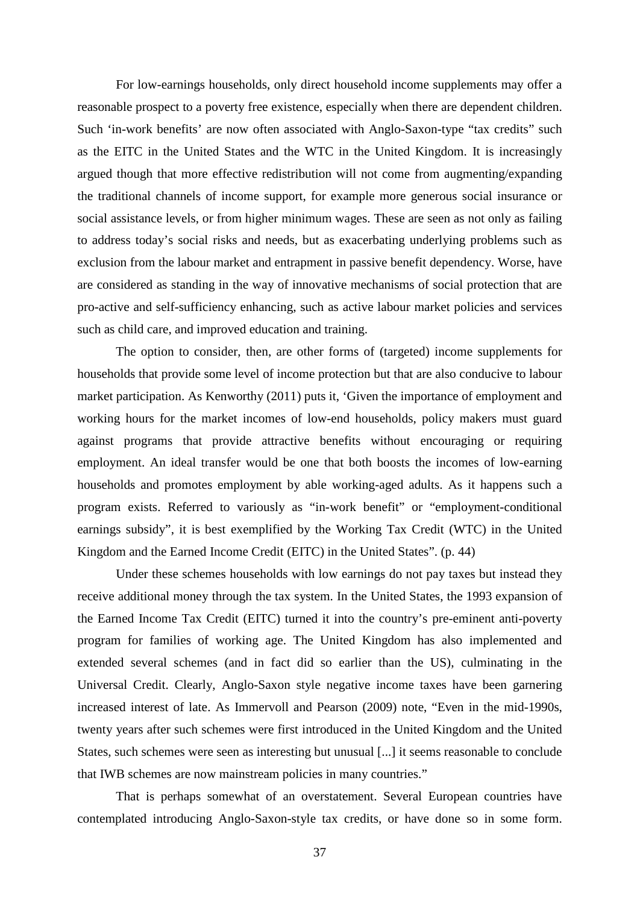For low-earnings households, only direct household income supplements may offer a reasonable prospect to a poverty free existence, especially when there are dependent children. Such 'in-work benefits' are now often associated with Anglo-Saxon-type "tax credits" such as the EITC in the United States and the WTC in the United Kingdom. It is increasingly argued though that more effective redistribution will not come from augmenting/expanding the traditional channels of income support, for example more generous social insurance or social assistance levels, or from higher minimum wages. These are seen as not only as failing to address today's social risks and needs, but as exacerbating underlying problems such as exclusion from the labour market and entrapment in passive benefit dependency. Worse, have are considered as standing in the way of innovative mechanisms of social protection that are pro-active and self-sufficiency enhancing, such as active labour market policies and services such as child care, and improved education and training.

The option to consider, then, are other forms of (targeted) income supplements for households that provide some level of income protection but that are also conducive to labour market participation. As Kenworthy (2011) puts it, 'Given the importance of employment and working hours for the market incomes of low-end households, policy makers must guard against programs that provide attractive benefits without encouraging or requiring employment. An ideal transfer would be one that both boosts the incomes of low-earning households and promotes employment by able working-aged adults. As it happens such a program exists. Referred to variously as "in-work benefit" or "employment-conditional earnings subsidy", it is best exemplified by the Working Tax Credit (WTC) in the United Kingdom and the Earned Income Credit (EITC) in the United States". (p. 44)

Under these schemes households with low earnings do not pay taxes but instead they receive additional money through the tax system. In the United States, the 1993 expansion of the Earned Income Tax Credit (EITC) turned it into the country's pre-eminent anti-poverty program for families of working age. The United Kingdom has also implemented and extended several schemes (and in fact did so earlier than the US), culminating in the Universal Credit. Clearly, Anglo-Saxon style negative income taxes have been garnering increased interest of late. As Immervoll and Pearson (2009) note, "Even in the mid-1990s, twenty years after such schemes were first introduced in the United Kingdom and the United States, such schemes were seen as interesting but unusual [...] it seems reasonable to conclude that IWB schemes are now mainstream policies in many countries."

That is perhaps somewhat of an overstatement. Several European countries have contemplated introducing Anglo-Saxon-style tax credits, or have done so in some form.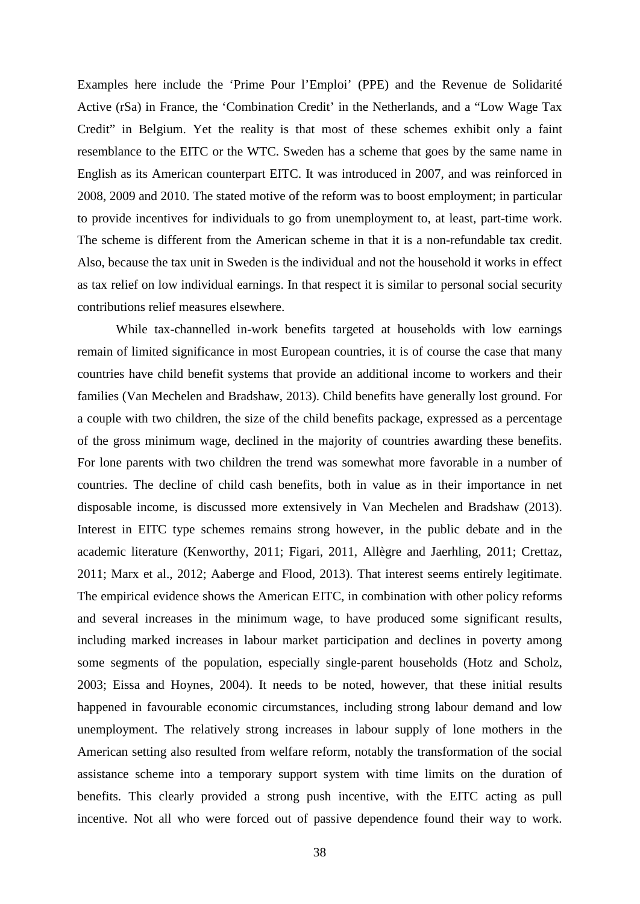Examples here include the 'Prime Pour l'Emploi' (PPE) and the Revenue de Solidarité Active (rSa) in France, the 'Combination Credit' in the Netherlands, and a "Low Wage Tax Credit" in Belgium. Yet the reality is that most of these schemes exhibit only a faint resemblance to the EITC or the WTC. Sweden has a scheme that goes by the same name in English as its American counterpart EITC. It was introduced in 2007, and was reinforced in 2008, 2009 and 2010. The stated motive of the reform was to boost employment; in particular to provide incentives for individuals to go from unemployment to, at least, part-time work. The scheme is different from the American scheme in that it is a non-refundable tax credit. Also, because the tax unit in Sweden is the individual and not the household it works in effect as tax relief on low individual earnings. In that respect it is similar to personal social security contributions relief measures elsewhere.

While tax-channelled in-work benefits targeted at households with low earnings remain of limited significance in most European countries, it is of course the case that many countries have child benefit systems that provide an additional income to workers and their families (Van Mechelen and Bradshaw, 2013). Child benefits have generally lost ground. For a couple with two children, the size of the child benefits package, expressed as a percentage of the gross minimum wage, declined in the majority of countries awarding these benefits. For lone parents with two children the trend was somewhat more favorable in a number of countries. The decline of child cash benefits, both in value as in their importance in net disposable income, is discussed more extensively in Van Mechelen and Bradshaw (2013). Interest in EITC type schemes remains strong however, in the public debate and in the academic literature (Kenworthy, 2011; Figari, 2011, Allègre and Jaerhling, 2011; Crettaz, 2011; Marx et al., 2012; Aaberge and Flood, 2013). That interest seems entirely legitimate. The empirical evidence shows the American EITC, in combination with other policy reforms and several increases in the minimum wage, to have produced some significant results, including marked increases in labour market participation and declines in poverty among some segments of the population, especially single-parent households (Hotz and Scholz, 2003; Eissa and Hoynes, 2004). It needs to be noted, however, that these initial results happened in favourable economic circumstances, including strong labour demand and low unemployment. The relatively strong increases in labour supply of lone mothers in the American setting also resulted from welfare reform, notably the transformation of the social assistance scheme into a temporary support system with time limits on the duration of benefits. This clearly provided a strong push incentive, with the EITC acting as pull incentive. Not all who were forced out of passive dependence found their way to work.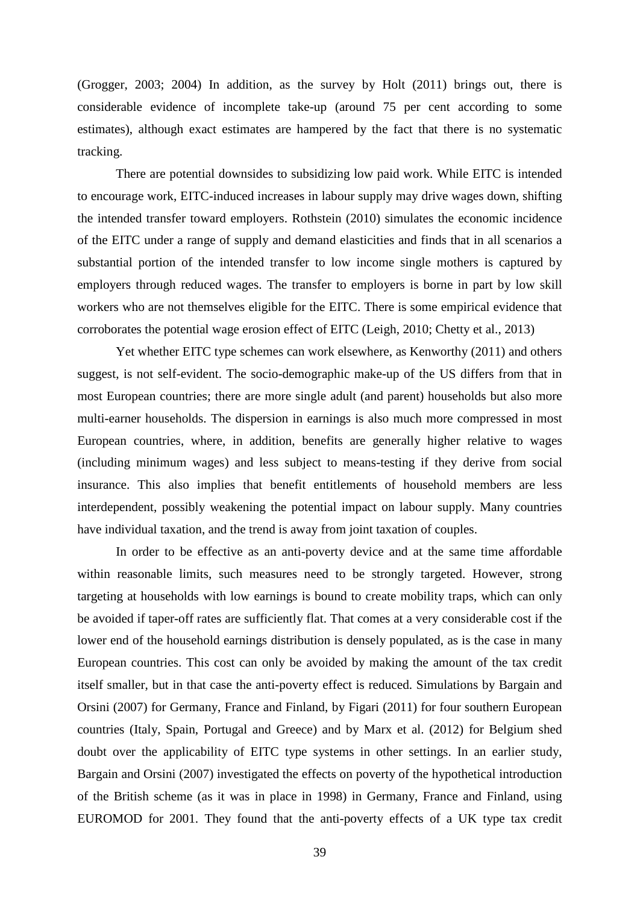(Grogger, 2003; 2004) In addition, as the survey by Holt (2011) brings out, there is considerable evidence of incomplete take-up (around 75 per cent according to some estimates), although exact estimates are hampered by the fact that there is no systematic tracking.

There are potential downsides to subsidizing low paid work. While EITC is intended to encourage work, EITC-induced increases in labour supply may drive wages down, shifting the intended transfer toward employers. Rothstein (2010) simulates the economic incidence of the EITC under a range of supply and demand elasticities and finds that in all scenarios a substantial portion of the intended transfer to low income single mothers is captured by employers through reduced wages. The transfer to employers is borne in part by low skill workers who are not themselves eligible for the EITC. There is some empirical evidence that corroborates the potential wage erosion effect of EITC (Leigh, 2010; Chetty et al., 2013)

Yet whether EITC type schemes can work elsewhere, as Kenworthy (2011) and others suggest, is not self-evident. The socio-demographic make-up of the US differs from that in most European countries; there are more single adult (and parent) households but also more multi-earner households. The dispersion in earnings is also much more compressed in most European countries, where, in addition, benefits are generally higher relative to wages (including minimum wages) and less subject to means-testing if they derive from social insurance. This also implies that benefit entitlements of household members are less interdependent, possibly weakening the potential impact on labour supply. Many countries have individual taxation, and the trend is away from joint taxation of couples.

In order to be effective as an anti-poverty device and at the same time affordable within reasonable limits, such measures need to be strongly targeted. However, strong targeting at households with low earnings is bound to create mobility traps, which can only be avoided if taper-off rates are sufficiently flat. That comes at a very considerable cost if the lower end of the household earnings distribution is densely populated, as is the case in many European countries. This cost can only be avoided by making the amount of the tax credit itself smaller, but in that case the anti-poverty effect is reduced. Simulations by Bargain and Orsini (2007) for Germany, France and Finland, by Figari (2011) for four southern European countries (Italy, Spain, Portugal and Greece) and by Marx et al. (2012) for Belgium shed doubt over the applicability of EITC type systems in other settings. In an earlier study, Bargain and Orsini (2007) investigated the effects on poverty of the hypothetical introduction of the British scheme (as it was in place in 1998) in Germany, France and Finland, using EUROMOD for 2001. They found that the anti-poverty effects of a UK type tax credit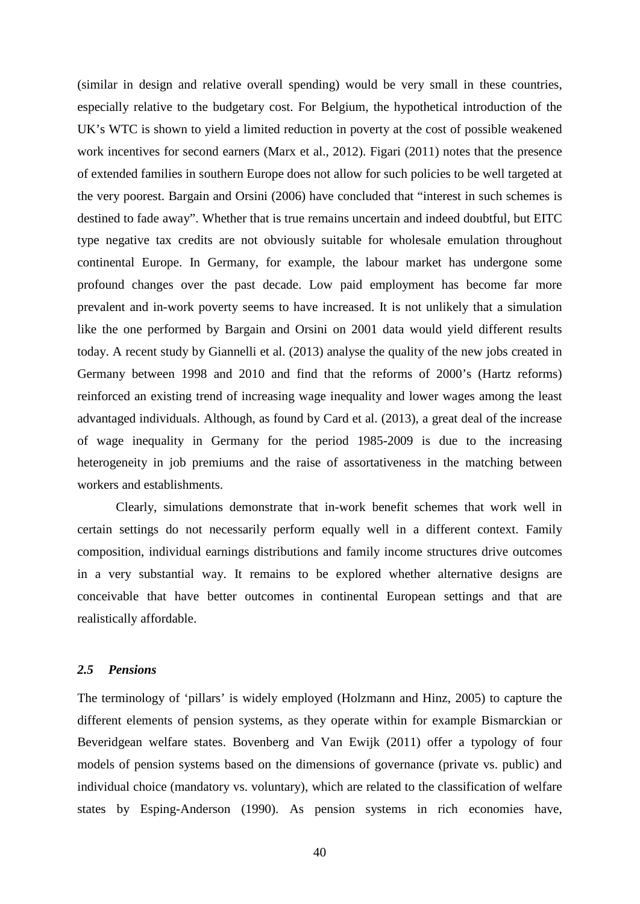(similar in design and relative overall spending) would be very small in these countries, especially relative to the budgetary cost. For Belgium, the hypothetical introduction of the UK's WTC is shown to yield a limited reduction in poverty at the cost of possible weakened work incentives for second earners (Marx et al., 2012). Figari (2011) notes that the presence of extended families in southern Europe does not allow for such policies to be well targeted at the very poorest. Bargain and Orsini (2006) have concluded that "interest in such schemes is destined to fade away". Whether that is true remains uncertain and indeed doubtful, but EITC type negative tax credits are not obviously suitable for wholesale emulation throughout continental Europe. In Germany, for example, the labour market has undergone some profound changes over the past decade. Low paid employment has become far more prevalent and in-work poverty seems to have increased. It is not unlikely that a simulation like the one performed by Bargain and Orsini on 2001 data would yield different results today. A recent study by Giannelli et al. (2013) analyse the quality of the new jobs created in Germany between 1998 and 2010 and find that the reforms of 2000's (Hartz reforms) reinforced an existing trend of increasing wage inequality and lower wages among the least advantaged individuals. Although, as found by Card et al. (2013), a great deal of the increase of wage inequality in Germany for the period 1985-2009 is due to the increasing heterogeneity in job premiums and the raise of assortativeness in the matching between workers and establishments.

Clearly, simulations demonstrate that in-work benefit schemes that work well in certain settings do not necessarily perform equally well in a different context. Family composition, individual earnings distributions and family income structures drive outcomes in a very substantial way. It remains to be explored whether alternative designs are conceivable that have better outcomes in continental European settings and that are realistically affordable.

#### *2.5 Pensions*

The terminology of 'pillars' is widely employed (Holzmann and Hinz, 2005) to capture the different elements of pension systems, as they operate within for example Bismarckian or Beveridgean welfare states. Bovenberg and Van Ewijk (2011) offer a typology of four models of pension systems based on the dimensions of governance (private vs. public) and individual choice (mandatory vs. voluntary), which are related to the classification of welfare states by Esping-Anderson (1990). As pension systems in rich economies have,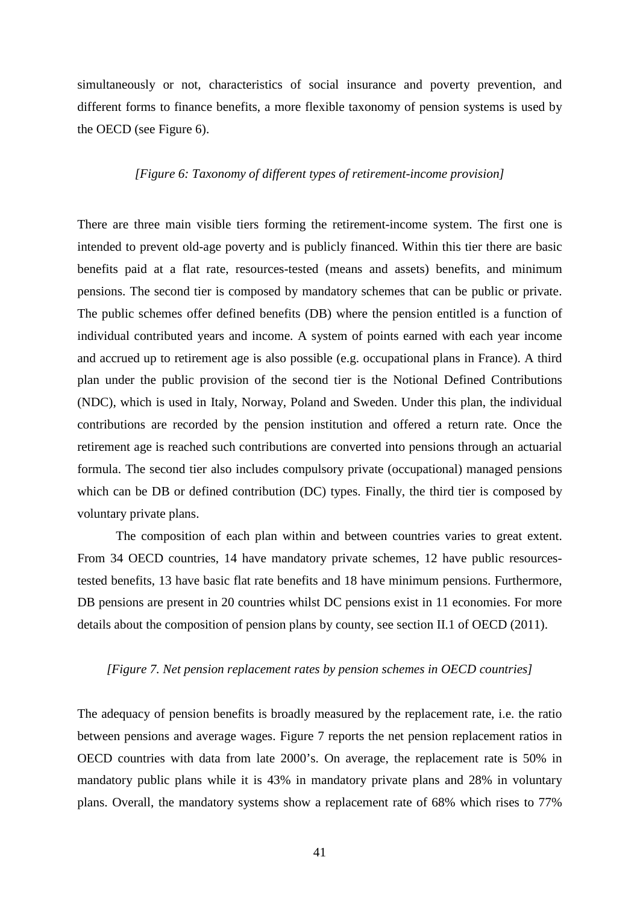simultaneously or not, characteristics of social insurance and poverty prevention, and different forms to finance benefits, a more flexible taxonomy of pension systems is used by the OECD (see Figure 6).

#### *[Figure 6: Taxonomy of different types of retirement-income provision]*

There are three main visible tiers forming the retirement-income system. The first one is intended to prevent old-age poverty and is publicly financed. Within this tier there are basic benefits paid at a flat rate, resources-tested (means and assets) benefits, and minimum pensions. The second tier is composed by mandatory schemes that can be public or private. The public schemes offer defined benefits (DB) where the pension entitled is a function of individual contributed years and income. A system of points earned with each year income and accrued up to retirement age is also possible (e.g. occupational plans in France). A third plan under the public provision of the second tier is the Notional Defined Contributions (NDC), which is used in Italy, Norway, Poland and Sweden. Under this plan, the individual contributions are recorded by the pension institution and offered a return rate. Once the retirement age is reached such contributions are converted into pensions through an actuarial formula. The second tier also includes compulsory private (occupational) managed pensions which can be DB or defined contribution (DC) types. Finally, the third tier is composed by voluntary private plans.

The composition of each plan within and between countries varies to great extent. From 34 OECD countries, 14 have mandatory private schemes, 12 have public resourcestested benefits, 13 have basic flat rate benefits and 18 have minimum pensions. Furthermore, DB pensions are present in 20 countries whilst DC pensions exist in 11 economies. For more details about the composition of pension plans by county, see section II.1 of OECD (2011).

#### *[Figure 7. Net pension replacement rates by pension schemes in OECD countries]*

The adequacy of pension benefits is broadly measured by the replacement rate, i.e. the ratio between pensions and average wages. Figure 7 reports the net pension replacement ratios in OECD countries with data from late 2000's. On average, the replacement rate is 50% in mandatory public plans while it is 43% in mandatory private plans and 28% in voluntary plans. Overall, the mandatory systems show a replacement rate of 68% which rises to 77%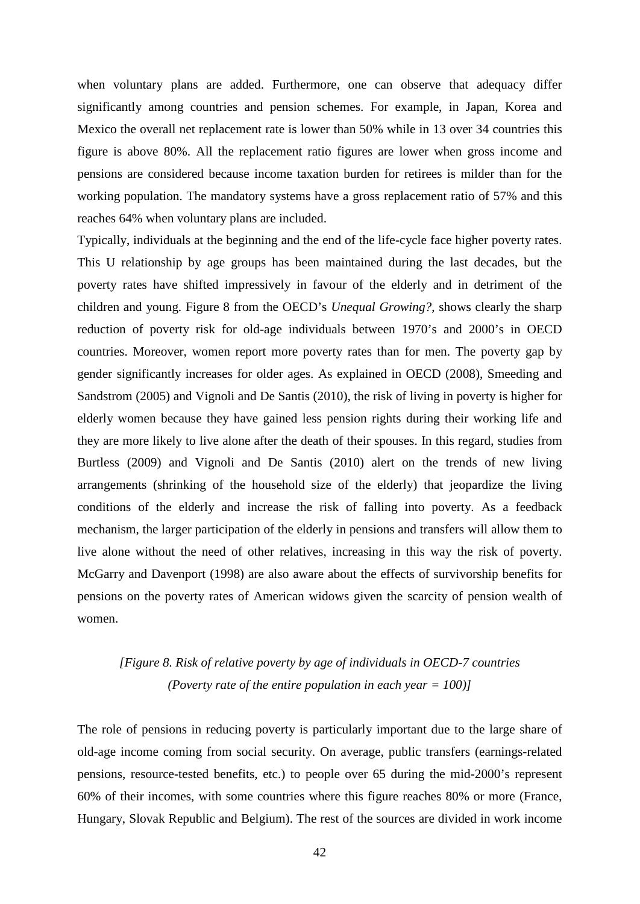when voluntary plans are added. Furthermore, one can observe that adequacy differ significantly among countries and pension schemes. For example, in Japan, Korea and Mexico the overall net replacement rate is lower than 50% while in 13 over 34 countries this figure is above 80%. All the replacement ratio figures are lower when gross income and pensions are considered because income taxation burden for retirees is milder than for the working population. The mandatory systems have a gross replacement ratio of 57% and this reaches 64% when voluntary plans are included.

Typically, individuals at the beginning and the end of the life-cycle face higher poverty rates. This U relationship by age groups has been maintained during the last decades, but the poverty rates have shifted impressively in favour of the elderly and in detriment of the children and young. Figure 8 from the OECD's *Unequal Growing?*, shows clearly the sharp reduction of poverty risk for old-age individuals between 1970's and 2000's in OECD countries. Moreover, women report more poverty rates than for men. The poverty gap by gender significantly increases for older ages. As explained in OECD (2008), Smeeding and Sandstrom (2005) and Vignoli and De Santis (2010), the risk of living in poverty is higher for elderly women because they have gained less pension rights during their working life and they are more likely to live alone after the death of their spouses. In this regard, studies from Burtless (2009) and Vignoli and De Santis (2010) alert on the trends of new living arrangements (shrinking of the household size of the elderly) that jeopardize the living conditions of the elderly and increase the risk of falling into poverty. As a feedback mechanism, the larger participation of the elderly in pensions and transfers will allow them to live alone without the need of other relatives, increasing in this way the risk of poverty. McGarry and Davenport (1998) are also aware about the effects of survivorship benefits for pensions on the poverty rates of American widows given the scarcity of pension wealth of women.

## *[Figure 8. Risk of relative poverty by age of individuals in OECD-7 countries (Poverty rate of the entire population in each year = 100)]*

The role of pensions in reducing poverty is particularly important due to the large share of old-age income coming from social security. On average, public transfers (earnings-related pensions, resource-tested benefits, etc.) to people over 65 during the mid-2000's represent 60% of their incomes, with some countries where this figure reaches 80% or more (France, Hungary, Slovak Republic and Belgium). The rest of the sources are divided in work income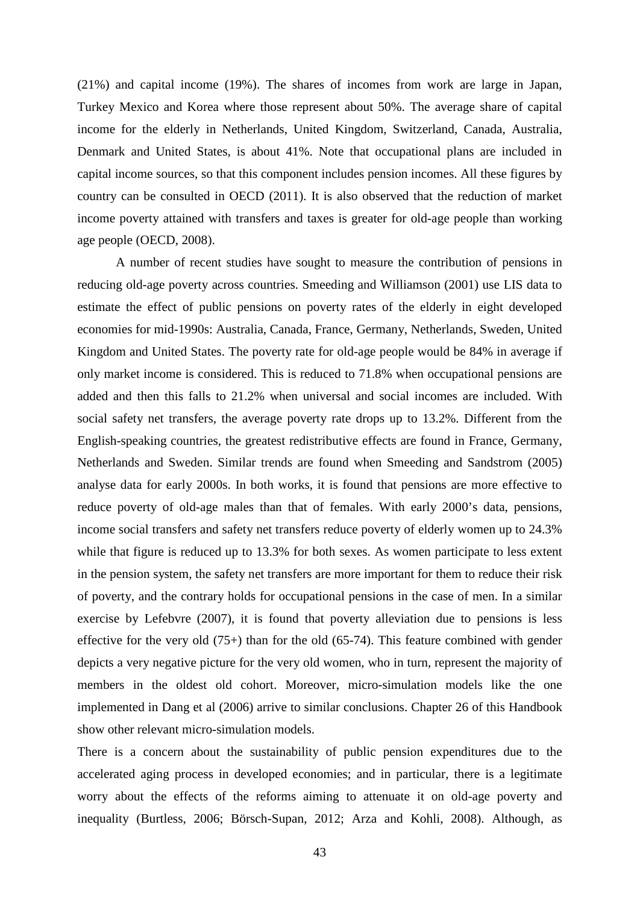(21%) and capital income (19%). The shares of incomes from work are large in Japan, Turkey Mexico and Korea where those represent about 50%. The average share of capital income for the elderly in Netherlands, United Kingdom, Switzerland, Canada, Australia, Denmark and United States, is about 41%. Note that occupational plans are included in capital income sources, so that this component includes pension incomes. All these figures by country can be consulted in OECD (2011). It is also observed that the reduction of market income poverty attained with transfers and taxes is greater for old-age people than working age people (OECD, 2008).

A number of recent studies have sought to measure the contribution of pensions in reducing old-age poverty across countries. Smeeding and Williamson (2001) use LIS data to estimate the effect of public pensions on poverty rates of the elderly in eight developed economies for mid-1990s: Australia, Canada, France, Germany, Netherlands, Sweden, United Kingdom and United States. The poverty rate for old-age people would be 84% in average if only market income is considered. This is reduced to 71.8% when occupational pensions are added and then this falls to 21.2% when universal and social incomes are included. With social safety net transfers, the average poverty rate drops up to 13.2%. Different from the English-speaking countries, the greatest redistributive effects are found in France, Germany, Netherlands and Sweden. Similar trends are found when Smeeding and Sandstrom (2005) analyse data for early 2000s. In both works, it is found that pensions are more effective to reduce poverty of old-age males than that of females. With early 2000's data, pensions, income social transfers and safety net transfers reduce poverty of elderly women up to 24.3% while that figure is reduced up to 13.3% for both sexes. As women participate to less extent in the pension system, the safety net transfers are more important for them to reduce their risk of poverty, and the contrary holds for occupational pensions in the case of men. In a similar exercise by Lefebvre (2007), it is found that poverty alleviation due to pensions is less effective for the very old (75+) than for the old (65-74). This feature combined with gender depicts a very negative picture for the very old women, who in turn, represent the majority of members in the oldest old cohort. Moreover, micro-simulation models like the one implemented in Dang et al (2006) arrive to similar conclusions. Chapter 26 of this Handbook show other relevant micro-simulation models.

There is a concern about the sustainability of public pension expenditures due to the accelerated aging process in developed economies; and in particular, there is a legitimate worry about the effects of the reforms aiming to attenuate it on old-age poverty and inequality (Burtless, 2006; Börsch-Supan, 2012; Arza and Kohli, 2008). Although, as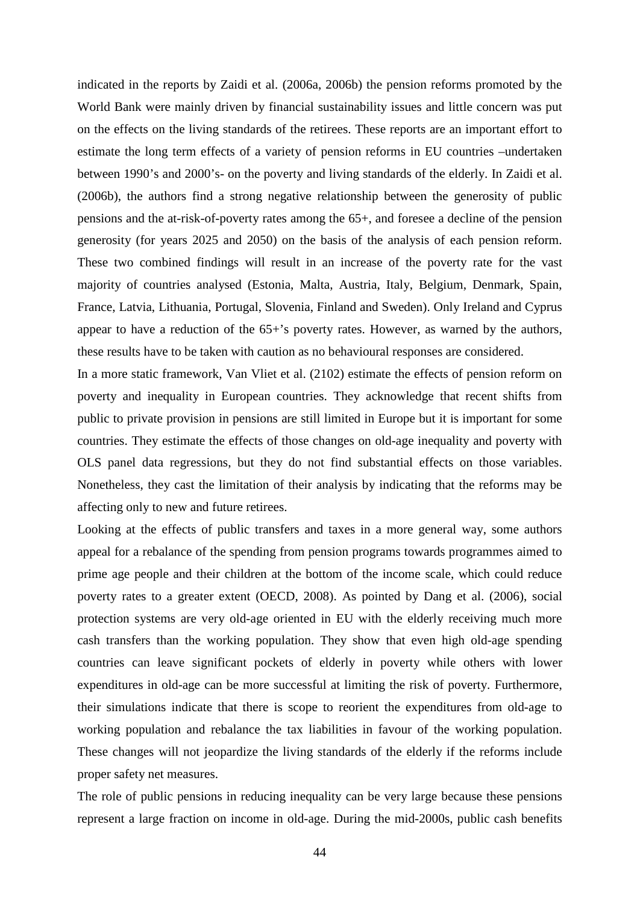indicated in the reports by Zaidi et al. (2006a, 2006b) the pension reforms promoted by the World Bank were mainly driven by financial sustainability issues and little concern was put on the effects on the living standards of the retirees. These reports are an important effort to estimate the long term effects of a variety of pension reforms in EU countries –undertaken between 1990's and 2000's- on the poverty and living standards of the elderly. In Zaidi et al. (2006b), the authors find a strong negative relationship between the generosity of public pensions and the at-risk-of-poverty rates among the 65+, and foresee a decline of the pension generosity (for years 2025 and 2050) on the basis of the analysis of each pension reform. These two combined findings will result in an increase of the poverty rate for the vast majority of countries analysed (Estonia, Malta, Austria, Italy, Belgium, Denmark, Spain, France, Latvia, Lithuania, Portugal, Slovenia, Finland and Sweden). Only Ireland and Cyprus appear to have a reduction of the 65+'s poverty rates. However, as warned by the authors, these results have to be taken with caution as no behavioural responses are considered.

In a more static framework, Van Vliet et al. (2102) estimate the effects of pension reform on poverty and inequality in European countries. They acknowledge that recent shifts from public to private provision in pensions are still limited in Europe but it is important for some countries. They estimate the effects of those changes on old-age inequality and poverty with OLS panel data regressions, but they do not find substantial effects on those variables. Nonetheless, they cast the limitation of their analysis by indicating that the reforms may be affecting only to new and future retirees.

Looking at the effects of public transfers and taxes in a more general way, some authors appeal for a rebalance of the spending from pension programs towards programmes aimed to prime age people and their children at the bottom of the income scale, which could reduce poverty rates to a greater extent (OECD, 2008). As pointed by Dang et al. (2006), social protection systems are very old-age oriented in EU with the elderly receiving much more cash transfers than the working population. They show that even high old-age spending countries can leave significant pockets of elderly in poverty while others with lower expenditures in old-age can be more successful at limiting the risk of poverty. Furthermore, their simulations indicate that there is scope to reorient the expenditures from old-age to working population and rebalance the tax liabilities in favour of the working population. These changes will not jeopardize the living standards of the elderly if the reforms include proper safety net measures.

The role of public pensions in reducing inequality can be very large because these pensions represent a large fraction on income in old-age. During the mid-2000s, public cash benefits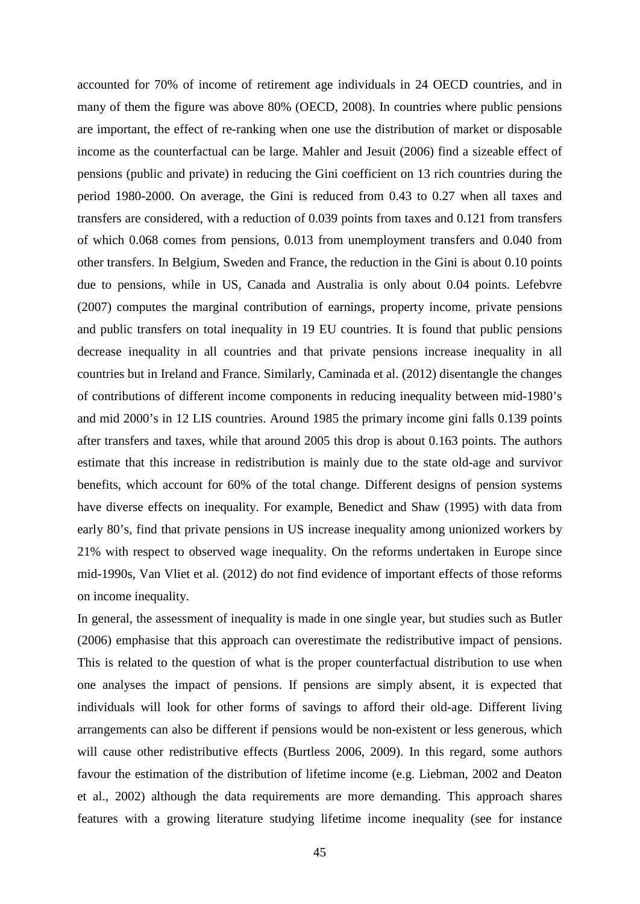accounted for 70% of income of retirement age individuals in 24 OECD countries, and in many of them the figure was above 80% (OECD, 2008). In countries where public pensions are important, the effect of re-ranking when one use the distribution of market or disposable income as the counterfactual can be large. Mahler and Jesuit (2006) find a sizeable effect of pensions (public and private) in reducing the Gini coefficient on 13 rich countries during the period 1980-2000. On average, the Gini is reduced from 0.43 to 0.27 when all taxes and transfers are considered, with a reduction of 0.039 points from taxes and 0.121 from transfers of which 0.068 comes from pensions, 0.013 from unemployment transfers and 0.040 from other transfers. In Belgium, Sweden and France, the reduction in the Gini is about 0.10 points due to pensions, while in US, Canada and Australia is only about 0.04 points. Lefebvre (2007) computes the marginal contribution of earnings, property income, private pensions and public transfers on total inequality in 19 EU countries. It is found that public pensions decrease inequality in all countries and that private pensions increase inequality in all countries but in Ireland and France. Similarly, Caminada et al. (2012) disentangle the changes of contributions of different income components in reducing inequality between mid-1980's and mid 2000's in 12 LIS countries. Around 1985 the primary income gini falls 0.139 points after transfers and taxes, while that around 2005 this drop is about 0.163 points. The authors estimate that this increase in redistribution is mainly due to the state old-age and survivor benefits, which account for 60% of the total change. Different designs of pension systems have diverse effects on inequality. For example, Benedict and Shaw (1995) with data from early 80's, find that private pensions in US increase inequality among unionized workers by 21% with respect to observed wage inequality. On the reforms undertaken in Europe since mid-1990s, Van Vliet et al. (2012) do not find evidence of important effects of those reforms on income inequality.

In general, the assessment of inequality is made in one single year, but studies such as Butler (2006) emphasise that this approach can overestimate the redistributive impact of pensions. This is related to the question of what is the proper counterfactual distribution to use when one analyses the impact of pensions. If pensions are simply absent, it is expected that individuals will look for other forms of savings to afford their old-age. Different living arrangements can also be different if pensions would be non-existent or less generous, which will cause other redistributive effects (Burtless 2006, 2009). In this regard, some authors favour the estimation of the distribution of lifetime income (e.g. Liebman, 2002 and Deaton et al., 2002) although the data requirements are more demanding. This approach shares features with a growing literature studying lifetime income inequality (see for instance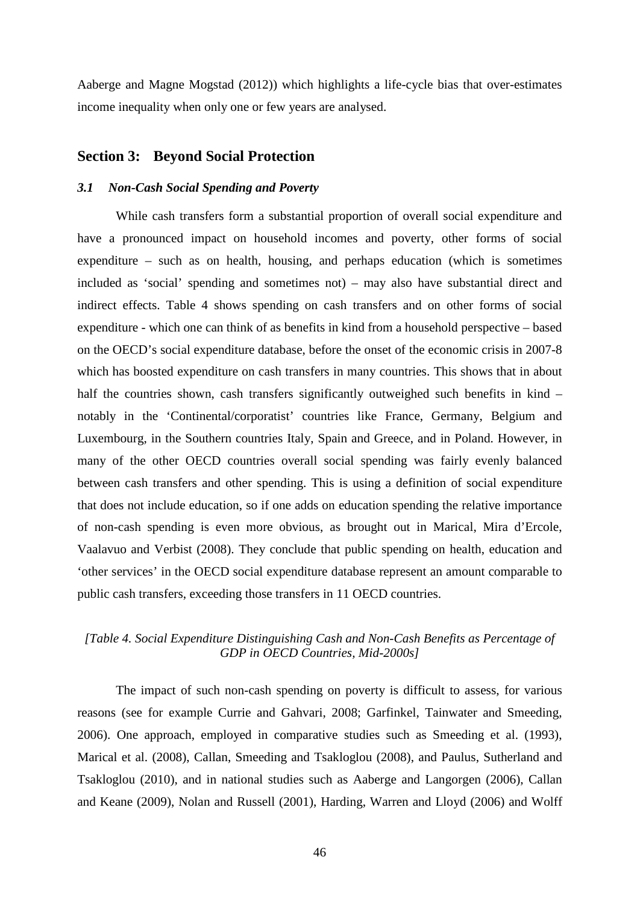Aaberge and Magne Mogstad (2012)) which highlights a life-cycle bias that over-estimates income inequality when only one or few years are analysed.

## **Section 3: Beyond Social Protection**

#### *3.1 Non-Cash Social Spending and Poverty*

While cash transfers form a substantial proportion of overall social expenditure and have a pronounced impact on household incomes and poverty, other forms of social expenditure – such as on health, housing, and perhaps education (which is sometimes included as 'social' spending and sometimes not) – may also have substantial direct and indirect effects. Table 4 shows spending on cash transfers and on other forms of social expenditure - which one can think of as benefits in kind from a household perspective – based on the OECD's social expenditure database, before the onset of the economic crisis in 2007-8 which has boosted expenditure on cash transfers in many countries. This shows that in about half the countries shown, cash transfers significantly outweighed such benefits in kind – notably in the 'Continental/corporatist' countries like France, Germany, Belgium and Luxembourg, in the Southern countries Italy, Spain and Greece, and in Poland. However, in many of the other OECD countries overall social spending was fairly evenly balanced between cash transfers and other spending. This is using a definition of social expenditure that does not include education, so if one adds on education spending the relative importance of non-cash spending is even more obvious, as brought out in Marical, Mira d'Ercole, Vaalavuo and Verbist (2008). They conclude that public spending on health, education and 'other services' in the OECD social expenditure database represent an amount comparable to public cash transfers, exceeding those transfers in 11 OECD countries.

## *[Table 4. Social Expenditure Distinguishing Cash and Non-Cash Benefits as Percentage of GDP in OECD Countries, Mid-2000s]*

The impact of such non-cash spending on poverty is difficult to assess, for various reasons (see for example Currie and Gahvari, 2008; Garfinkel, Tainwater and Smeeding, 2006). One approach, employed in comparative studies such as Smeeding et al. (1993), Marical et al. (2008), Callan, Smeeding and Tsakloglou (2008), and Paulus, Sutherland and Tsakloglou (2010), and in national studies such as Aaberge and Langorgen (2006), Callan and Keane (2009), Nolan and Russell (2001), Harding, Warren and Lloyd (2006) and Wolff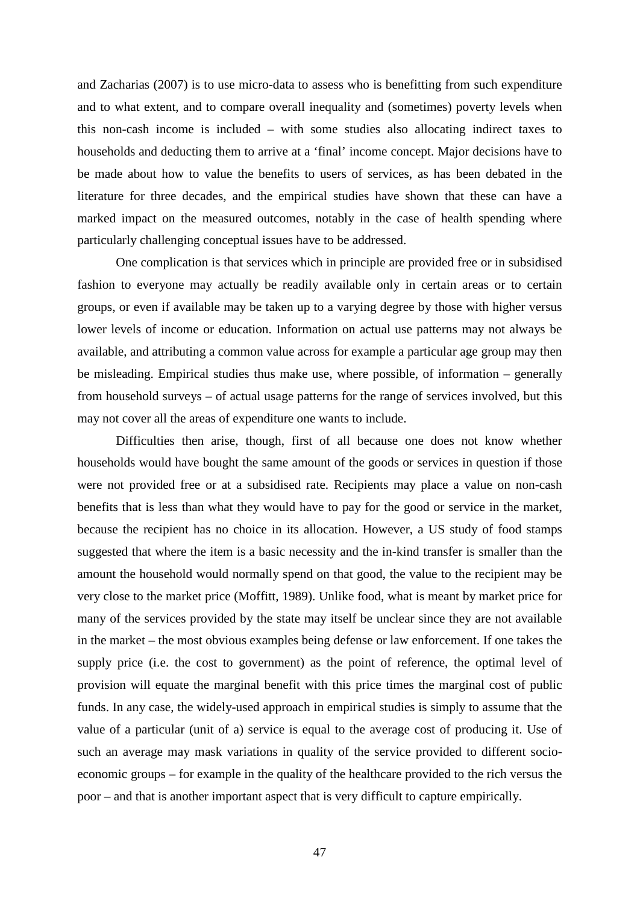and Zacharias (2007) is to use micro-data to assess who is benefitting from such expenditure and to what extent, and to compare overall inequality and (sometimes) poverty levels when this non-cash income is included – with some studies also allocating indirect taxes to households and deducting them to arrive at a 'final' income concept. Major decisions have to be made about how to value the benefits to users of services, as has been debated in the literature for three decades, and the empirical studies have shown that these can have a marked impact on the measured outcomes, notably in the case of health spending where particularly challenging conceptual issues have to be addressed.

One complication is that services which in principle are provided free or in subsidised fashion to everyone may actually be readily available only in certain areas or to certain groups, or even if available may be taken up to a varying degree by those with higher versus lower levels of income or education. Information on actual use patterns may not always be available, and attributing a common value across for example a particular age group may then be misleading. Empirical studies thus make use, where possible, of information – generally from household surveys – of actual usage patterns for the range of services involved, but this may not cover all the areas of expenditure one wants to include.

Difficulties then arise, though, first of all because one does not know whether households would have bought the same amount of the goods or services in question if those were not provided free or at a subsidised rate. Recipients may place a value on non-cash benefits that is less than what they would have to pay for the good or service in the market, because the recipient has no choice in its allocation. However, a US study of food stamps suggested that where the item is a basic necessity and the in-kind transfer is smaller than the amount the household would normally spend on that good, the value to the recipient may be very close to the market price (Moffitt, 1989). Unlike food, what is meant by market price for many of the services provided by the state may itself be unclear since they are not available in the market – the most obvious examples being defense or law enforcement. If one takes the supply price (i.e. the cost to government) as the point of reference, the optimal level of provision will equate the marginal benefit with this price times the marginal cost of public funds. In any case, the widely-used approach in empirical studies is simply to assume that the value of a particular (unit of a) service is equal to the average cost of producing it. Use of such an average may mask variations in quality of the service provided to different socioeconomic groups – for example in the quality of the healthcare provided to the rich versus the poor – and that is another important aspect that is very difficult to capture empirically.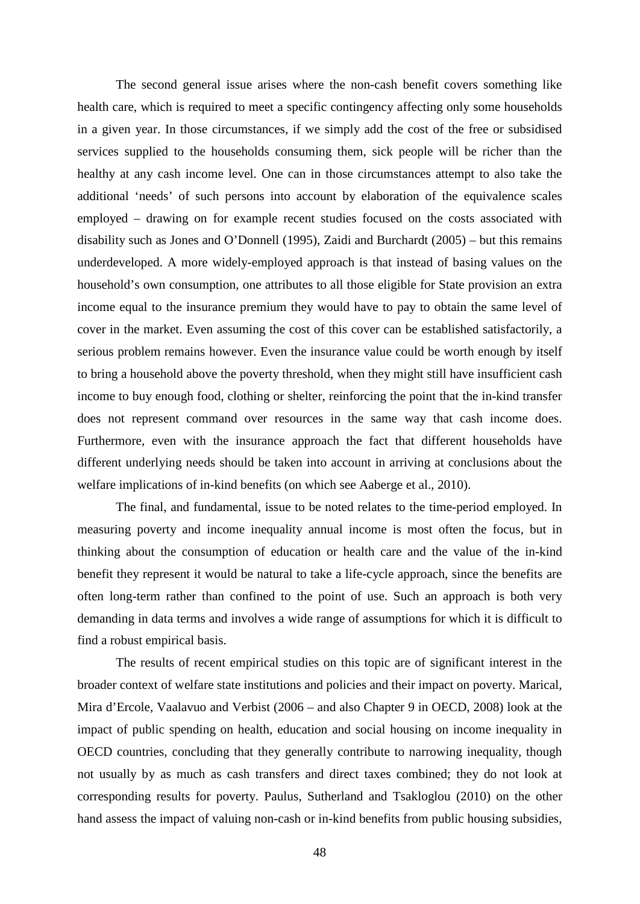The second general issue arises where the non-cash benefit covers something like health care, which is required to meet a specific contingency affecting only some households in a given year. In those circumstances, if we simply add the cost of the free or subsidised services supplied to the households consuming them, sick people will be richer than the healthy at any cash income level. One can in those circumstances attempt to also take the additional 'needs' of such persons into account by elaboration of the equivalence scales employed – drawing on for example recent studies focused on the costs associated with disability such as Jones and O'Donnell (1995), Zaidi and Burchardt (2005) – but this remains underdeveloped. A more widely-employed approach is that instead of basing values on the household's own consumption, one attributes to all those eligible for State provision an extra income equal to the insurance premium they would have to pay to obtain the same level of cover in the market. Even assuming the cost of this cover can be established satisfactorily, a serious problem remains however. Even the insurance value could be worth enough by itself to bring a household above the poverty threshold, when they might still have insufficient cash income to buy enough food, clothing or shelter, reinforcing the point that the in-kind transfer does not represent command over resources in the same way that cash income does. Furthermore, even with the insurance approach the fact that different households have different underlying needs should be taken into account in arriving at conclusions about the welfare implications of in-kind benefits (on which see Aaberge et al., 2010).

The final, and fundamental, issue to be noted relates to the time-period employed. In measuring poverty and income inequality annual income is most often the focus, but in thinking about the consumption of education or health care and the value of the in-kind benefit they represent it would be natural to take a life-cycle approach, since the benefits are often long-term rather than confined to the point of use. Such an approach is both very demanding in data terms and involves a wide range of assumptions for which it is difficult to find a robust empirical basis.

The results of recent empirical studies on this topic are of significant interest in the broader context of welfare state institutions and policies and their impact on poverty. Marical, Mira d'Ercole, Vaalavuo and Verbist (2006 – and also Chapter 9 in OECD, 2008) look at the impact of public spending on health, education and social housing on income inequality in OECD countries, concluding that they generally contribute to narrowing inequality, though not usually by as much as cash transfers and direct taxes combined; they do not look at corresponding results for poverty. Paulus, Sutherland and Tsakloglou (2010) on the other hand assess the impact of valuing non-cash or in-kind benefits from public housing subsidies,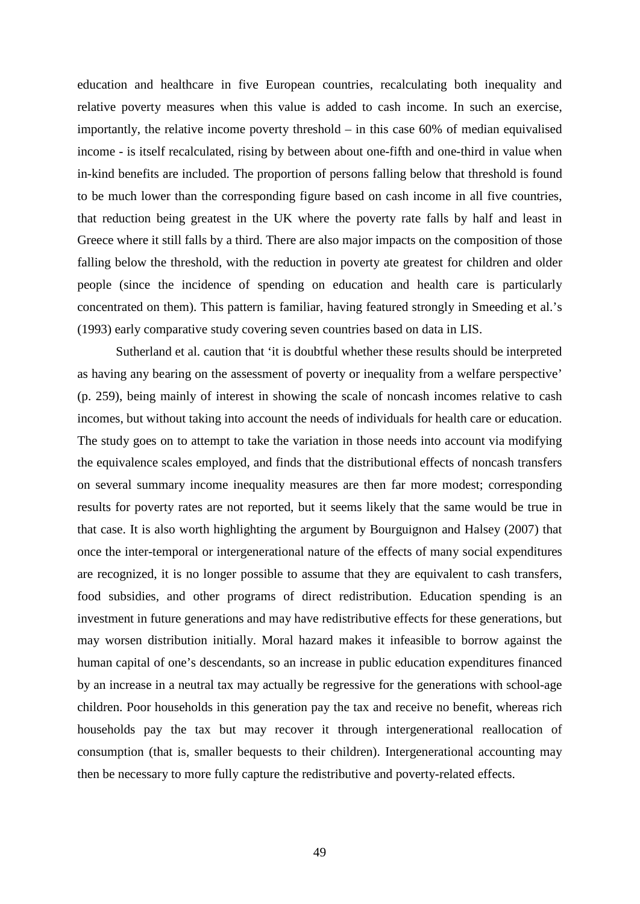education and healthcare in five European countries, recalculating both inequality and relative poverty measures when this value is added to cash income. In such an exercise, importantly, the relative income poverty threshold – in this case 60% of median equivalised income - is itself recalculated, rising by between about one-fifth and one-third in value when in-kind benefits are included. The proportion of persons falling below that threshold is found to be much lower than the corresponding figure based on cash income in all five countries, that reduction being greatest in the UK where the poverty rate falls by half and least in Greece where it still falls by a third. There are also major impacts on the composition of those falling below the threshold, with the reduction in poverty ate greatest for children and older people (since the incidence of spending on education and health care is particularly concentrated on them). This pattern is familiar, having featured strongly in Smeeding et al.'s (1993) early comparative study covering seven countries based on data in LIS.

Sutherland et al. caution that 'it is doubtful whether these results should be interpreted as having any bearing on the assessment of poverty or inequality from a welfare perspective' (p. 259), being mainly of interest in showing the scale of noncash incomes relative to cash incomes, but without taking into account the needs of individuals for health care or education. The study goes on to attempt to take the variation in those needs into account via modifying the equivalence scales employed, and finds that the distributional effects of noncash transfers on several summary income inequality measures are then far more modest; corresponding results for poverty rates are not reported, but it seems likely that the same would be true in that case. It is also worth highlighting the argument by Bourguignon and Halsey (2007) that once the inter-temporal or intergenerational nature of the effects of many social expenditures are recognized, it is no longer possible to assume that they are equivalent to cash transfers, food subsidies, and other programs of direct redistribution. Education spending is an investment in future generations and may have redistributive effects for these generations, but may worsen distribution initially. Moral hazard makes it infeasible to borrow against the human capital of one's descendants, so an increase in public education expenditures financed by an increase in a neutral tax may actually be regressive for the generations with school-age children. Poor households in this generation pay the tax and receive no benefit, whereas rich households pay the tax but may recover it through intergenerational reallocation of consumption (that is, smaller bequests to their children). Intergenerational accounting may then be necessary to more fully capture the redistributive and poverty-related effects.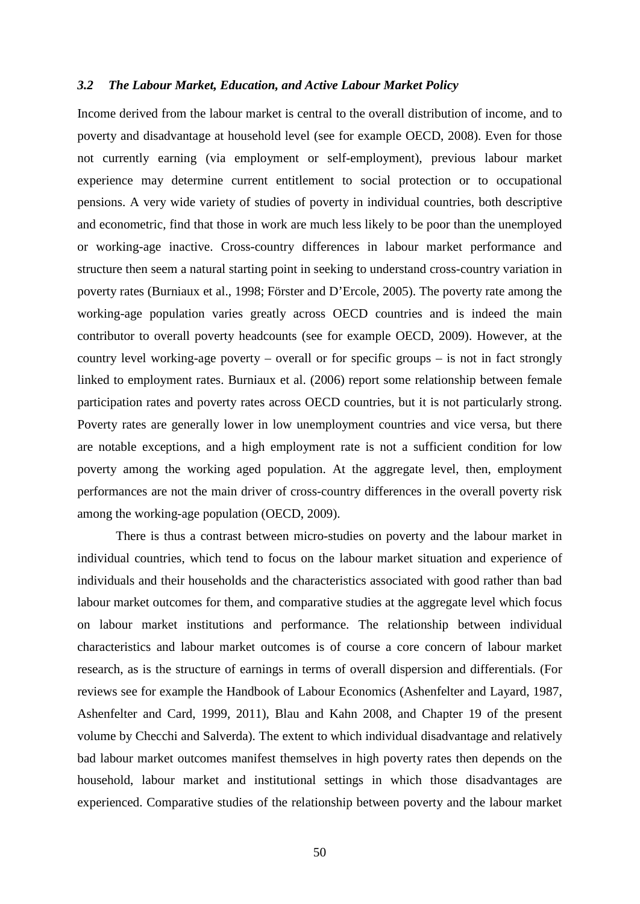#### *3.2 The Labour Market, Education, and Active Labour Market Policy*

Income derived from the labour market is central to the overall distribution of income, and to poverty and disadvantage at household level (see for example OECD, 2008). Even for those not currently earning (via employment or self-employment), previous labour market experience may determine current entitlement to social protection or to occupational pensions. A very wide variety of studies of poverty in individual countries, both descriptive and econometric, find that those in work are much less likely to be poor than the unemployed or working-age inactive. Cross-country differences in labour market performance and structure then seem a natural starting point in seeking to understand cross-country variation in poverty rates (Burniaux et al., 1998; Förster and D'Ercole, 2005). The poverty rate among the working-age population varies greatly across OECD countries and is indeed the main contributor to overall poverty headcounts (see for example OECD, 2009). However, at the country level working-age poverty – overall or for specific groups – is not in fact strongly linked to employment rates. Burniaux et al. (2006) report some relationship between female participation rates and poverty rates across OECD countries, but it is not particularly strong. Poverty rates are generally lower in low unemployment countries and vice versa, but there are notable exceptions, and a high employment rate is not a sufficient condition for low poverty among the working aged population. At the aggregate level, then, employment performances are not the main driver of cross-country differences in the overall poverty risk among the working-age population (OECD, 2009).

There is thus a contrast between micro-studies on poverty and the labour market in individual countries, which tend to focus on the labour market situation and experience of individuals and their households and the characteristics associated with good rather than bad labour market outcomes for them, and comparative studies at the aggregate level which focus on labour market institutions and performance. The relationship between individual characteristics and labour market outcomes is of course a core concern of labour market research, as is the structure of earnings in terms of overall dispersion and differentials. (For reviews see for example the Handbook of Labour Economics (Ashenfelter and Layard, 1987, Ashenfelter and Card, 1999, 2011), Blau and Kahn 2008, and Chapter 19 of the present volume by Checchi and Salverda). The extent to which individual disadvantage and relatively bad labour market outcomes manifest themselves in high poverty rates then depends on the household, labour market and institutional settings in which those disadvantages are experienced. Comparative studies of the relationship between poverty and the labour market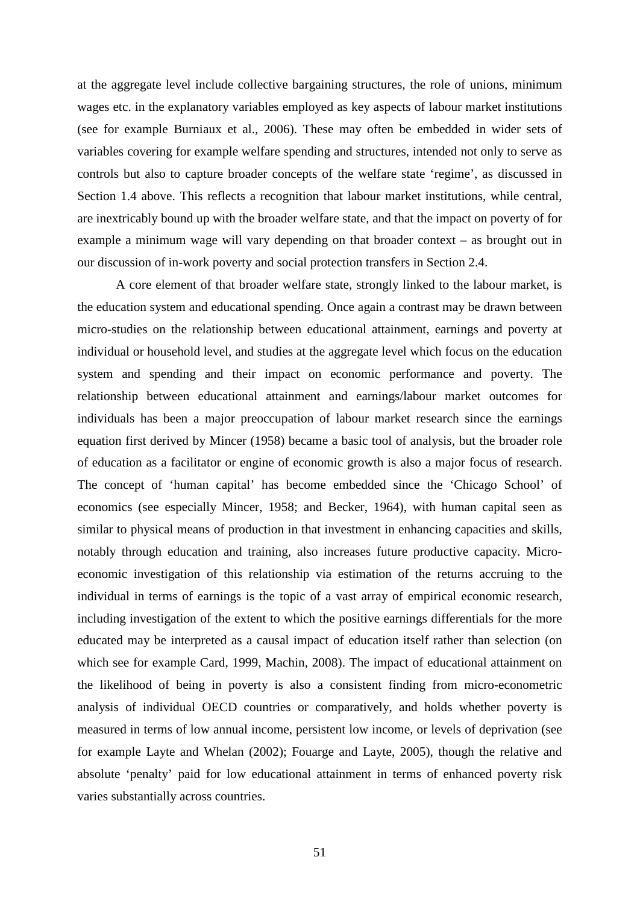at the aggregate level include collective bargaining structures, the role of unions, minimum wages etc. in the explanatory variables employed as key aspects of labour market institutions (see for example Burniaux et al., 2006). These may often be embedded in wider sets of variables covering for example welfare spending and structures, intended not only to serve as controls but also to capture broader concepts of the welfare state 'regime', as discussed in Section 1.4 above. This reflects a recognition that labour market institutions, while central, are inextricably bound up with the broader welfare state, and that the impact on poverty of for example a minimum wage will vary depending on that broader context – as brought out in our discussion of in-work poverty and social protection transfers in Section 2.4.

A core element of that broader welfare state, strongly linked to the labour market, is the education system and educational spending. Once again a contrast may be drawn between micro-studies on the relationship between educational attainment, earnings and poverty at individual or household level, and studies at the aggregate level which focus on the education system and spending and their impact on economic performance and poverty. The relationship between educational attainment and earnings/labour market outcomes for individuals has been a major preoccupation of labour market research since the earnings equation first derived by Mincer (1958) became a basic tool of analysis, but the broader role of education as a facilitator or engine of economic growth is also a major focus of research. The concept of 'human capital' has become embedded since the 'Chicago School' of economics (see especially Mincer, 1958; and Becker, 1964), with human capital seen as similar to physical means of production in that investment in enhancing capacities and skills, notably through education and training, also increases future productive capacity. Microeconomic investigation of this relationship via estimation of the returns accruing to the individual in terms of earnings is the topic of a vast array of empirical economic research, including investigation of the extent to which the positive earnings differentials for the more educated may be interpreted as a causal impact of education itself rather than selection (on which see for example Card, 1999, Machin, 2008). The impact of educational attainment on the likelihood of being in poverty is also a consistent finding from micro-econometric analysis of individual OECD countries or comparatively, and holds whether poverty is measured in terms of low annual income, persistent low income, or levels of deprivation (see for example Layte and Whelan (2002); Fouarge and Layte, 2005), though the relative and absolute 'penalty' paid for low educational attainment in terms of enhanced poverty risk varies substantially across countries.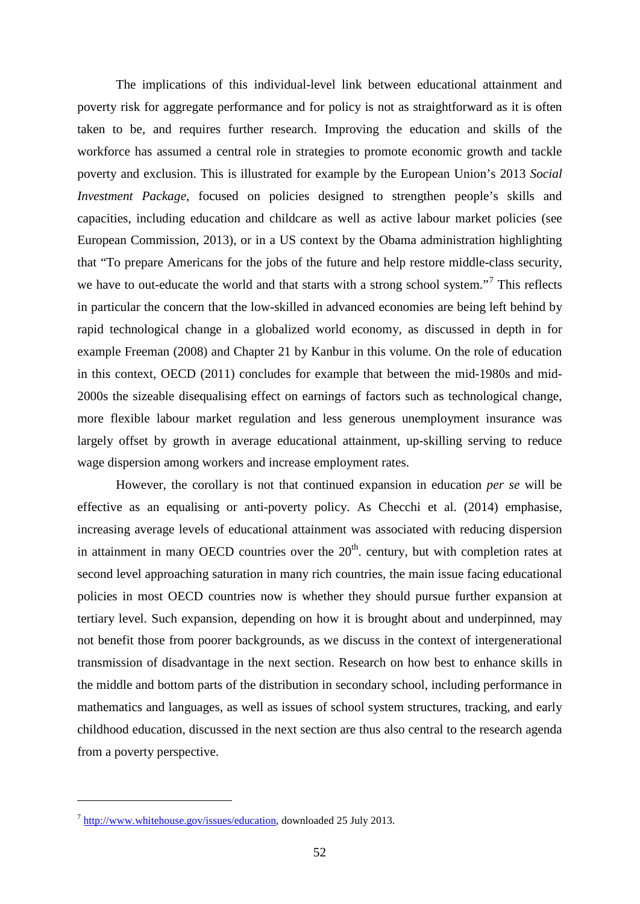The implications of this individual-level link between educational attainment and poverty risk for aggregate performance and for policy is not as straightforward as it is often taken to be, and requires further research. Improving the education and skills of the workforce has assumed a central role in strategies to promote economic growth and tackle poverty and exclusion. This is illustrated for example by the European Union's 2013 *Social Investment Package,* focused on policies designed to strengthen people's skills and capacities, including education and childcare as well as active labour market policies (see European Commission, 2013), or in a US context by the Obama administration highlighting that "To prepare Americans for the jobs of the future and help restore middle-class security, we have to out-educate the world and that starts with a strong school system."<sup>[7](#page-20-0)</sup> This reflects in particular the concern that the low-skilled in advanced economies are being left behind by rapid technological change in a globalized world economy, as discussed in depth in for example Freeman (2008) and Chapter 21 by Kanbur in this volume. On the role of education in this context, OECD (2011) concludes for example that between the mid-1980s and mid-2000s the sizeable disequalising effect on earnings of factors such as technological change, more flexible labour market regulation and less generous unemployment insurance was largely offset by growth in average educational attainment, up-skilling serving to reduce wage dispersion among workers and increase employment rates.

However, the corollary is not that continued expansion in education *per se* will be effective as an equalising or anti-poverty policy. As Checchi et al. (2014) emphasise, increasing average levels of educational attainment was associated with reducing dispersion in attainment in many OECD countries over the  $20<sup>th</sup>$ . century, but with completion rates at second level approaching saturation in many rich countries, the main issue facing educational policies in most OECD countries now is whether they should pursue further expansion at tertiary level. Such expansion, depending on how it is brought about and underpinned, may not benefit those from poorer backgrounds, as we discuss in the context of intergenerational transmission of disadvantage in the next section. Research on how best to enhance skills in the middle and bottom parts of the distribution in secondary school, including performance in mathematics and languages, as well as issues of school system structures, tracking, and early childhood education, discussed in the next section are thus also central to the research agenda from a poverty perspective.

<u>.</u>

<sup>7</sup> [http://www.whitehouse.gov/issues/education,](http://www.whitehouse.gov/issues/education) downloaded 25 July 2013.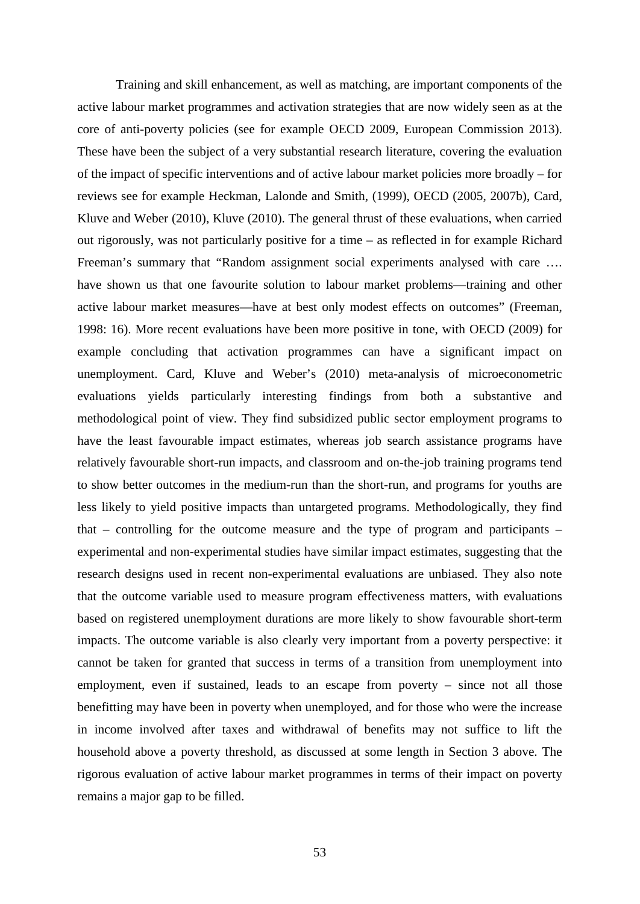Training and skill enhancement, as well as matching, are important components of the active labour market programmes and activation strategies that are now widely seen as at the core of anti-poverty policies (see for example OECD 2009, European Commission 2013). These have been the subject of a very substantial research literature, covering the evaluation of the impact of specific interventions and of active labour market policies more broadly – for reviews see for example Heckman, Lalonde and Smith, (1999), OECD (2005, 2007b), Card, Kluve and Weber (2010), Kluve (2010). The general thrust of these evaluations, when carried out rigorously, was not particularly positive for a time – as reflected in for example Richard Freeman's summary that "Random assignment social experiments analysed with care .... have shown us that one favourite solution to labour market problems—training and other active labour market measures—have at best only modest effects on outcomes" (Freeman, 1998: 16). More recent evaluations have been more positive in tone, with OECD (2009) for example concluding that activation programmes can have a significant impact on unemployment. Card, Kluve and Weber's (2010) meta-analysis of microeconometric evaluations yields particularly interesting findings from both a substantive and methodological point of view. They find subsidized public sector employment programs to have the least favourable impact estimates, whereas job search assistance programs have relatively favourable short-run impacts, and classroom and on-the-job training programs tend to show better outcomes in the medium-run than the short-run, and programs for youths are less likely to yield positive impacts than untargeted programs. Methodologically, they find that – controlling for the outcome measure and the type of program and participants – experimental and non-experimental studies have similar impact estimates, suggesting that the research designs used in recent non-experimental evaluations are unbiased. They also note that the outcome variable used to measure program effectiveness matters, with evaluations based on registered unemployment durations are more likely to show favourable short-term impacts. The outcome variable is also clearly very important from a poverty perspective: it cannot be taken for granted that success in terms of a transition from unemployment into employment, even if sustained, leads to an escape from poverty – since not all those benefitting may have been in poverty when unemployed, and for those who were the increase in income involved after taxes and withdrawal of benefits may not suffice to lift the household above a poverty threshold, as discussed at some length in Section 3 above. The rigorous evaluation of active labour market programmes in terms of their impact on poverty remains a major gap to be filled.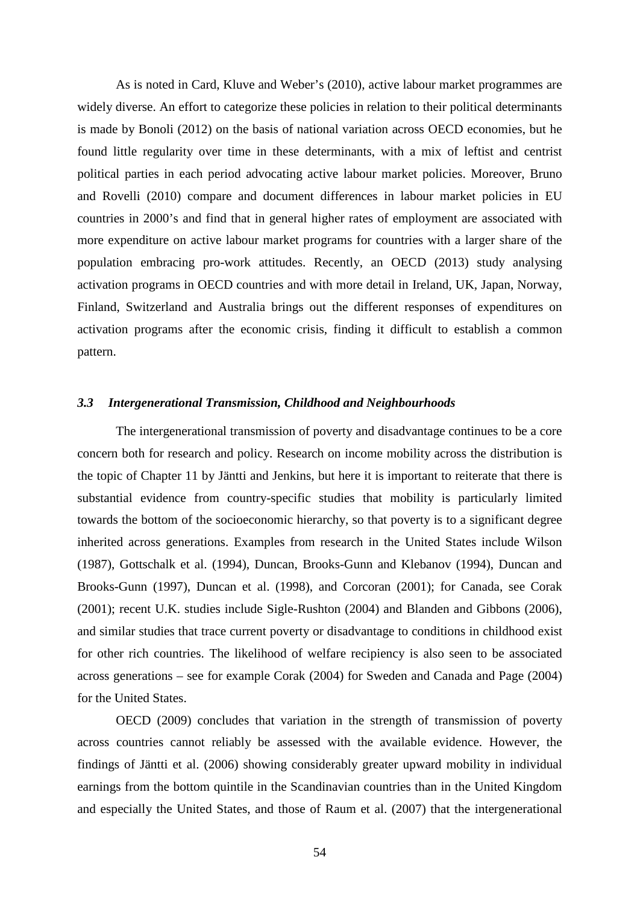As is noted in Card, Kluve and Weber's (2010), active labour market programmes are widely diverse. An effort to categorize these policies in relation to their political determinants is made by Bonoli (2012) on the basis of national variation across OECD economies, but he found little regularity over time in these determinants, with a mix of leftist and centrist political parties in each period advocating active labour market policies. Moreover, Bruno and Rovelli (2010) compare and document differences in labour market policies in EU countries in 2000's and find that in general higher rates of employment are associated with more expenditure on active labour market programs for countries with a larger share of the population embracing pro-work attitudes. Recently, an OECD (2013) study analysing activation programs in OECD countries and with more detail in Ireland, UK, Japan, Norway, Finland, Switzerland and Australia brings out the different responses of expenditures on activation programs after the economic crisis, finding it difficult to establish a common pattern.

#### *3.3 Intergenerational Transmission, Childhood and Neighbourhoods*

The intergenerational transmission of poverty and disadvantage continues to be a core concern both for research and policy. Research on income mobility across the distribution is the topic of Chapter 11 by Jäntti and Jenkins, but here it is important to reiterate that there is substantial evidence from country-specific studies that mobility is particularly limited towards the bottom of the socioeconomic hierarchy, so that poverty is to a significant degree inherited across generations. Examples from research in the United States include Wilson (1987), Gottschalk et al. (1994), Duncan, Brooks-Gunn and Klebanov (1994), Duncan and Brooks-Gunn (1997), Duncan et al. (1998), and Corcoran (2001); for Canada, see Corak (2001); recent U.K. studies include Sigle-Rushton (2004) and Blanden and Gibbons (2006), and similar studies that trace current poverty or disadvantage to conditions in childhood exist for other rich countries. The likelihood of welfare recipiency is also seen to be associated across generations – see for example Corak (2004) for Sweden and Canada and Page (2004) for the United States.

OECD (2009) concludes that variation in the strength of transmission of poverty across countries cannot reliably be assessed with the available evidence. However, the findings of Jäntti et al. (2006) showing considerably greater upward mobility in individual earnings from the bottom quintile in the Scandinavian countries than in the United Kingdom and especially the United States, and those of Raum et al. (2007) that the intergenerational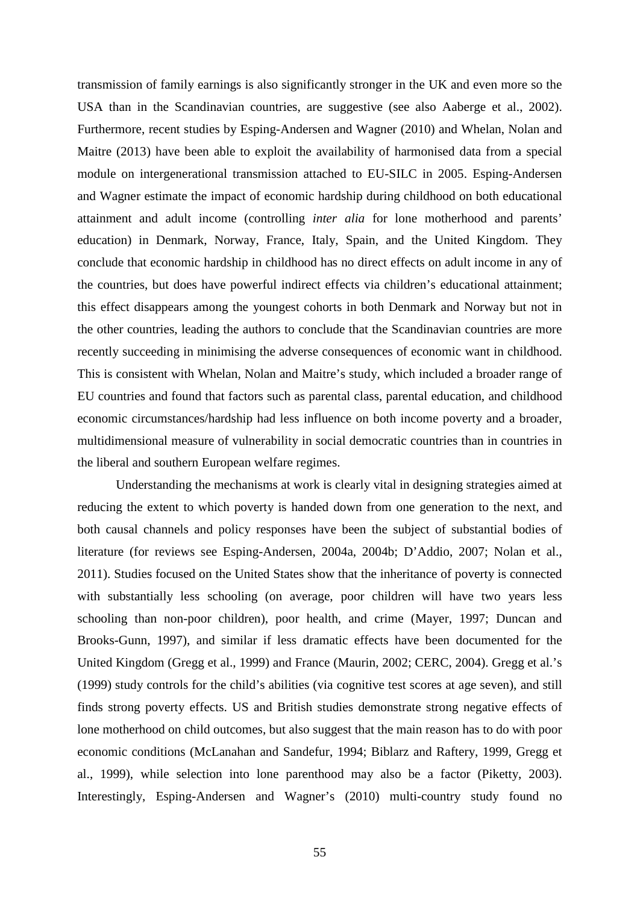transmission of family earnings is also significantly stronger in the UK and even more so the USA than in the Scandinavian countries, are suggestive (see also Aaberge et al., 2002). Furthermore, recent studies by Esping-Andersen and Wagner (2010) and Whelan, Nolan and Maitre (2013) have been able to exploit the availability of harmonised data from a special module on intergenerational transmission attached to EU-SILC in 2005. Esping-Andersen and Wagner estimate the impact of economic hardship during childhood on both educational attainment and adult income (controlling *inter alia* for lone motherhood and parents' education) in Denmark, Norway, France, Italy, Spain, and the United Kingdom. They conclude that economic hardship in childhood has no direct effects on adult income in any of the countries, but does have powerful indirect effects via children's educational attainment; this effect disappears among the youngest cohorts in both Denmark and Norway but not in the other countries, leading the authors to conclude that the Scandinavian countries are more recently succeeding in minimising the adverse consequences of economic want in childhood. This is consistent with Whelan, Nolan and Maitre's study, which included a broader range of EU countries and found that factors such as parental class, parental education, and childhood economic circumstances/hardship had less influence on both income poverty and a broader, multidimensional measure of vulnerability in social democratic countries than in countries in the liberal and southern European welfare regimes.

Understanding the mechanisms at work is clearly vital in designing strategies aimed at reducing the extent to which poverty is handed down from one generation to the next, and both causal channels and policy responses have been the subject of substantial bodies of literature (for reviews see Esping-Andersen, 2004a, 2004b; D'Addio, 2007; Nolan et al., 2011). Studies focused on the United States show that the inheritance of poverty is connected with substantially less schooling (on average, poor children will have two years less schooling than non-poor children), poor health, and crime (Mayer, 1997; Duncan and Brooks-Gunn, 1997), and similar if less dramatic effects have been documented for the United Kingdom (Gregg et al., 1999) and France (Maurin, 2002; CERC, 2004). Gregg et al.'s (1999) study controls for the child's abilities (via cognitive test scores at age seven), and still finds strong poverty effects. US and British studies demonstrate strong negative effects of lone motherhood on child outcomes, but also suggest that the main reason has to do with poor economic conditions (McLanahan and Sandefur, 1994; Biblarz and Raftery, 1999, Gregg et al., 1999), while selection into lone parenthood may also be a factor (Piketty, 2003). Interestingly, Esping-Andersen and Wagner's (2010) multi-country study found no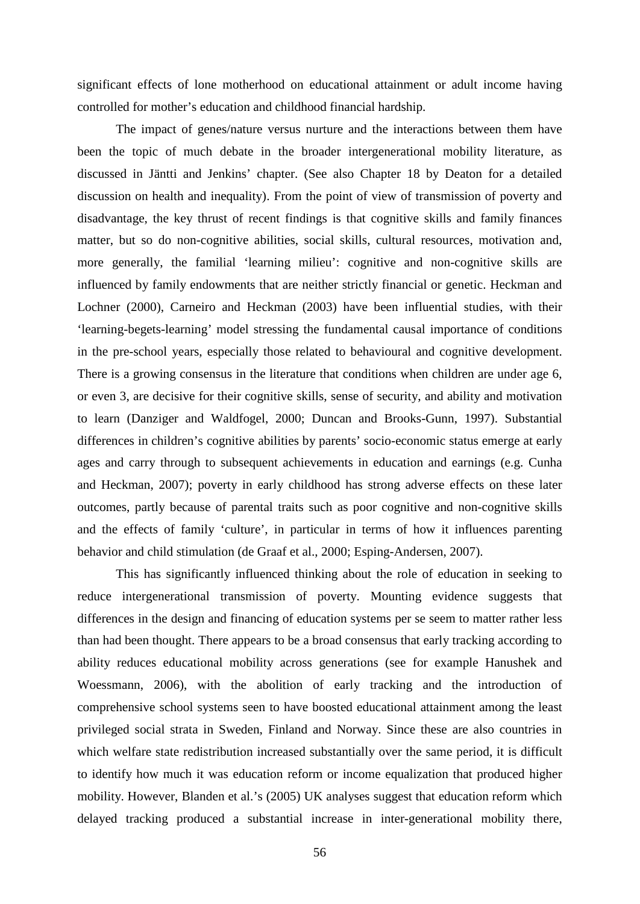significant effects of lone motherhood on educational attainment or adult income having controlled for mother's education and childhood financial hardship.

The impact of genes/nature versus nurture and the interactions between them have been the topic of much debate in the broader intergenerational mobility literature, as discussed in Jäntti and Jenkins' chapter. (See also Chapter 18 by Deaton for a detailed discussion on health and inequality). From the point of view of transmission of poverty and disadvantage, the key thrust of recent findings is that cognitive skills and family finances matter, but so do non-cognitive abilities, social skills, cultural resources, motivation and, more generally, the familial 'learning milieu': cognitive and non-cognitive skills are influenced by family endowments that are neither strictly financial or genetic. Heckman and Lochner (2000), Carneiro and Heckman (2003) have been influential studies, with their 'learning-begets-learning' model stressing the fundamental causal importance of conditions in the pre-school years, especially those related to behavioural and cognitive development. There is a growing consensus in the literature that conditions when children are under age 6, or even 3, are decisive for their cognitive skills, sense of security, and ability and motivation to learn (Danziger and Waldfogel, 2000; Duncan and Brooks-Gunn, 1997). Substantial differences in children's cognitive abilities by parents' socio-economic status emerge at early ages and carry through to subsequent achievements in education and earnings (e.g. Cunha and Heckman, 2007); poverty in early childhood has strong adverse effects on these later outcomes, partly because of parental traits such as poor cognitive and non-cognitive skills and the effects of family 'culture', in particular in terms of how it influences parenting behavior and child stimulation (de Graaf et al., 2000; Esping-Andersen, 2007).

This has significantly influenced thinking about the role of education in seeking to reduce intergenerational transmission of poverty. Mounting evidence suggests that differences in the design and financing of education systems per se seem to matter rather less than had been thought. There appears to be a broad consensus that early tracking according to ability reduces educational mobility across generations (see for example Hanushek and Woessmann, 2006), with the abolition of early tracking and the introduction of comprehensive school systems seen to have boosted educational attainment among the least privileged social strata in Sweden, Finland and Norway. Since these are also countries in which welfare state redistribution increased substantially over the same period, it is difficult to identify how much it was education reform or income equalization that produced higher mobility. However, Blanden et al.'s (2005) UK analyses suggest that education reform which delayed tracking produced a substantial increase in inter-generational mobility there,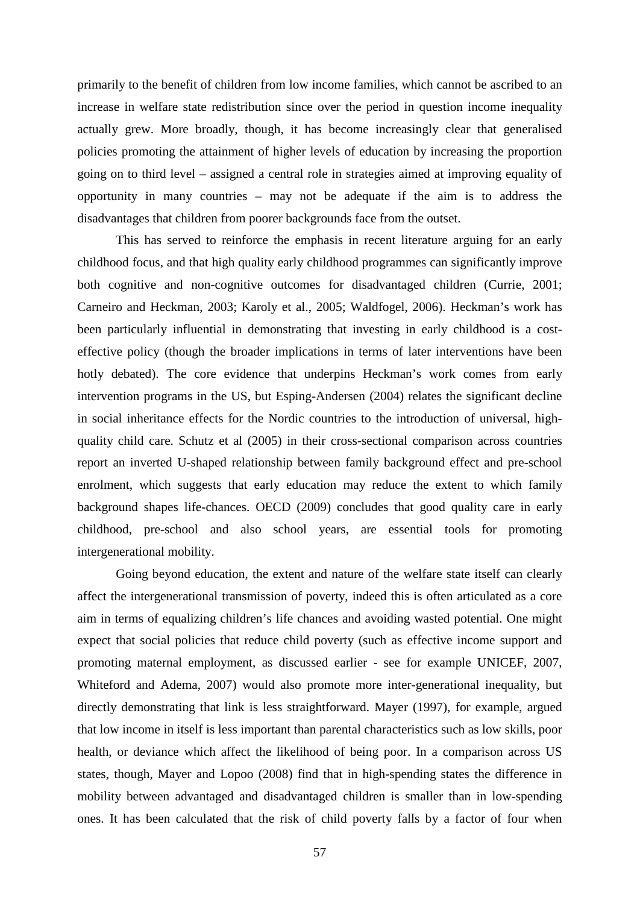primarily to the benefit of children from low income families, which cannot be ascribed to an increase in welfare state redistribution since over the period in question income inequality actually grew. More broadly, though, it has become increasingly clear that generalised policies promoting the attainment of higher levels of education by increasing the proportion going on to third level – assigned a central role in strategies aimed at improving equality of opportunity in many countries – may not be adequate if the aim is to address the disadvantages that children from poorer backgrounds face from the outset.

This has served to reinforce the emphasis in recent literature arguing for an early childhood focus, and that high quality early childhood programmes can significantly improve both cognitive and non-cognitive outcomes for disadvantaged children (Currie, 2001; Carneiro and Heckman, 2003; Karoly et al., 2005; Waldfogel, 2006). Heckman's work has been particularly influential in demonstrating that investing in early childhood is a costeffective policy (though the broader implications in terms of later interventions have been hotly debated). The core evidence that underpins Heckman's work comes from early intervention programs in the US, but Esping-Andersen (2004) relates the significant decline in social inheritance effects for the Nordic countries to the introduction of universal, highquality child care. Schutz et al (2005) in their cross-sectional comparison across countries report an inverted U-shaped relationship between family background effect and pre-school enrolment, which suggests that early education may reduce the extent to which family background shapes life-chances. OECD (2009) concludes that good quality care in early childhood, pre-school and also school years, are essential tools for promoting intergenerational mobility.

Going beyond education, the extent and nature of the welfare state itself can clearly affect the intergenerational transmission of poverty, indeed this is often articulated as a core aim in terms of equalizing children's life chances and avoiding wasted potential. One might expect that social policies that reduce child poverty (such as effective income support and promoting maternal employment, as discussed earlier - see for example UNICEF, 2007, Whiteford and Adema, 2007) would also promote more inter-generational inequality, but directly demonstrating that link is less straightforward. Mayer (1997), for example, argued that low income in itself is less important than parental characteristics such as low skills, poor health, or deviance which affect the likelihood of being poor. In a comparison across US states, though, Mayer and Lopoo (2008) find that in high-spending states the difference in mobility between advantaged and disadvantaged children is smaller than in low-spending ones. It has been calculated that the risk of child poverty falls by a factor of four when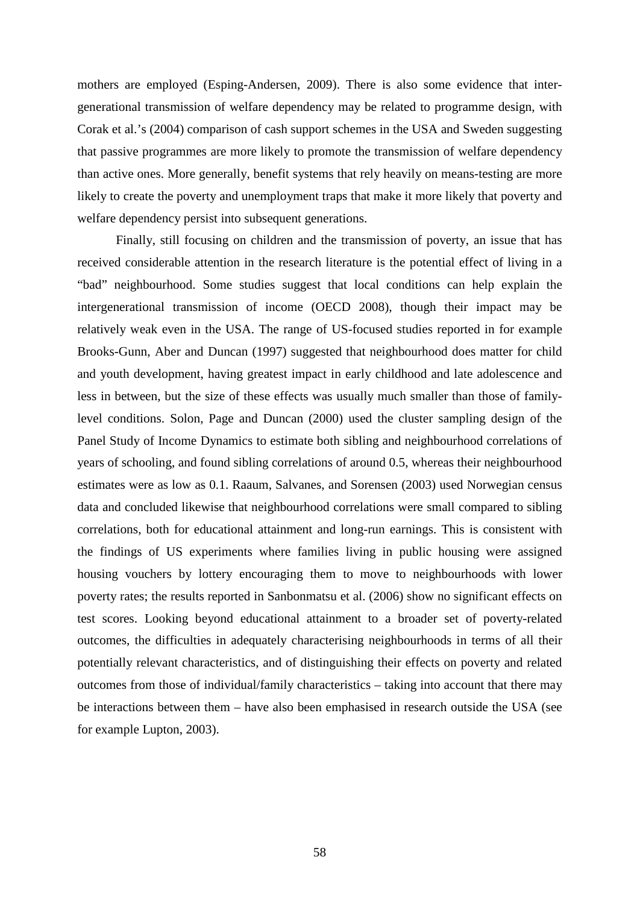mothers are employed (Esping-Andersen, 2009). There is also some evidence that intergenerational transmission of welfare dependency may be related to programme design, with Corak et al.'s (2004) comparison of cash support schemes in the USA and Sweden suggesting that passive programmes are more likely to promote the transmission of welfare dependency than active ones. More generally, benefit systems that rely heavily on means-testing are more likely to create the poverty and unemployment traps that make it more likely that poverty and welfare dependency persist into subsequent generations.

Finally, still focusing on children and the transmission of poverty, an issue that has received considerable attention in the research literature is the potential effect of living in a "bad" neighbourhood. Some studies suggest that local conditions can help explain the intergenerational transmission of income (OECD 2008), though their impact may be relatively weak even in the USA. The range of US-focused studies reported in for example Brooks-Gunn, Aber and Duncan (1997) suggested that neighbourhood does matter for child and youth development, having greatest impact in early childhood and late adolescence and less in between, but the size of these effects was usually much smaller than those of familylevel conditions. Solon, Page and Duncan (2000) used the cluster sampling design of the Panel Study of Income Dynamics to estimate both sibling and neighbourhood correlations of years of schooling, and found sibling correlations of around 0.5, whereas their neighbourhood estimates were as low as 0.1. Raaum, Salvanes, and Sorensen (2003) used Norwegian census data and concluded likewise that neighbourhood correlations were small compared to sibling correlations, both for educational attainment and long-run earnings. This is consistent with the findings of US experiments where families living in public housing were assigned housing vouchers by lottery encouraging them to move to neighbourhoods with lower poverty rates; the results reported in Sanbonmatsu et al. (2006) show no significant effects on test scores. Looking beyond educational attainment to a broader set of poverty-related outcomes, the difficulties in adequately characterising neighbourhoods in terms of all their potentially relevant characteristics, and of distinguishing their effects on poverty and related outcomes from those of individual/family characteristics – taking into account that there may be interactions between them – have also been emphasised in research outside the USA (see for example Lupton, 2003).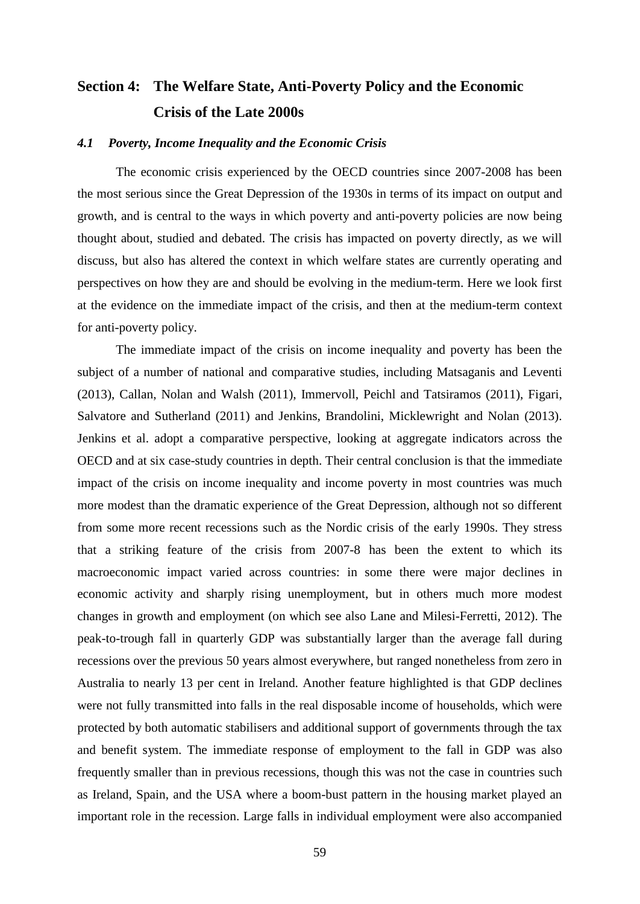# **Section 4: The Welfare State, Anti-Poverty Policy and the Economic Crisis of the Late 2000s**

#### *4.1 Poverty, Income Inequality and the Economic Crisis*

The economic crisis experienced by the OECD countries since 2007-2008 has been the most serious since the Great Depression of the 1930s in terms of its impact on output and growth, and is central to the ways in which poverty and anti-poverty policies are now being thought about, studied and debated. The crisis has impacted on poverty directly, as we will discuss, but also has altered the context in which welfare states are currently operating and perspectives on how they are and should be evolving in the medium-term. Here we look first at the evidence on the immediate impact of the crisis, and then at the medium-term context for anti-poverty policy.

The immediate impact of the crisis on income inequality and poverty has been the subject of a number of national and comparative studies, including Matsaganis and Leventi (2013), Callan, Nolan and Walsh (2011), Immervoll, Peichl and Tatsiramos (2011), Figari, Salvatore and Sutherland (2011) and Jenkins, Brandolini, Micklewright and Nolan (2013). Jenkins et al. adopt a comparative perspective, looking at aggregate indicators across the OECD and at six case-study countries in depth. Their central conclusion is that the immediate impact of the crisis on income inequality and income poverty in most countries was much more modest than the dramatic experience of the Great Depression, although not so different from some more recent recessions such as the Nordic crisis of the early 1990s. They stress that a striking feature of the crisis from 2007-8 has been the extent to which its macroeconomic impact varied across countries: in some there were major declines in economic activity and sharply rising unemployment, but in others much more modest changes in growth and employment (on which see also Lane and Milesi-Ferretti, 2012). The peak-to-trough fall in quarterly GDP was substantially larger than the average fall during recessions over the previous 50 years almost everywhere, but ranged nonetheless from zero in Australia to nearly 13 per cent in Ireland. Another feature highlighted is that GDP declines were not fully transmitted into falls in the real disposable income of households, which were protected by both automatic stabilisers and additional support of governments through the tax and benefit system. The immediate response of employment to the fall in GDP was also frequently smaller than in previous recessions, though this was not the case in countries such as Ireland, Spain, and the USA where a boom-bust pattern in the housing market played an important role in the recession. Large falls in individual employment were also accompanied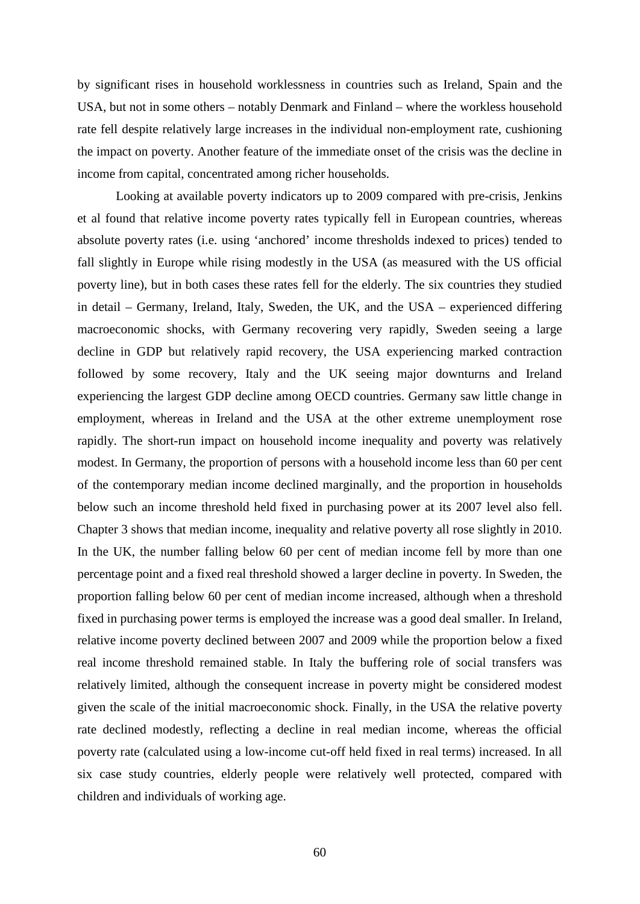by significant rises in household worklessness in countries such as Ireland, Spain and the USA, but not in some others – notably Denmark and Finland – where the workless household rate fell despite relatively large increases in the individual non-employment rate, cushioning the impact on poverty. Another feature of the immediate onset of the crisis was the decline in income from capital, concentrated among richer households.

Looking at available poverty indicators up to 2009 compared with pre-crisis, Jenkins et al found that relative income poverty rates typically fell in European countries, whereas absolute poverty rates (i.e. using 'anchored' income thresholds indexed to prices) tended to fall slightly in Europe while rising modestly in the USA (as measured with the US official poverty line), but in both cases these rates fell for the elderly. The six countries they studied in detail – Germany, Ireland, Italy, Sweden, the UK, and the USA – experienced differing macroeconomic shocks, with Germany recovering very rapidly, Sweden seeing a large decline in GDP but relatively rapid recovery, the USA experiencing marked contraction followed by some recovery, Italy and the UK seeing major downturns and Ireland experiencing the largest GDP decline among OECD countries. Germany saw little change in employment, whereas in Ireland and the USA at the other extreme unemployment rose rapidly. The short-run impact on household income inequality and poverty was relatively modest. In Germany, the proportion of persons with a household income less than 60 per cent of the contemporary median income declined marginally, and the proportion in households below such an income threshold held fixed in purchasing power at its 2007 level also fell. Chapter 3 shows that median income, inequality and relative poverty all rose slightly in 2010. In the UK, the number falling below 60 per cent of median income fell by more than one percentage point and a fixed real threshold showed a larger decline in poverty. In Sweden, the proportion falling below 60 per cent of median income increased, although when a threshold fixed in purchasing power terms is employed the increase was a good deal smaller. In Ireland, relative income poverty declined between 2007 and 2009 while the proportion below a fixed real income threshold remained stable. In Italy the buffering role of social transfers was relatively limited, although the consequent increase in poverty might be considered modest given the scale of the initial macroeconomic shock. Finally, in the USA the relative poverty rate declined modestly, reflecting a decline in real median income, whereas the official poverty rate (calculated using a low-income cut-off held fixed in real terms) increased. In all six case study countries, elderly people were relatively well protected, compared with children and individuals of working age.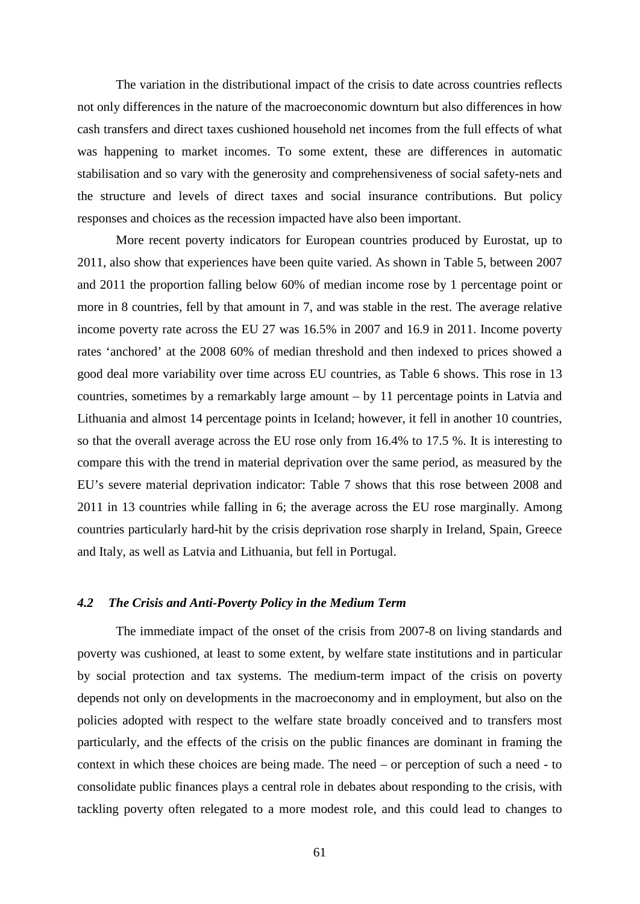The variation in the distributional impact of the crisis to date across countries reflects not only differences in the nature of the macroeconomic downturn but also differences in how cash transfers and direct taxes cushioned household net incomes from the full effects of what was happening to market incomes. To some extent, these are differences in automatic stabilisation and so vary with the generosity and comprehensiveness of social safety-nets and the structure and levels of direct taxes and social insurance contributions. But policy responses and choices as the recession impacted have also been important.

More recent poverty indicators for European countries produced by Eurostat, up to 2011, also show that experiences have been quite varied. As shown in Table 5, between 2007 and 2011 the proportion falling below 60% of median income rose by 1 percentage point or more in 8 countries, fell by that amount in 7, and was stable in the rest. The average relative income poverty rate across the EU 27 was 16.5% in 2007 and 16.9 in 2011. Income poverty rates 'anchored' at the 2008 60% of median threshold and then indexed to prices showed a good deal more variability over time across EU countries, as Table 6 shows. This rose in 13 countries, sometimes by a remarkably large amount – by 11 percentage points in Latvia and Lithuania and almost 14 percentage points in Iceland; however, it fell in another 10 countries, so that the overall average across the EU rose only from 16.4% to 17.5 %. It is interesting to compare this with the trend in material deprivation over the same period, as measured by the EU's severe material deprivation indicator: Table 7 shows that this rose between 2008 and 2011 in 13 countries while falling in 6; the average across the EU rose marginally. Among countries particularly hard-hit by the crisis deprivation rose sharply in Ireland, Spain, Greece and Italy, as well as Latvia and Lithuania, but fell in Portugal.

#### *4.2 The Crisis and Anti-Poverty Policy in the Medium Term*

The immediate impact of the onset of the crisis from 2007-8 on living standards and poverty was cushioned, at least to some extent, by welfare state institutions and in particular by social protection and tax systems. The medium-term impact of the crisis on poverty depends not only on developments in the macroeconomy and in employment, but also on the policies adopted with respect to the welfare state broadly conceived and to transfers most particularly, and the effects of the crisis on the public finances are dominant in framing the context in which these choices are being made. The need – or perception of such a need - to consolidate public finances plays a central role in debates about responding to the crisis, with tackling poverty often relegated to a more modest role, and this could lead to changes to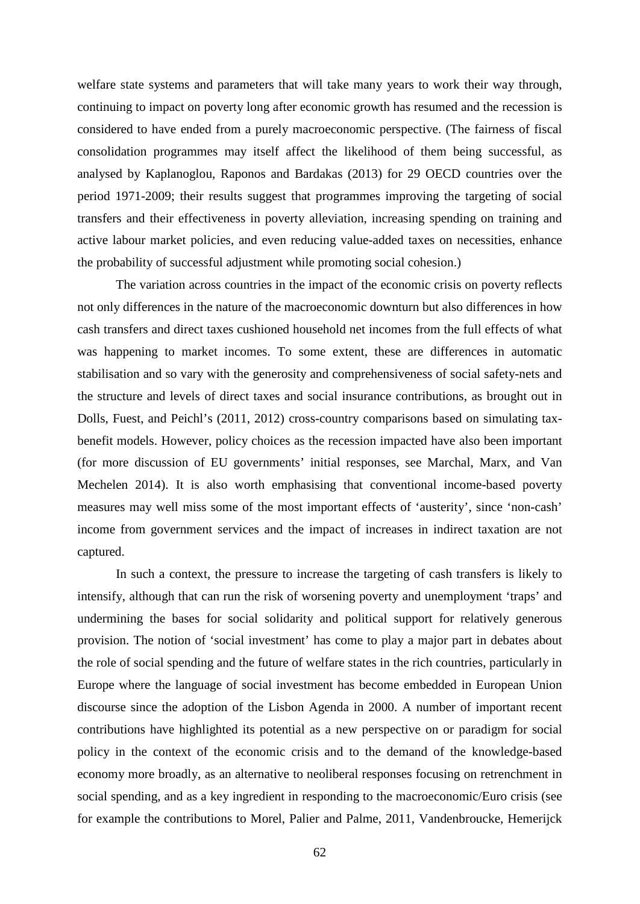welfare state systems and parameters that will take many years to work their way through, continuing to impact on poverty long after economic growth has resumed and the recession is considered to have ended from a purely macroeconomic perspective. (The fairness of fiscal consolidation programmes may itself affect the likelihood of them being successful, as analysed by Kaplanoglou, Raponos and Bardakas (2013) for 29 OECD countries over the period 1971-2009; their results suggest that programmes improving the targeting of social transfers and their effectiveness in poverty alleviation, increasing spending on training and active labour market policies, and even reducing value-added taxes on necessities, enhance the probability of successful adjustment while promoting social cohesion.)

The variation across countries in the impact of the economic crisis on poverty reflects not only differences in the nature of the macroeconomic downturn but also differences in how cash transfers and direct taxes cushioned household net incomes from the full effects of what was happening to market incomes. To some extent, these are differences in automatic stabilisation and so vary with the generosity and comprehensiveness of social safety-nets and the structure and levels of direct taxes and social insurance contributions, as brought out in Dolls, Fuest, and Peichl's (2011, 2012) cross-country comparisons based on simulating taxbenefit models. However, policy choices as the recession impacted have also been important (for more discussion of EU governments' initial responses, see Marchal, Marx, and Van Mechelen 2014). It is also worth emphasising that conventional income-based poverty measures may well miss some of the most important effects of 'austerity', since 'non-cash' income from government services and the impact of increases in indirect taxation are not captured.

In such a context, the pressure to increase the targeting of cash transfers is likely to intensify, although that can run the risk of worsening poverty and unemployment 'traps' and undermining the bases for social solidarity and political support for relatively generous provision. The notion of 'social investment' has come to play a major part in debates about the role of social spending and the future of welfare states in the rich countries, particularly in Europe where the language of social investment has become embedded in European Union discourse since the adoption of the Lisbon Agenda in 2000. A number of important recent contributions have highlighted its potential as a new perspective on or paradigm for social policy in the context of the economic crisis and to the demand of the knowledge-based economy more broadly, as an alternative to neoliberal responses focusing on retrenchment in social spending, and as a key ingredient in responding to the macroeconomic/Euro crisis (see for example the contributions to Morel, Palier and Palme, 2011, Vandenbroucke, Hemerijck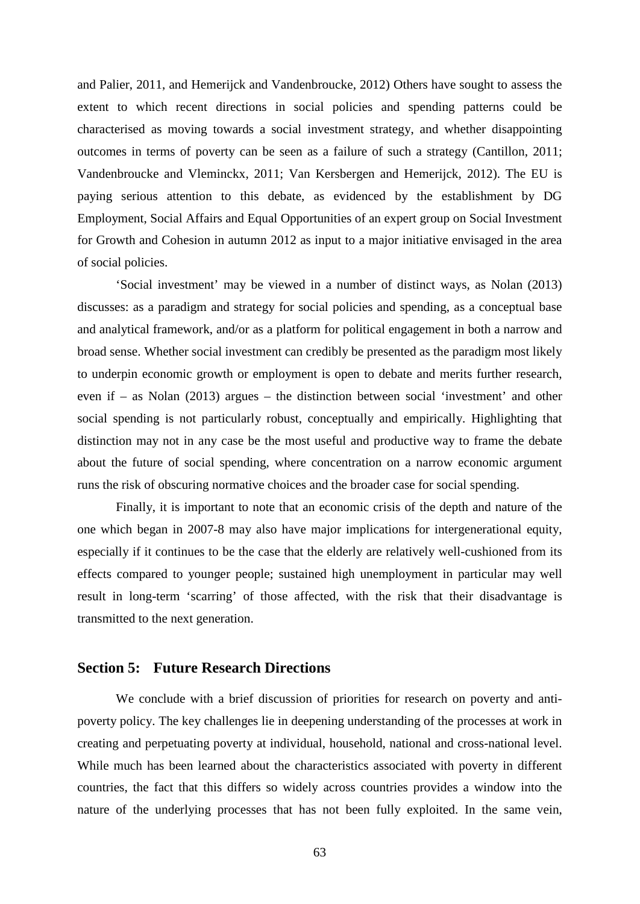and Palier, 2011, and Hemerijck and Vandenbroucke, 2012) Others have sought to assess the extent to which recent directions in social policies and spending patterns could be characterised as moving towards a social investment strategy, and whether disappointing outcomes in terms of poverty can be seen as a failure of such a strategy (Cantillon, 2011; Vandenbroucke and Vleminckx, 2011; Van Kersbergen and Hemerijck, 2012). The EU is paying serious attention to this debate, as evidenced by the establishment by DG Employment, Social Affairs and Equal Opportunities of an expert group on Social Investment for Growth and Cohesion in autumn 2012 as input to a major initiative envisaged in the area of social policies.

'Social investment' may be viewed in a number of distinct ways, as Nolan (2013) discusses: as a paradigm and strategy for social policies and spending, as a conceptual base and analytical framework, and/or as a platform for political engagement in both a narrow and broad sense. Whether social investment can credibly be presented as the paradigm most likely to underpin economic growth or employment is open to debate and merits further research, even if – as Nolan (2013) argues – the distinction between social 'investment' and other social spending is not particularly robust, conceptually and empirically. Highlighting that distinction may not in any case be the most useful and productive way to frame the debate about the future of social spending, where concentration on a narrow economic argument runs the risk of obscuring normative choices and the broader case for social spending.

Finally, it is important to note that an economic crisis of the depth and nature of the one which began in 2007-8 may also have major implications for intergenerational equity, especially if it continues to be the case that the elderly are relatively well-cushioned from its effects compared to younger people; sustained high unemployment in particular may well result in long-term 'scarring' of those affected, with the risk that their disadvantage is transmitted to the next generation.

## **Section 5: Future Research Directions**

We conclude with a brief discussion of priorities for research on poverty and antipoverty policy. The key challenges lie in deepening understanding of the processes at work in creating and perpetuating poverty at individual, household, national and cross-national level. While much has been learned about the characteristics associated with poverty in different countries, the fact that this differs so widely across countries provides a window into the nature of the underlying processes that has not been fully exploited. In the same vein,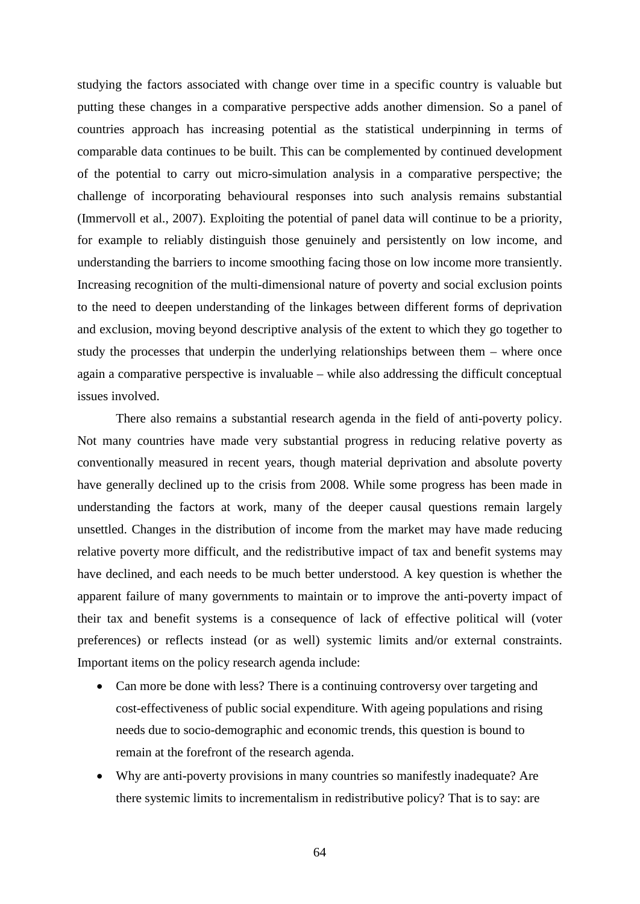studying the factors associated with change over time in a specific country is valuable but putting these changes in a comparative perspective adds another dimension. So a panel of countries approach has increasing potential as the statistical underpinning in terms of comparable data continues to be built. This can be complemented by continued development of the potential to carry out micro-simulation analysis in a comparative perspective; the challenge of incorporating behavioural responses into such analysis remains substantial (Immervoll et al., 2007). Exploiting the potential of panel data will continue to be a priority, for example to reliably distinguish those genuinely and persistently on low income, and understanding the barriers to income smoothing facing those on low income more transiently. Increasing recognition of the multi-dimensional nature of poverty and social exclusion points to the need to deepen understanding of the linkages between different forms of deprivation and exclusion, moving beyond descriptive analysis of the extent to which they go together to study the processes that underpin the underlying relationships between them – where once again a comparative perspective is invaluable – while also addressing the difficult conceptual issues involved.

There also remains a substantial research agenda in the field of anti-poverty policy. Not many countries have made very substantial progress in reducing relative poverty as conventionally measured in recent years, though material deprivation and absolute poverty have generally declined up to the crisis from 2008. While some progress has been made in understanding the factors at work, many of the deeper causal questions remain largely unsettled. Changes in the distribution of income from the market may have made reducing relative poverty more difficult, and the redistributive impact of tax and benefit systems may have declined, and each needs to be much better understood. A key question is whether the apparent failure of many governments to maintain or to improve the anti-poverty impact of their tax and benefit systems is a consequence of lack of effective political will (voter preferences) or reflects instead (or as well) systemic limits and/or external constraints. Important items on the policy research agenda include:

- Can more be done with less? There is a continuing controversy over targeting and cost-effectiveness of public social expenditure. With ageing populations and rising needs due to socio-demographic and economic trends, this question is bound to remain at the forefront of the research agenda.
- Why are anti-poverty provisions in many countries so manifestly inadequate? Are there systemic limits to incrementalism in redistributive policy? That is to say: are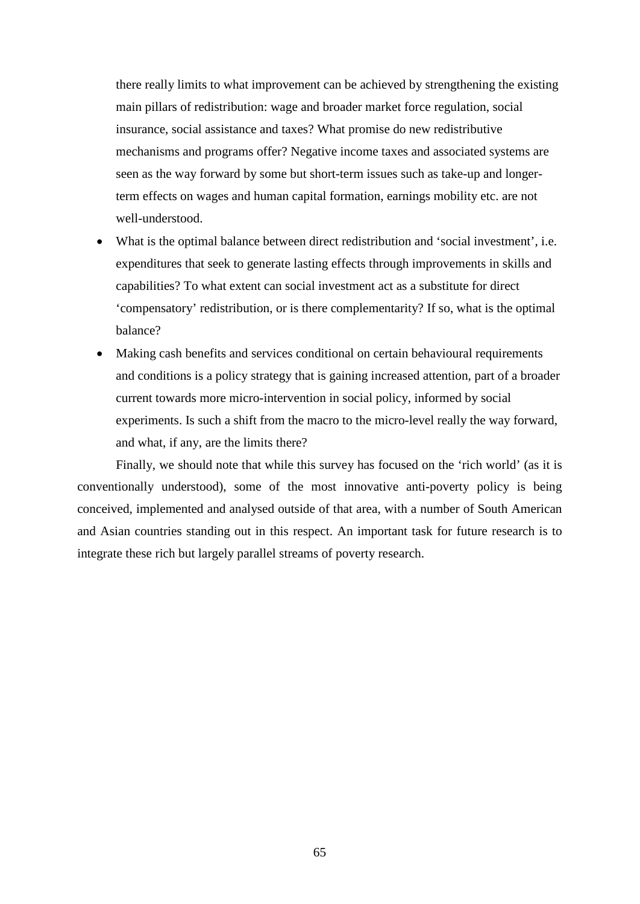there really limits to what improvement can be achieved by strengthening the existing main pillars of redistribution: wage and broader market force regulation, social insurance, social assistance and taxes? What promise do new redistributive mechanisms and programs offer? Negative income taxes and associated systems are seen as the way forward by some but short-term issues such as take-up and longerterm effects on wages and human capital formation, earnings mobility etc. are not well-understood.

- What is the optimal balance between direct redistribution and 'social investment', i.e. expenditures that seek to generate lasting effects through improvements in skills and capabilities? To what extent can social investment act as a substitute for direct 'compensatory' redistribution, or is there complementarity? If so, what is the optimal balance?
- Making cash benefits and services conditional on certain behavioural requirements and conditions is a policy strategy that is gaining increased attention, part of a broader current towards more micro-intervention in social policy, informed by social experiments. Is such a shift from the macro to the micro-level really the way forward, and what, if any, are the limits there?

Finally, we should note that while this survey has focused on the 'rich world' (as it is conventionally understood), some of the most innovative anti-poverty policy is being conceived, implemented and analysed outside of that area, with a number of South American and Asian countries standing out in this respect. An important task for future research is to integrate these rich but largely parallel streams of poverty research.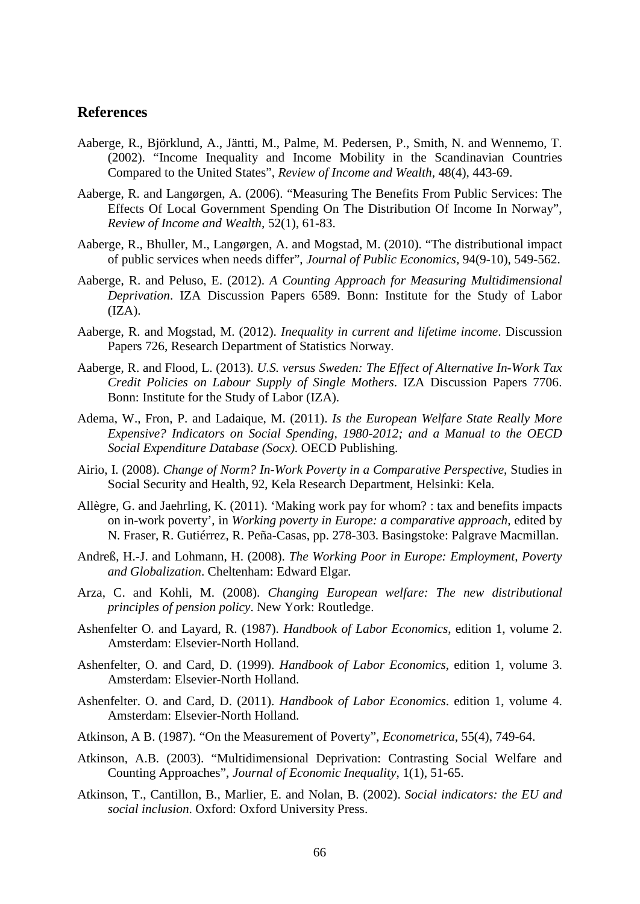## **References**

- Aaberge, R., Björklund, A., Jäntti, M., Palme, M. Pedersen, P., Smith, N. and Wennemo, T. (2002). "Income Inequality and Income Mobility in the Scandinavian Countries Compared to the United States", *Review of Income and Wealth,* 48(4), 443-69.
- Aaberge, R. and Langørgen, A. (2006). "Measuring The Benefits From Public Services: The Effects Of Local Government Spending On The Distribution Of Income In Norway", *Review of Income and Wealth,* 52(1), 61-83.
- Aaberge, R., Bhuller, M., Langørgen, A. and Mogstad, M. (2010). "The distributional impact of public services when needs differ", *Journal of Public Economics,* 94(9-10), 549-562.
- Aaberge, R. and Peluso, E. (2012). *A Counting Approach for Measuring Multidimensional Deprivation*. IZA Discussion Papers 6589. Bonn: Institute for the Study of Labor  $(IZA).$
- Aaberge, R. and Mogstad, M. (2012). *Inequality in current and lifetime income*. Discussion Papers 726, Research Department of Statistics Norway.
- Aaberge, R. and Flood, L. (2013). *U.S. versus Sweden: The Effect of Alternative In-Work Tax Credit Policies on Labour Supply of Single Mothers*. IZA Discussion Papers 7706. Bonn: Institute for the Study of Labor (IZA).
- Adema, W., Fron, P. and Ladaique, M. (2011). *Is the European Welfare State Really More Expensive? Indicators on Social Spending, 1980-2012; and a Manual to the OECD Social Expenditure Database (Socx).* OECD Publishing.
- Airio, I. (2008). *Change of Norm? In-Work Poverty in a Comparative Perspective*, Studies in Social Security and Health, 92, Kela Research Department, Helsinki: Kela.
- Allègre, G. and Jaehrling, K. (2011). 'Making work pay for whom? : tax and benefits impacts on in-work poverty', in *Working poverty in Europe: a comparative approach*, edited by N. Fraser, R. Gutiérrez, R. Peña-Casas, pp. 278-303. Basingstoke: Palgrave Macmillan.
- Andreß, H.-J. and Lohmann, H. (2008). *The Working Poor in Europe: Employment, Poverty and Globalization*. Cheltenham: Edward Elgar.
- Arza, C. and Kohli, M. (2008). *Changing European welfare: The new distributional principles of pension policy*. New York: Routledge.
- Ashenfelter O. and Layard, R. (1987). *Handbook of Labor Economics*, edition 1, volume 2. Amsterdam: Elsevier-North Holland.
- Ashenfelter, O. and Card, D. (1999). *Handbook of Labor Economics*, edition 1, volume 3. Amsterdam: Elsevier-North Holland.
- Ashenfelter. O. and Card, D. (2011). *Handbook of Labor Economics*. edition 1, volume 4. Amsterdam: Elsevier-North Holland.
- Atkinson, A B. (1987). "On the Measurement of Poverty", *Econometrica*, 55(4), 749-64.
- Atkinson, A.B. (2003). "Multidimensional Deprivation: Contrasting Social Welfare and Counting Approaches", *Journal of Economic Inequality*, 1(1), 51-65.
- Atkinson, T., Cantillon, B., Marlier, E. and Nolan, B. (2002). *Social indicators: the EU and social inclusion*. Oxford: Oxford University Press.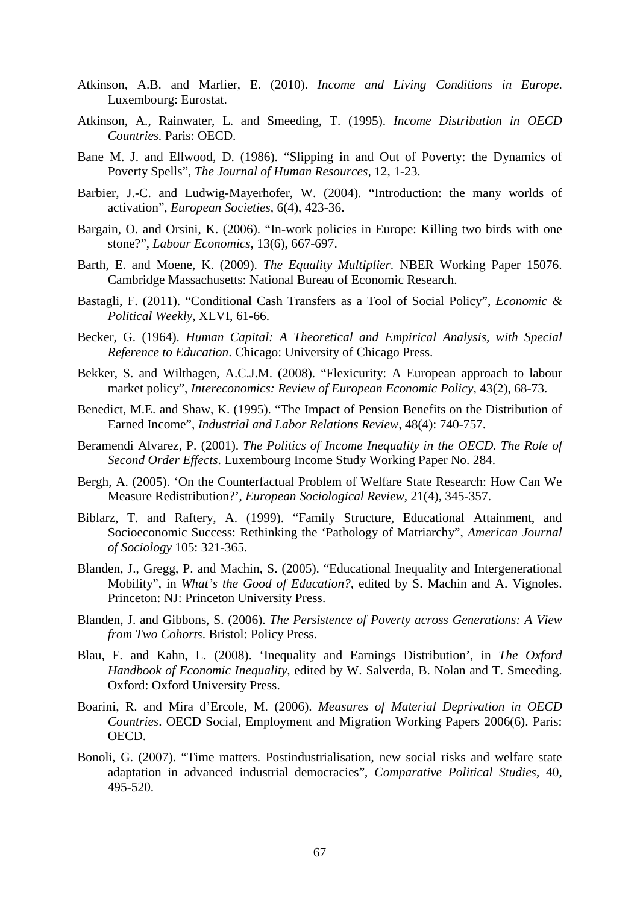- Atkinson, A.B. and Marlier, E. (2010). *Income and Living Conditions in Europe*. Luxembourg: Eurostat.
- Atkinson, A., Rainwater, L. and Smeeding, T. (1995). *Income Distribution in OECD Countries.* Paris: OECD.
- Bane M. J. and Ellwood, D. (1986). "Slipping in and Out of Poverty: the Dynamics of Poverty Spells", *The Journal of Human Resources,* 12, 1-23.
- Barbier, J.-C. and Ludwig-Mayerhofer, W. (2004). "Introduction: the many worlds of activation", *European Societies,* 6(4), 423-36.
- Bargain, O. and Orsini, K. (2006). "In-work policies in Europe: Killing two birds with one stone?", *Labour Economics,* 13(6), 667-697.
- Barth, E. and Moene, K. (2009). *The Equality Multiplier*. NBER Working Paper 15076. Cambridge Massachusetts: National Bureau of Economic Research.
- Bastagli, F. (2011). "Conditional Cash Transfers as a Tool of Social Policy", *Economic & Political Weekly*, XLVI, 61-66.
- Becker, G. (1964). *Human Capital: A Theoretical and Empirical Analysis, with Special Reference to Education*. Chicago: University of Chicago Press.
- Bekker, S. and Wilthagen, A.C.J.M. (2008). "Flexicurity: A European approach to labour market policy", *Intereconomics: Review of European Economic Policy,* 43(2), 68-73.
- Benedict, M.E. and Shaw, K. (1995). "The Impact of Pension Benefits on the Distribution of Earned Income", *Industrial and Labor Relations Review,* 48(4): 740-757.
- Beramendi Alvarez, P. (2001). *The Politics of Income Inequality in the OECD. The Role of Second Order Effects*. Luxembourg Income Study Working Paper No. 284.
- Bergh, A. (2005). 'On the Counterfactual Problem of Welfare State Research: How Can We Measure Redistribution?', *European Sociological Review*, 21(4), 345-357.
- Biblarz, T. and Raftery, A. (1999). "Family Structure, Educational Attainment, and Socioeconomic Success: Rethinking the 'Pathology of Matriarchy", *American Journal of Sociology* 105: 321-365.
- Blanden, J., Gregg, P. and Machin, S. (2005). "Educational Inequality and Intergenerational Mobility", in *What's the Good of Education?,* edited by S. Machin and A. Vignoles. Princeton: NJ: Princeton University Press.
- Blanden, J. and Gibbons, S. (2006). *The Persistence of Poverty across Generations: A View from Two Cohorts*. Bristol: Policy Press.
- Blau, F. and Kahn, L. (2008). 'Inequality and Earnings Distribution', in *The Oxford Handbook of Economic Inequality,* edited by W. Salverda, B. Nolan and T. Smeeding. Oxford: Oxford University Press.
- Boarini, R. and Mira d'Ercole, M. (2006). *Measures of Material Deprivation in OECD Countries*. OECD Social, Employment and Migration Working Papers 2006(6). Paris: OECD.
- Bonoli, G. (2007). "Time matters. Postindustrialisation, new social risks and welfare state adaptation in advanced industrial democracies", *Comparative Political Studies*, 40, 495-520.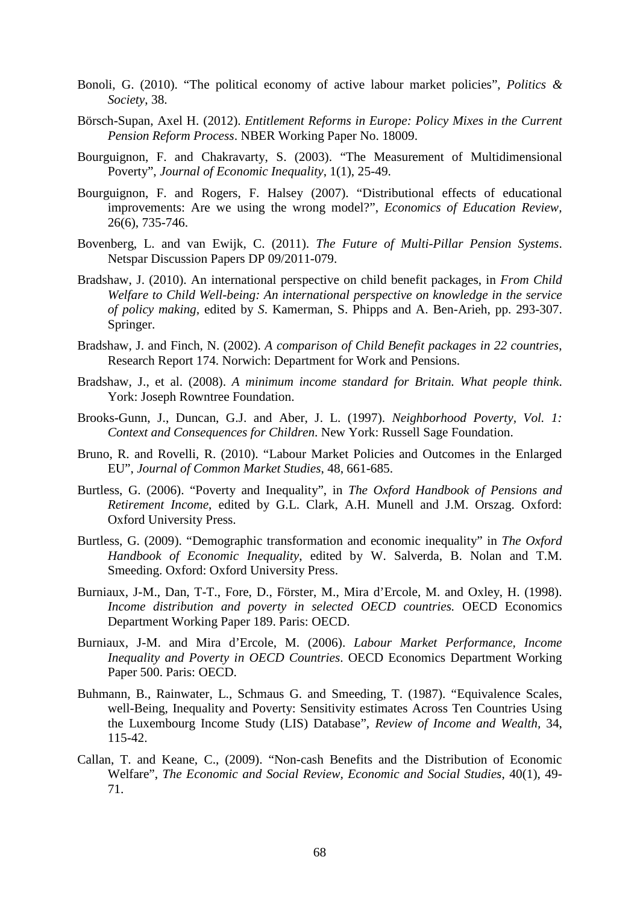- Bonoli, G. (2010). "The political economy of active labour market policies", *Politics & Society*, 38.
- Börsch-Supan, Axel H. (2012). *Entitlement Reforms in Europe: Policy Mixes in the Current Pension Reform Process*. NBER Working Paper No. 18009.
- Bourguignon, F. and Chakravarty, S. (2003). "The Measurement of Multidimensional Poverty", *Journal of Economic Inequality*, 1(1), 25-49.
- Bourguignon, F. and Rogers, F. Halsey (2007). "Distributional effects of educational improvements: Are we using the wrong model?", *Economics of Education Review,* 26(6), 735-746.
- Bovenberg, L. and van Ewijk, C. (2011). *The Future of Multi-Pillar Pension Systems*. Netspar Discussion Papers DP 09/2011-079.
- Bradshaw, J. (2010). An international perspective on child benefit packages, in *From Child Welfare to Child Well-being: An international perspective on knowledge in the service of policy making,* edited by *S*. Kamerman, S. Phipps and A. Ben-Arieh, pp. 293-307. Springer.
- Bradshaw, J. and Finch, N. (2002). *A comparison of Child Benefit packages in 22 countries*, Research Report 174. Norwich: Department for Work and Pensions.
- Bradshaw, J., et al. (2008). *A minimum income standard for Britain. What people think*. York: Joseph Rowntree Foundation.
- Brooks-Gunn, J., Duncan, G.J. and Aber, J. L. (1997). *Neighborhood Poverty, Vol. 1: Context and Consequences for Children*. New York: Russell Sage Foundation.
- Bruno, R. and Rovelli, R. (2010). "Labour Market Policies and Outcomes in the Enlarged EU", *Journal of Common Market Studies*, 48, 661-685.
- Burtless, G. (2006). "Poverty and Inequality", in *The Oxford Handbook of Pensions and Retirement Income*, edited by G.L. Clark, A.H. Munell and J.M. Orszag. Oxford: Oxford University Press.
- Burtless, G. (2009). "Demographic transformation and economic inequality" in *The Oxford Handbook of Economic Inequality*, edited by W. Salverda, B. Nolan and T.M. Smeeding. Oxford: Oxford University Press.
- Burniaux, J-M., Dan, T-T., Fore, D., Förster, M., Mira d'Ercole, M. and Oxley, H. (1998). *Income distribution and poverty in selected OECD countries.* OECD Economics Department Working Paper 189. Paris: OECD.
- Burniaux, J-M. and Mira d'Ercole, M. (2006). *Labour Market Performance, Income Inequality and Poverty in OECD Countries*. OECD Economics Department Working Paper 500. Paris: OECD.
- Buhmann, B., Rainwater, L., Schmaus G. and Smeeding, T. (1987). "Equivalence Scales, well-Being, Inequality and Poverty: Sensitivity estimates Across Ten Countries Using the Luxembourg Income Study (LIS) Database", *Review of Income and Wealth,* 34, 115-42.
- Callan, T. and Keane, C., (2009). "Non-cash Benefits and the Distribution of Economic Welfare", *The Economic and Social Review, Economic and Social Studies*, 40(1), 49- 71.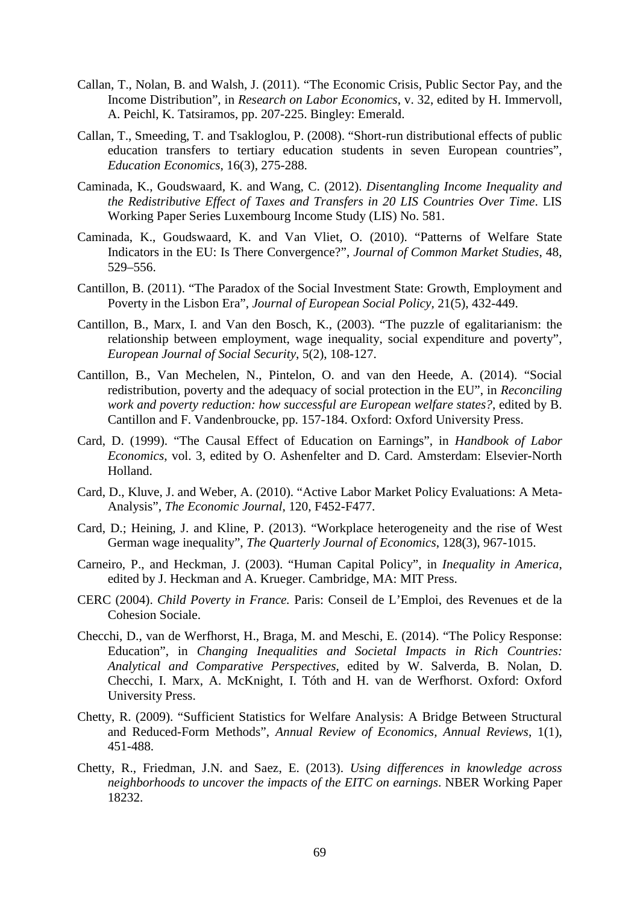- Callan, T., Nolan, B. and Walsh, J. (2011). "The Economic Crisis, Public Sector Pay, and the Income Distribution", in *Research on Labor Economics*, v. 32, edited by H. Immervoll, A. Peichl, K. Tatsiramos, pp. 207-225. Bingley: Emerald.
- Callan, T., Smeeding, T. and Tsakloglou, P. (2008). "Short-run distributional effects of public education transfers to tertiary education students in seven European countries", *Education Economics*, 16(3), 275-288.
- Caminada, K., Goudswaard, K. and Wang, C. (2012). *Disentangling Income Inequality and the Redistributive Effect of Taxes and Transfers in 20 LIS Countries Over Time*. LIS Working Paper Series Luxembourg Income Study (LIS) No. 581.
- Caminada, K., Goudswaard, K. and Van Vliet, O. (2010). "Patterns of Welfare State Indicators in the EU: Is There Convergence?", *Journal of Common Market Studies*, 48, 529–556.
- Cantillon, B. (2011). "The Paradox of the Social Investment State: Growth, Employment and Poverty in the Lisbon Era", *Journal of European Social Policy,* 21(5), 432-449.
- Cantillon, B., Marx, I. and Van den Bosch, K., (2003). "The puzzle of egalitarianism: the relationship between employment, wage inequality, social expenditure and poverty", *European Journal of Social Security*, 5(2), 108-127.
- Cantillon, B., Van Mechelen, N., Pintelon, O. and van den Heede, A. (2014). "Social redistribution, poverty and the adequacy of social protection in the EU", in *Reconciling work and poverty reduction: how successful are European welfare states?*, edited by B. Cantillon and F. Vandenbroucke, pp. 157-184. Oxford: Oxford University Press.
- Card, D. (1999). "The Causal Effect of Education on Earnings", in *Handbook of Labor Economics*, vol. 3, edited by O. Ashenfelter and D. Card. Amsterdam: Elsevier-North Holland.
- Card, D., Kluve, J. and Weber, A. (2010). "Active Labor Market Policy Evaluations: A Meta-Analysis", *The Economic Journal*, 120, F452-F477.
- Card, D.; Heining, J. and Kline, P. (2013). "Workplace heterogeneity and the rise of West German wage inequality", *The Quarterly Journal of Economics*, 128(3), 967-1015.
- Carneiro, P., and Heckman, J. (2003). "Human Capital Policy", in *Inequality in America*, edited by J. Heckman and A. Krueger. Cambridge, MA: MIT Press.
- CERC (2004). *Child Poverty in France.* Paris: Conseil de L'Emploi, des Revenues et de la Cohesion Sociale.
- Checchi, D., van de Werfhorst, H., Braga, M. and Meschi, E. (2014). "The Policy Response: Education", in *Changing Inequalities and Societal Impacts in Rich Countries: Analytical and Comparative Perspectives*, edited by W. Salverda, B. Nolan, D. Checchi, I. Marx, A. McKnight, I. Tóth and H. van de Werfhorst. Oxford: Oxford University Press.
- Chetty, R. (2009). "Sufficient Statistics for Welfare Analysis: A Bridge Between Structural and Reduced-Form Methods", *Annual Review of Economics, Annual Reviews*, 1(1), 451-488.
- Chetty, R., Friedman, J.N. and Saez, E. (2013). *Using differences in knowledge across neighborhoods to uncover the impacts of the EITC on earnings*. NBER Working Paper 18232.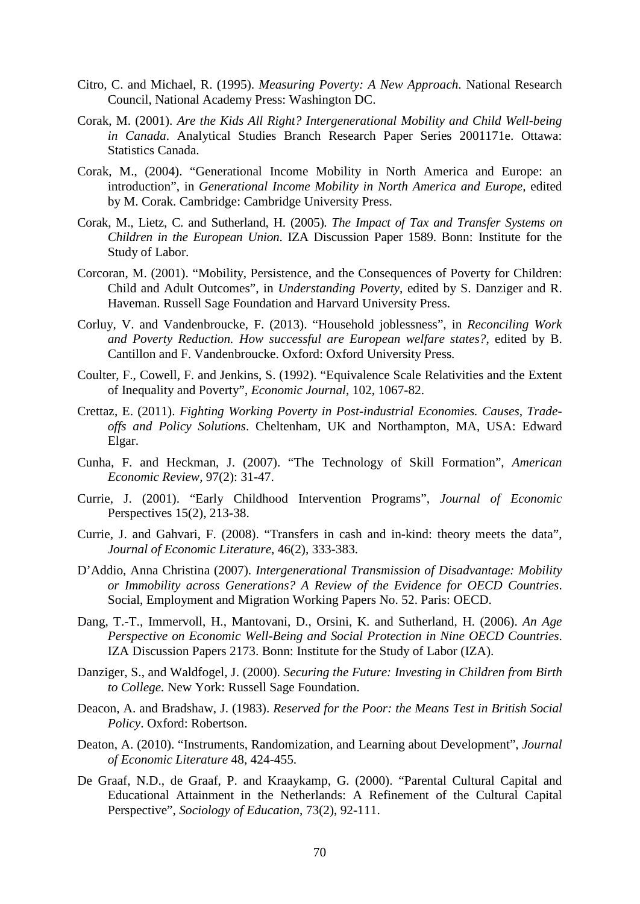- Citro, C. and Michael, R. (1995). *Measuring Poverty: A New Approach.* National Research Council, National Academy Press: Washington DC.
- Corak, M. (2001). *Are the Kids All Right? Intergenerational Mobility and Child Well-being in Canada*. Analytical Studies Branch Research Paper Series 2001171e. Ottawa: Statistics Canada.
- Corak, M., (2004). "Generational Income Mobility in North America and Europe: an introduction", in *Generational Income Mobility in North America and Europe*, edited by M. Corak. Cambridge: Cambridge University Press.
- Corak, M., Lietz, C. and Sutherland, H. (2005). *The Impact of Tax and Transfer Systems on Children in the European Union*. IZA Discussion Paper 1589. Bonn: Institute for the Study of Labor.
- Corcoran, M. (2001). "Mobility, Persistence, and the Consequences of Poverty for Children: Child and Adult Outcomes", in *Understanding Poverty*, edited by S. Danziger and R. Haveman. Russell Sage Foundation and Harvard University Press.
- Corluy, V. and Vandenbroucke, F. (2013). "Household joblessness", in *Reconciling Work and Poverty Reduction. How successful are European welfare states?*, edited by B. Cantillon and F. Vandenbroucke. Oxford: Oxford University Press*.*
- Coulter, F., Cowell, F. and Jenkins, S. (1992). "Equivalence Scale Relativities and the Extent of Inequality and Poverty", *Economic Journal*, 102, 1067-82.
- Crettaz, E. (2011). *Fighting Working Poverty in Post-industrial Economies. Causes, Tradeoffs and Policy Solutions*. Cheltenham, UK and Northampton, MA, USA: Edward Elgar.
- Cunha, F. and Heckman, J. (2007). "The Technology of Skill Formation", *American Economic Review,* 97(2): 31-47.
- Currie, J. (2001). "Early Childhood Intervention Programs", *Journal of Economic*  Perspectives 15(2), 213-38.
- Currie, J. and Gahvari, F. (2008). "Transfers in cash and in-kind: theory meets the data", *Journal of Economic Literature*, 46(2), 333-383.
- D'Addio, Anna Christina (2007). *Intergenerational Transmission of Disadvantage: Mobility or Immobility across Generations? A Review of the Evidence for OECD Countries*. Social, Employment and Migration Working Papers No. 52. Paris: OECD.
- Dang, T.-T., Immervoll, H., Mantovani, D., Orsini, K. and Sutherland, H. (2006). *An Age Perspective on Economic Well-Being and Social Protection in Nine OECD Countries*. IZA Discussion Papers 2173. Bonn: Institute for the Study of Labor (IZA).
- Danziger, S., and Waldfogel, J. (2000). *Securing the Future: Investing in Children from Birth to College.* New York: Russell Sage Foundation.
- Deacon, A. and Bradshaw, J. (1983). *Reserved for the Poor: the Means Test in British Social Policy*. Oxford: Robertson.
- Deaton, A. (2010). "Instruments, Randomization, and Learning about Development", *Journal of Economic Literature* 48, 424-455.
- De Graaf, N.D., de Graaf, P. and Kraaykamp, G. (2000). "Parental Cultural Capital and Educational Attainment in the Netherlands: A Refinement of the Cultural Capital Perspective", *Sociology of Education*, 73(2), 92-111.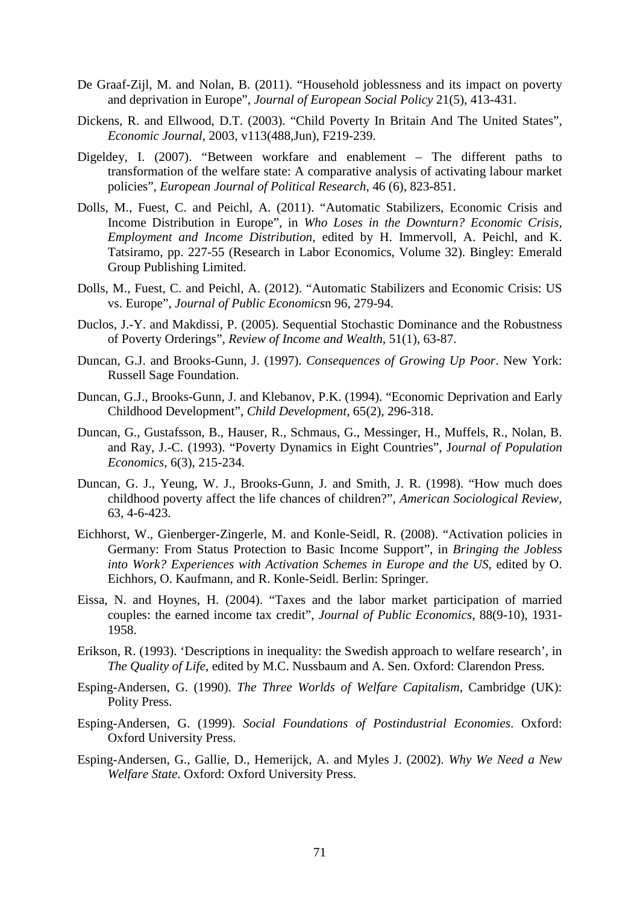- De Graaf-Zijl, M. and Nolan, B. (2011). "Household joblessness and its impact on poverty and deprivation in Europe", *Journal of European Social Policy* 21(5), 413-431.
- Dickens, R. and Ellwood, D.T. (2003). "Child Poverty In Britain And The United States", *Economic Journal*, 2003, v113(488,Jun), F219-239.
- Digeldey, I. (2007). "Between workfare and enablement The different paths to transformation of the welfare state: A comparative analysis of activating labour market policies", *European Journal of Political Research*, 46 (6), 823-851.
- Dolls, M., Fuest, C. and Peichl, A. (2011). "Automatic Stabilizers, Economic Crisis and Income Distribution in Europe", in *Who Loses in the Downturn? Economic Crisis, Employment and Income Distribution,* edited by H. Immervoll, A. Peichl, and K. Tatsiramo, pp. 227-55 (Research in Labor Economics, Volume 32). Bingley: Emerald Group Publishing Limited.
- Dolls, M., Fuest, C. and Peichl, A. (2012). "Automatic Stabilizers and Economic Crisis: US vs. Europe", *Journal of Public Economics*n 96, 279-94.
- Duclos, J.-Y. and Makdissi, P. (2005). Sequential Stochastic Dominance and the Robustness of Poverty Orderings", *Review of Income and Wealth*, 51(1), 63-87.
- Duncan, G.J. and Brooks-Gunn, J. (1997). *Consequences of Growing Up Poor*. New York: Russell Sage Foundation.
- Duncan, G.J., Brooks-Gunn, J. and Klebanov, P.K. (1994). "Economic Deprivation and Early Childhood Development", *Child Development*, 65(2), 296-318.
- Duncan, G., Gustafsson, B., Hauser, R., Schmaus, G., Messinger, H., Muffels, R., Nolan, B. and Ray, J.-C. (1993). "Poverty Dynamics in Eight Countries", J*ournal of Population Economics,* 6(3), 215-234.
- Duncan, G. J., Yeung, W. J., Brooks-Gunn, J. and Smith, J. R. (1998). "How much does childhood poverty affect the life chances of children?", *American Sociological Review*, 63, 4-6-423.
- Eichhorst, W., Gienberger-Zingerle, M. and Konle-Seidl, R. (2008). "Activation policies in Germany: From Status Protection to Basic Income Support", in *Bringing the Jobless into Work? Experiences with Activation Schemes in Europe and the US*, edited by O. Eichhors, O. Kaufmann, and R. Konle-Seidl. Berlin: Springer.
- Eissa, N. and Hoynes, H. (2004). "Taxes and the labor market participation of married couples: the earned income tax credit", *Journal of Public Economics*, 88(9-10), 1931- 1958.
- Erikson, R. (1993). 'Descriptions in inequality: the Swedish approach to welfare research', in *The Quality of Life,* edited by M.C. Nussbaum and A. Sen. Oxford: Clarendon Press.
- Esping-Andersen, G. (1990). *The Three Worlds of Welfare Capitalism*, Cambridge (UK): Polity Press.
- Esping-Andersen, G. (1999). *Social Foundations of Postindustrial Economies*. Oxford: Oxford University Press.
- Esping-Andersen, G., Gallie, D., Hemerijck, A. and Myles J. (2002). *Why We Need a New Welfare State*. Oxford: Oxford University Press.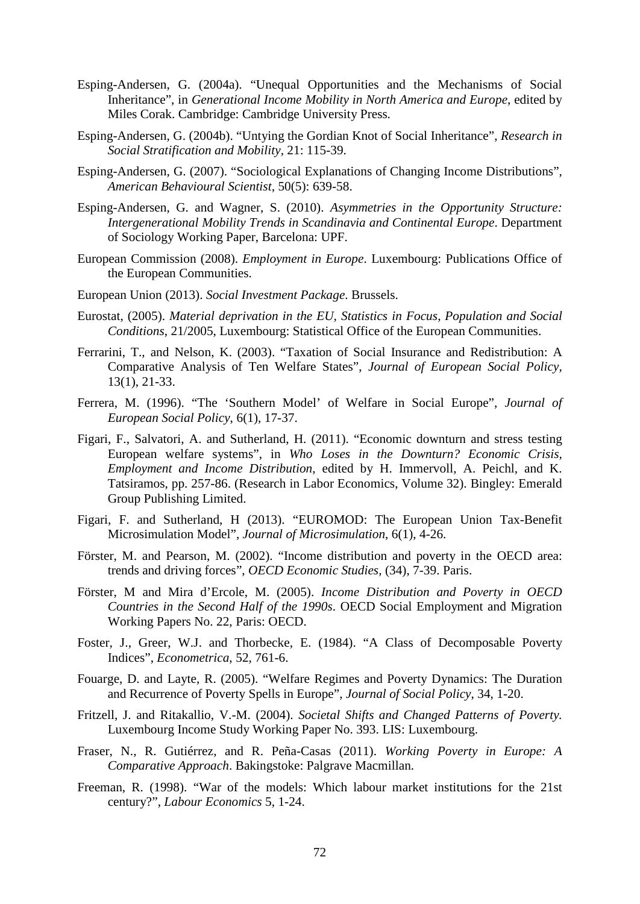- Esping-Andersen, G. (2004a). "Unequal Opportunities and the Mechanisms of Social Inheritance", in *Generational Income Mobility in North America and Europe*, edited by Miles Corak. Cambridge: Cambridge University Press*.*
- Esping-Andersen, G. (2004b). "Untying the Gordian Knot of Social Inheritance", *Research in Social Stratification and Mobility,* 21: 115-39.
- Esping-Andersen, G. (2007). "Sociological Explanations of Changing Income Distributions", *American Behavioural Scientist,* 50(5): 639-58.
- Esping-Andersen, G. and Wagner, S. (2010). *Asymmetries in the Opportunity Structure: Intergenerational Mobility Trends in Scandinavia and Continental Europe*. Department of Sociology Working Paper, Barcelona: UPF.
- European Commission (2008). *Employment in Europe*. Luxembourg: Publications Office of the European Communities.
- European Union (2013). *Social Investment Package*. Brussels.
- Eurostat, (2005). *Material deprivation in the EU, Statistics in Focus, Population and Social Conditions*, 21/2005, Luxembourg: Statistical Office of the European Communities.
- Ferrarini, T., and Nelson, K. (2003). "Taxation of Social Insurance and Redistribution: A Comparative Analysis of Ten Welfare States", *Journal of European Social Policy,* 13(1), 21-33.
- Ferrera, M. (1996). "The 'Southern Model' of Welfare in Social Europe", *Journal of European Social Policy*, 6(1), 17-37.
- Figari, F., Salvatori, A. and Sutherland, H. (2011). "Economic downturn and stress testing European welfare systems", in *Who Loses in the Downturn? Economic Crisis, Employment and Income Distribution*, edited by H. Immervoll, A. Peichl, and K. Tatsiramos, pp. 257-86. (Research in Labor Economics, Volume 32). Bingley: Emerald Group Publishing Limited.
- Figari, F. and Sutherland, H (2013). "EUROMOD: The European Union Tax-Benefit Microsimulation Model", *Journal of Microsimulation*, 6(1), 4-26.
- Förster, M. and Pearson, M. (2002). "Income distribution and poverty in the OECD area: trends and driving forces", *OECD Economic Studies,* (34), 7-39. Paris.
- Förster, M and Mira d'Ercole, M. (2005). *Income Distribution and Poverty in OECD Countries in the Second Half of the 1990s*. OECD Social Employment and Migration Working Papers No. 22, Paris: OECD.
- Foster, J., Greer, W.J. and Thorbecke, E. (1984). "A Class of Decomposable Poverty Indices", *Econometrica*, 52, 761-6.
- Fouarge, D. and Layte, R. (2005). "Welfare Regimes and Poverty Dynamics: The Duration and Recurrence of Poverty Spells in Europe", *Journal of Social Policy*, 34, 1-20.
- Fritzell, J. and Ritakallio, V.-M. (2004). *Societal Shifts and Changed Patterns of Poverty.*  Luxembourg Income Study Working Paper No. 393. LIS: Luxembourg.
- Fraser, N., R. Gutiérrez, and R. Peña-Casas (2011). *Working Poverty in Europe: A Comparative Approach*. Bakingstoke: Palgrave Macmillan.
- Freeman, R. (1998). "War of the models: Which labour market institutions for the 21st century?", *Labour Economics* 5, 1-24.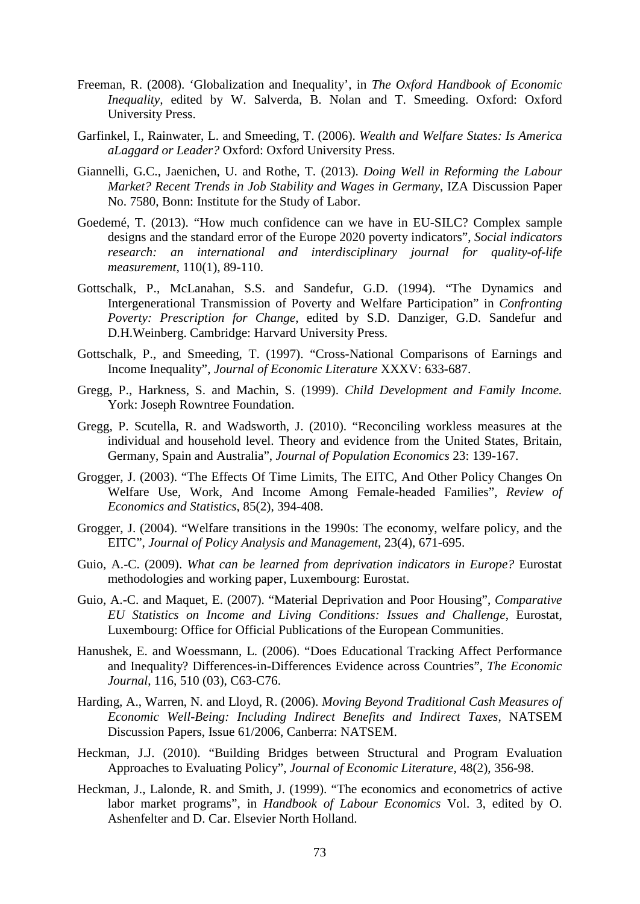- Freeman, R. (2008). 'Globalization and Inequality', in *The Oxford Handbook of Economic Inequality,* edited by W. Salverda, B. Nolan and T. Smeeding. Oxford: Oxford University Press.
- Garfinkel, I., Rainwater, L. and Smeeding, T. (2006). *Wealth and Welfare States: Is America aLaggard or Leader?* Oxford: Oxford University Press.
- Giannelli, G.C., Jaenichen, U. and Rothe, T. (2013). *Doing Well in Reforming the Labour Market? Recent Trends in Job Stability and Wages in Germany*, IZA Discussion Paper No. 7580, Bonn: Institute for the Study of Labor.
- Goedemé, T. (2013). "How much confidence can we have in EU-SILC? Complex sample designs and the standard error of the Europe 2020 poverty indicators", *Social indicators research: an international and interdisciplinary journal for quality-of-life measurement,* 110(1), 89-110.
- Gottschalk, P., McLanahan, S.S. and Sandefur, G.D. (1994). "The Dynamics and Intergenerational Transmission of Poverty and Welfare Participation" in *Confronting Poverty: Prescription for Change*, edited by S.D. Danziger, G.D. Sandefur and D.H.Weinberg. Cambridge: Harvard University Press.
- Gottschalk, P., and Smeeding, T. (1997). "Cross-National Comparisons of Earnings and Income Inequality", *Journal of Economic Literature* XXXV: 633-687.
- Gregg, P., Harkness, S. and Machin, S. (1999). *Child Development and Family Income.*  York: Joseph Rowntree Foundation.
- Gregg, P. Scutella, R. and Wadsworth, J. (2010). "Reconciling workless measures at the individual and household level. Theory and evidence from the United States, Britain, Germany, Spain and Australia", *Journal of Population Economics* 23: 139-167.
- Grogger, J. (2003). "The Effects Of Time Limits, The EITC, And Other Policy Changes On Welfare Use, Work, And Income Among Female-headed Families", *Review of Economics and Statistics*, 85(2), 394-408.
- Grogger, J. (2004). "Welfare transitions in the 1990s: The economy, welfare policy, and the EITC", *Journal of Policy Analysis and Management*, 23(4), 671-695.
- Guio, A.-C. (2009). *What can be learned from deprivation indicators in Europe?* Eurostat methodologies and working paper, Luxembourg: Eurostat.
- Guio, A.-C. and Maquet, E. (2007). "Material Deprivation and Poor Housing", *Comparative EU Statistics on Income and Living Conditions: Issues and Challenge*, Eurostat, Luxembourg: Office for Official Publications of the European Communities.
- Hanushek, E. and Woessmann, L. (2006). "Does Educational Tracking Affect Performance and Inequality? Differences-in-Differences Evidence across Countries", *The Economic Journal*, 116, 510 (03), C63-C76.
- Harding, A., Warren, N. and Lloyd, R. (2006). *Moving Beyond Traditional Cash Measures of Economic Well-Being: Including Indirect Benefits and Indirect Taxes*, NATSEM Discussion Papers, Issue 61/2006, Canberra: NATSEM.
- Heckman, J.J. (2010). "Building Bridges between Structural and Program Evaluation Approaches to Evaluating Policy", *Journal of Economic Literature*, 48(2), 356-98.
- Heckman, J., Lalonde, R. and Smith, J. (1999). "The economics and econometrics of active labor market programs", in *Handbook of Labour Economics* Vol. 3, edited by O. Ashenfelter and D. Car. Elsevier North Holland.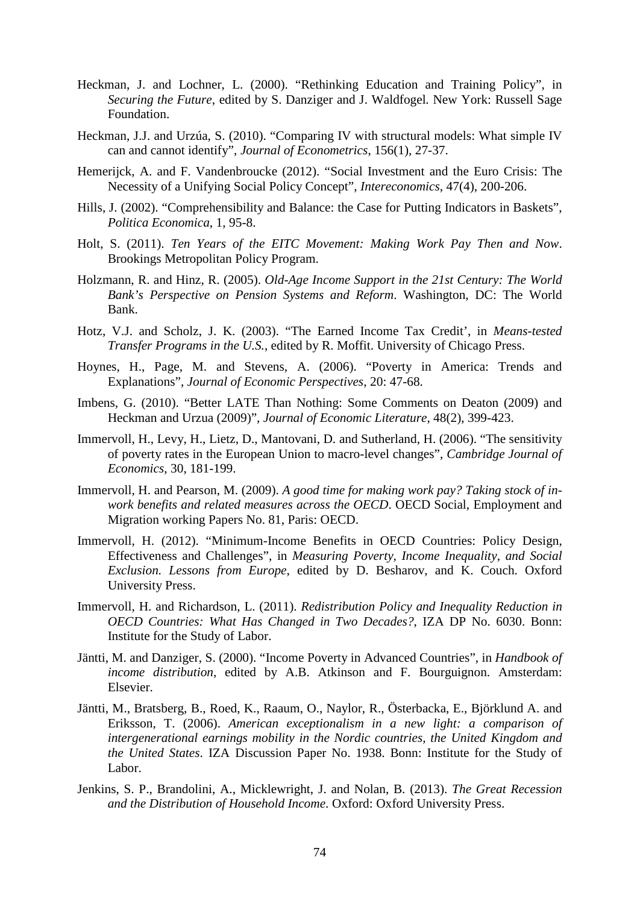- Heckman, J. and Lochner, L. (2000). "Rethinking Education and Training Policy", in *Securing the Future*, edited by S. Danziger and J. Waldfogel*.* New York: Russell Sage Foundation.
- Heckman, J.J. and Urzúa, S. (2010). "Comparing IV with structural models: What simple IV can and cannot identify", *Journal of Econometrics*, 156(1), 27-37.
- Hemerijck, A. and F. Vandenbroucke (2012). "Social Investment and the Euro Crisis: The Necessity of a Unifying Social Policy Concept", *Intereconomics*, 47(4), 200-206.
- Hills, J. (2002). "Comprehensibility and Balance: the Case for Putting Indicators in Baskets", *Politica Economica*, 1, 95-8.
- Holt, S. (2011). *Ten Years of the EITC Movement: Making Work Pay Then and Now*. Brookings Metropolitan Policy Program.
- Holzmann, R. and Hinz, R. (2005). *Old-Age Income Support in the 21st Century: The World Bank's Perspective on Pension Systems and Reform*. Washington, DC: The World Bank.
- Hotz, V.J. and Scholz, J. K. (2003). "The Earned Income Tax Credit', in *Means-tested Transfer Programs in the U.S.*, edited by R. Moffit. University of Chicago Press.
- Hoynes, H., Page, M. and Stevens, A. (2006). "Poverty in America: Trends and Explanations", *Journal of Economic Perspectives*, 20: 47-68.
- Imbens, G. (2010). "Better LATE Than Nothing: Some Comments on Deaton (2009) and Heckman and Urzua (2009)", *Journal of Economic Literature*, 48(2), 399-423.
- Immervoll, H., Levy, H., Lietz, D., Mantovani, D. and Sutherland, H. (2006). "The sensitivity of poverty rates in the European Union to macro-level changes", *Cambridge Journal of Economics*, 30, 181-199.
- Immervoll, H. and Pearson, M. (2009). *A good time for making work pay? Taking stock of inwork benefits and related measures across the OECD*. OECD Social, Employment and Migration working Papers No. 81, Paris: OECD.
- Immervoll, H. (2012). "Minimum-Income Benefits in OECD Countries: Policy Design, Effectiveness and Challenges", in *Measuring Poverty, Income Inequality, and Social Exclusion. Lessons from Europe*, edited by D. Besharov, and K. Couch. Oxford University Press.
- Immervoll, H. and Richardson, L. (2011). *Redistribution Policy and Inequality Reduction in OECD Countries: What Has Changed in Two Decades?*, IZA DP No. 6030. Bonn: Institute for the Study of Labor.
- Jäntti, M. and Danziger, S. (2000). "Income Poverty in Advanced Countries", in *Handbook of income distribution,* edited by A.B. Atkinson and F. Bourguignon. Amsterdam: Elsevier.
- Jäntti, M., Bratsberg, B., Roed, K., Raaum, O., Naylor, R., Österbacka, E., Björklund A. and Eriksson, T. (2006). *American exceptionalism in a new light: a comparison of intergenerational earnings mobility in the Nordic countries, the United Kingdom and the United States*. IZA Discussion Paper No. 1938. Bonn: Institute for the Study of Labor.
- Jenkins, S. P., Brandolini, A., Micklewright, J. and Nolan, B. (2013). *The Great Recession and the Distribution of Household Income*. Oxford: Oxford University Press.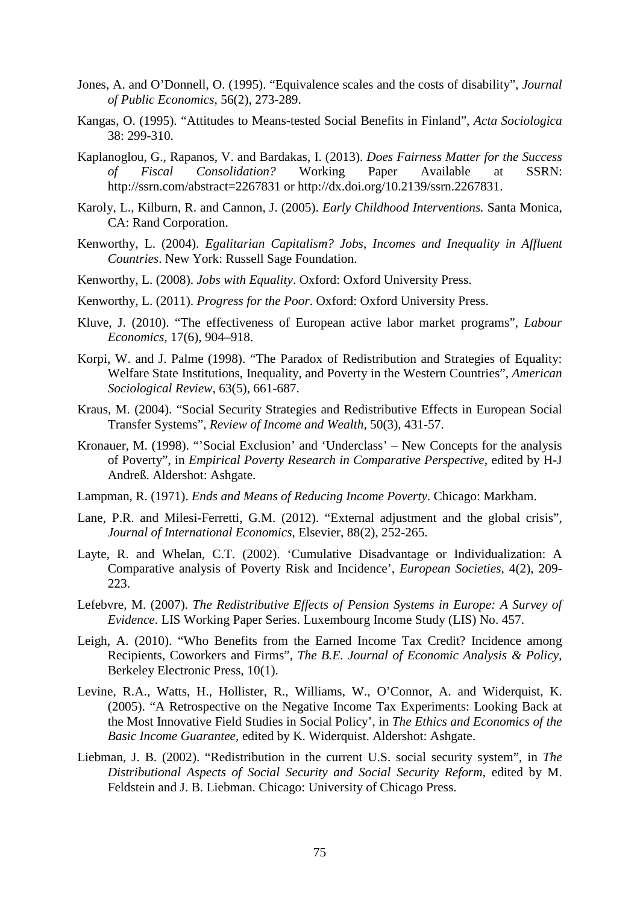- Jones, A. and O'Donnell, O. (1995). "Equivalence scales and the costs of disability", *Journal of Public Economics*, 56(2), 273-289.
- Kangas, O. (1995). "Attitudes to Means-tested Social Benefits in Finland", *Acta Sociologica* 38: 299-310.
- Kaplanoglou, G., Rapanos, V. and Bardakas, I. (2013). *Does Fairness Matter for the Success of Fiscal Consolidation?* Working Paper Available at SSRN: http://ssrn.com/abstract=2267831 or http://dx.doi.org/10.2139/ssrn.2267831.
- Karoly, L., Kilburn, R. and Cannon, J. (2005). *Early Childhood Interventions.* Santa Monica, CA: Rand Corporation.
- Kenworthy, L. (2004). *Egalitarian Capitalism? Jobs, Incomes and Inequality in Affluent Countries*. New York: Russell Sage Foundation.
- Kenworthy, L. (2008). *Jobs with Equality*. Oxford: Oxford University Press.
- Kenworthy, L. (2011). *Progress for the Poor*. Oxford: Oxford University Press.
- Kluve, J. (2010). "The effectiveness of European active labor market programs", *Labour Economics*, 17(6), 904–918.
- Korpi, W. and J. Palme (1998). "The Paradox of Redistribution and Strategies of Equality: Welfare State Institutions, Inequality, and Poverty in the Western Countries", *American Sociological Review,* 63(5), 661-687.
- Kraus, M. (2004). "Social Security Strategies and Redistributive Effects in European Social Transfer Systems", *Review of Income and Wealth*, 50(3), 431-57.
- Kronauer, M. (1998). "'Social Exclusion' and 'Underclass' New Concepts for the analysis of Poverty", in *Empirical Poverty Research in Comparative Perspective,* edited by H-J Andreß. Aldershot: Ashgate.
- Lampman, R. (1971). *Ends and Means of Reducing Income Poverty*. Chicago: Markham.
- Lane, P.R. and Milesi-Ferretti, G.M. (2012). "External adjustment and the global crisis", *Journal of International Economics*, Elsevier, 88(2), 252-265.
- Layte, R. and Whelan, C.T. (2002). 'Cumulative Disadvantage or Individualization: A Comparative analysis of Poverty Risk and Incidence', *European Societies*, 4(2), 209- 223.
- Lefebvre, M. (2007). *The Redistributive Effects of Pension Systems in Europe: A Survey of Evidence*. LIS Working Paper Series. Luxembourg Income Study (LIS) No. 457.
- Leigh, A. (2010). "Who Benefits from the Earned Income Tax Credit? Incidence among Recipients, Coworkers and Firms", *The B.E. Journal of Economic Analysis & Policy*, Berkeley Electronic Press, 10(1).
- Levine, R.A., Watts, H., Hollister, R., Williams, W., O'Connor, A. and Widerquist, K. (2005). "A Retrospective on the Negative Income Tax Experiments: Looking Back at the Most Innovative Field Studies in Social Policy', in *The Ethics and Economics of the Basic Income Guarantee,* edited by K. Widerquist. Aldershot: Ashgate.
- Liebman, J. B. (2002). "Redistribution in the current U.S. social security system", in *The Distributional Aspects of Social Security and Social Security Reform*, edited by M. Feldstein and J. B. Liebman. Chicago: University of Chicago Press.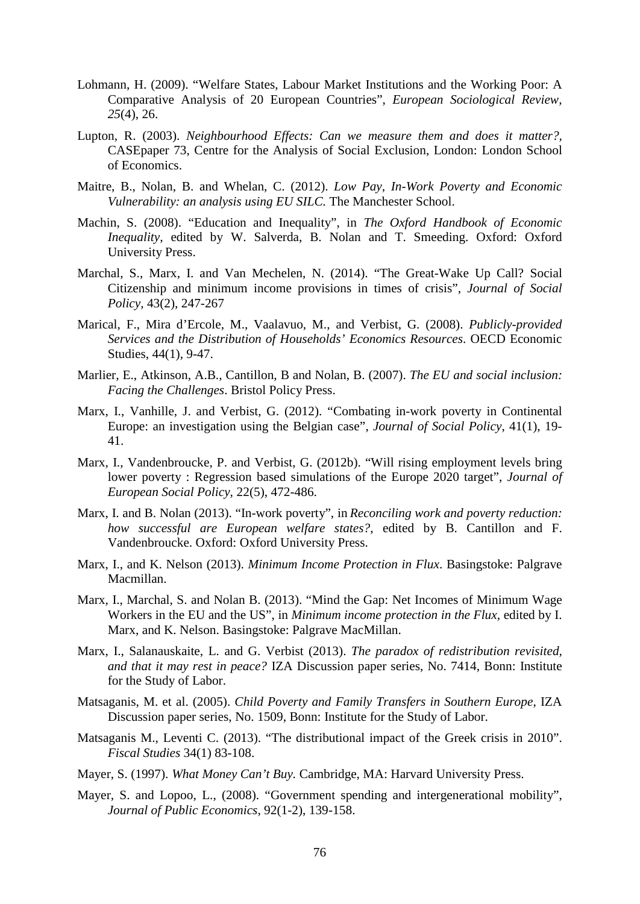- Lohmann, H. (2009). "Welfare States, Labour Market Institutions and the Working Poor: A Comparative Analysis of 20 European Countries", *European Sociological Review, 25*(4), 26.
- Lupton, R. (2003). *Neighbourhood Effects: Can we measure them and does it matter?,* CASEpaper 73, Centre for the Analysis of Social Exclusion, London: London School of Economics.
- Maitre, B., Nolan, B. and Whelan, C. (2012). *Low Pay, In-Work Poverty and Economic Vulnerability: an analysis using EU SILC.* The Manchester School.
- Machin, S. (2008). "Education and Inequality", in *The Oxford Handbook of Economic Inequality, edited by W. Salverda, B. Nolan and T. Smeeding. Oxford: Oxford* University Press.
- Marchal, S., Marx, I. and Van Mechelen, N. (2014). "The Great-Wake Up Call? Social Citizenship and minimum income provisions in times of crisis", *Journal of Social Policy,* 43(2), 247-267
- Marical, F., Mira d'Ercole, M., Vaalavuo, M., and Verbist, G. (2008). *Publicly-provided Services and the Distribution of Households' Economics Resources*. OECD Economic Studies, 44(1), 9-47.
- Marlier, E., Atkinson, A.B., Cantillon, B and Nolan, B. (2007). *The EU and social inclusion: Facing the Challenges*. Bristol Policy Press.
- Marx, I., Vanhille, J. and Verbist, G. (2012). "Combating in-work poverty in Continental Europe: an investigation using the Belgian case", *Journal of Social Policy*, 41(1), 19- 41.
- Marx, I., Vandenbroucke, P. and Verbist, G. (2012b). "Will rising employment levels bring lower poverty : Regression based simulations of the Europe 2020 target", *Journal of European Social Policy,* 22(5), 472-486.
- Marx, I. and B. Nolan (2013). "In-work poverty", in *Reconciling work and poverty reduction: how successful are European welfare states?*, edited by B. Cantillon and F. Vandenbroucke. Oxford: Oxford University Press.
- Marx, I., and K. Nelson (2013). *Minimum Income Protection in Flux*. Basingstoke: Palgrave Macmillan.
- Marx, I., Marchal, S. and Nolan B. (2013). "Mind the Gap: Net Incomes of Minimum Wage Workers in the EU and the US", in *Minimum income protection in the Flux,* edited by I. Marx, and K. Nelson. Basingstoke: Palgrave MacMillan.
- Marx, I., Salanauskaite, L. and G. Verbist (2013). *The paradox of redistribution revisited, and that it may rest in peace?* IZA Discussion paper series, No. 7414, Bonn: Institute for the Study of Labor.
- Matsaganis, M. et al. (2005). *Child Poverty and Family Transfers in Southern Europe*, IZA Discussion paper series, No. 1509, Bonn: Institute for the Study of Labor.
- Matsaganis M., Leventi C. (2013). "The distributional impact of the Greek crisis in 2010". *Fiscal Studies* 34(1) 83-108.
- Mayer, S. (1997). *What Money Can't Buy.* Cambridge, MA: Harvard University Press.
- Mayer, S. and Lopoo, L., (2008). "Government spending and intergenerational mobility", *Journal of Public Economics*, 92(1-2), 139-158.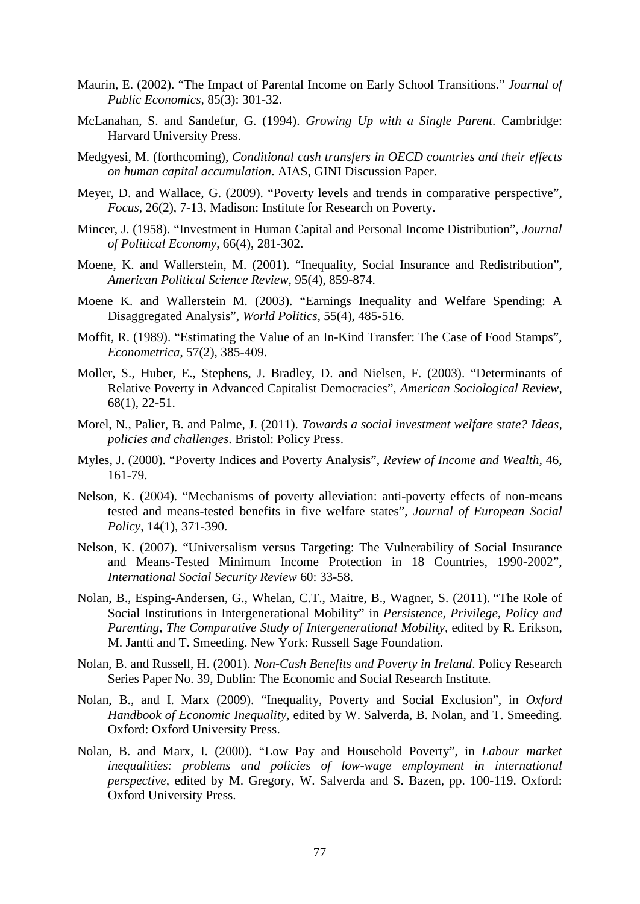- Maurin, E. (2002). "The Impact of Parental Income on Early School Transitions." *Journal of Public Economics,* 85(3): 301-32.
- McLanahan, S. and Sandefur, G. (1994). *Growing Up with a Single Parent*. Cambridge: Harvard University Press.
- Medgyesi, M. (forthcoming), *Conditional cash transfers in OECD countries and their effects on human capital accumulation*. AIAS, GINI Discussion Paper.
- Meyer, D. and Wallace, G. (2009). "Poverty levels and trends in comparative perspective", *Focus*, 26(2), 7-13, Madison: Institute for Research on Poverty.
- Mincer, J. (1958). "Investment in Human Capital and Personal Income Distribution", *Journal of Political Economy*, 66(4), 281-302.
- Moene, K. and Wallerstein, M. (2001). "Inequality, Social Insurance and Redistribution", *American Political Science Review*, 95(4), 859-874.
- Moene K. and Wallerstein M. (2003). "Earnings Inequality and Welfare Spending: A Disaggregated Analysis", *World Politics*, 55(4), 485-516.
- Moffit, R. (1989). "Estimating the Value of an In-Kind Transfer: The Case of Food Stamps", *Econometrica*, 57(2), 385-409.
- Moller, S., Huber, E., Stephens, J. Bradley, D. and Nielsen, F. (2003). "Determinants of Relative Poverty in Advanced Capitalist Democracies", *American Sociological Review*, 68(1), 22-51.
- Morel, N., Palier, B. and Palme, J. (2011). *Towards a social investment welfare state? Ideas, policies and challenges*. Bristol: Policy Press.
- Myles, J. (2000). "Poverty Indices and Poverty Analysis", *Review of Income and Wealth,* 46, 161-79.
- Nelson, K. (2004). "Mechanisms of poverty alleviation: anti-poverty effects of non-means tested and means-tested benefits in five welfare states", *Journal of European Social Policy*, 14(1), 371-390.
- Nelson, K. (2007). "Universalism versus Targeting: The Vulnerability of Social Insurance and Means-Tested Minimum Income Protection in 18 Countries, 1990-2002", *International Social Security Review* 60: 33-58.
- Nolan, B., Esping-Andersen, G., Whelan, C.T., Maitre, B., Wagner, S. (2011). "The Role of Social Institutions in Intergenerational Mobility" in *Persistence, Privilege, Policy and Parenting, The Comparative Study of Intergenerational Mobility, edited by R. Erikson,* M. Jantti and T. Smeeding. New York: Russell Sage Foundation.
- Nolan, B. and Russell, H. (2001). *Non-Cash Benefits and Poverty in Ireland*. Policy Research Series Paper No. 39, Dublin: The Economic and Social Research Institute.
- Nolan, B., and I. Marx (2009). "Inequality, Poverty and Social Exclusion", in *Oxford Handbook of Economic Inequality,* edited by W. Salverda, B. Nolan, and T. Smeeding. Oxford: Oxford University Press.
- Nolan, B. and Marx, I. (2000). "Low Pay and Household Poverty", in *Labour market inequalities: problems and policies of low-wage employment in international perspective,* edited by M. Gregory, W. Salverda and S. Bazen*,* pp. 100-119. Oxford: Oxford University Press.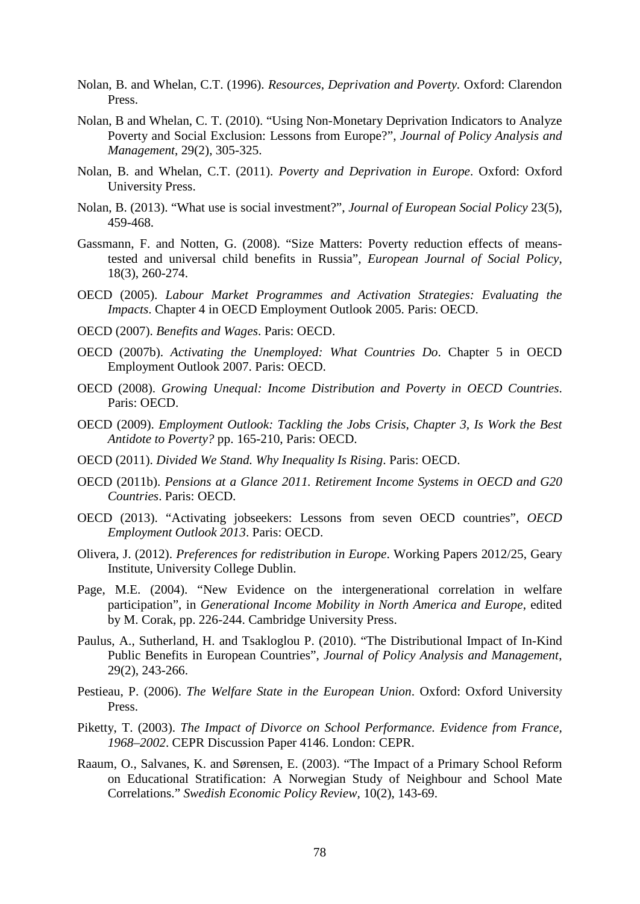- Nolan, B. and Whelan, C.T. (1996). *Resources, Deprivation and Poverty.* Oxford: Clarendon Press.
- Nolan, B and Whelan, C. T. (2010). "Using Non-Monetary Deprivation Indicators to Analyze Poverty and Social Exclusion: Lessons from Europe?", *Journal of Policy Analysis and Management*, 29(2), 305-325.
- Nolan, B. and Whelan, C.T. (2011). *Poverty and Deprivation in Europe*. Oxford: Oxford University Press.
- Nolan, B. (2013). "What use is social investment?", *Journal of European Social Policy* 23(5), 459-468.
- Gassmann, F. and Notten, G. (2008). "Size Matters: Poverty reduction effects of meanstested and universal child benefits in Russia", *European Journal of Social Policy*, 18(3), 260-274.
- OECD (2005). *Labour Market Programmes and Activation Strategies: Evaluating the Impacts*. Chapter 4 in OECD Employment Outlook 2005. Paris: OECD.
- OECD (2007). *Benefits and Wages*. Paris: OECD.
- OECD (2007b). *Activating the Unemployed: What Countries Do*. Chapter 5 in OECD Employment Outlook 2007. Paris: OECD.
- OECD (2008). *Growing Unequal: Income Distribution and Poverty in OECD Countries*. Paris: OECD.
- OECD (2009). *Employment Outlook: Tackling the Jobs Crisis, Chapter 3, Is Work the Best Antidote to Poverty?* pp. 165-210, Paris: OECD.
- OECD (2011). *Divided We Stand. Why Inequality Is Rising*. Paris: OECD.
- OECD (2011b). *Pensions at a Glance 2011. Retirement Income Systems in OECD and G20 Countries*. Paris: OECD.
- OECD (2013). "Activating jobseekers: Lessons from seven OECD countries", *OECD Employment Outlook 2013*. Paris: OECD.
- Olivera, J. (2012). *Preferences for redistribution in Europe*. Working Papers 2012/25, Geary Institute, University College Dublin.
- Page, M.E. (2004). "New Evidence on the intergenerational correlation in welfare participation", in *Generational Income Mobility in North America and Europe*, edited by M. Corak, pp. 226-244. Cambridge University Press.
- Paulus, A., Sutherland, H. and Tsakloglou P. (2010). "The Distributional Impact of In-Kind Public Benefits in European Countries", *Journal of Policy Analysis and Management*, 29(2), 243-266.
- Pestieau, P. (2006). *The Welfare State in the European Union*. Oxford: Oxford University Press.
- Piketty, T. (2003). *The Impact of Divorce on School Performance. Evidence from France, 1968–2002*. CEPR Discussion Paper 4146. London: CEPR.
- Raaum, O., Salvanes, K. and Sørensen, E. (2003). "The Impact of a Primary School Reform on Educational Stratification: A Norwegian Study of Neighbour and School Mate Correlations." *Swedish Economic Policy Review,* 10(2), 143-69.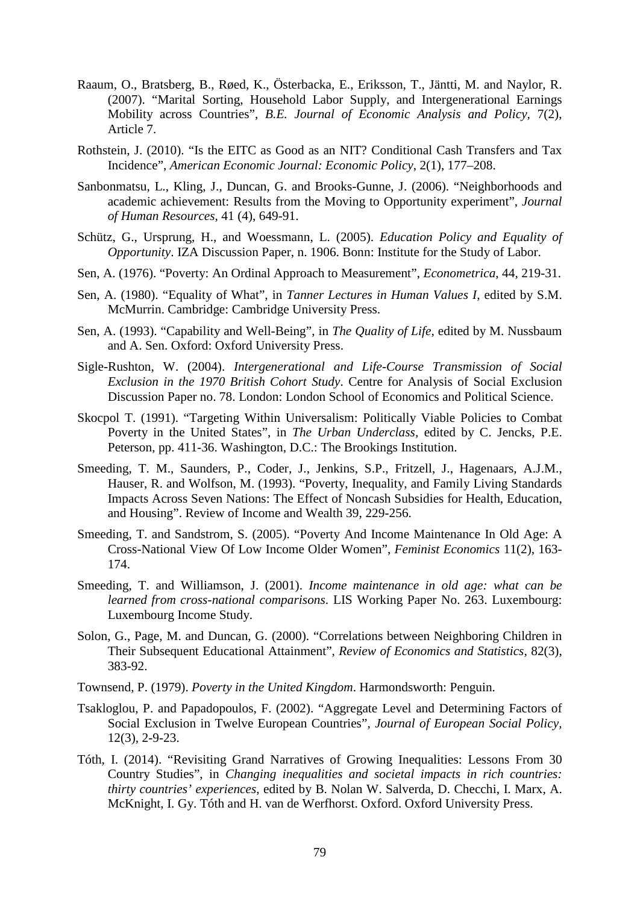- Raaum, O., Bratsberg, B., Røed, K., Österbacka, E., Eriksson, T., Jäntti, M. and Naylor, R. (2007). ["Marital Sorting, Household Labor Supply, and Intergenerational Earnings](http://www.bepress.com/bejeap/vol7/iss2/art7)  [Mobility across Countries"](http://www.bepress.com/bejeap/vol7/iss2/art7), *B.E. Journal of Economic Analysis and Policy,* 7(2), Article 7.
- Rothstein, J. (2010). "Is the EITC as Good as an NIT? Conditional Cash Transfers and Tax Incidence", *American Economic Journal: Economic Policy*, 2(1), 177–208.
- Sanbonmatsu, L., Kling, J., Duncan, G. and Brooks-Gunne, J. (2006). "Neighborhoods and academic achievement: Results from the Moving to Opportunity experiment", *Journal of Human Resources*, 41 (4), 649-91.
- Schütz, G., Ursprung, H., and Woessmann, L. (2005). *Education Policy and Equality of Opportunity*. IZA Discussion Paper, n. 1906. Bonn: Institute for the Study of Labor.
- Sen, A. (1976). "Poverty: An Ordinal Approach to Measurement", *Econometrica*, 44, 219-31.
- Sen, A. (1980). "Equality of What", in *Tanner Lectures in Human Values I*, edited by S.M. McMurrin. Cambridge: Cambridge University Press.
- Sen, A. (1993). "Capability and Well-Being", in *The Quality of Life,* edited by M. Nussbaum and A. Sen. Oxford: Oxford University Press.
- Sigle-Rushton, W. (2004). *Intergenerational and Life-Course Transmission of Social Exclusion in the 1970 British Cohort Study*. Centre for Analysis of Social Exclusion Discussion Paper no. 78. London: London School of Economics and Political Science.
- Skocpol T. (1991). "Targeting Within Universalism: Politically Viable Policies to Combat Poverty in the United States", in *The Urban Underclass,* edited by C. Jencks, P.E. Peterson, pp. 411-36. Washington, D.C.: The Brookings Institution.
- Smeeding, T. M., Saunders, P., Coder, J., Jenkins, S.P., Fritzell, J., Hagenaars, A.J.M., Hauser, R. and Wolfson, M. (1993). "Poverty, Inequality, and Family Living Standards Impacts Across Seven Nations: The Effect of Noncash Subsidies for Health, Education, and Housing". Review of Income and Wealth 39, 229-256.
- Smeeding, T. and Sandstrom, S. (2005). "Poverty And Income Maintenance In Old Age: A Cross-National View Of Low Income Older Women", *Feminist Economics* 11(2), 163- 174.
- Smeeding, T. and Williamson, J. (2001). *Income maintenance in old age: what can be learned from cross-national comparisons*. LIS Working Paper No. 263. Luxembourg: Luxembourg Income Study.
- Solon, G., Page, M. and Duncan, G. (2000). "Correlations between Neighboring Children in Their Subsequent Educational Attainment", *Review of Economics and Statistics,* 82(3), 383-92.
- Townsend, P. (1979). *Poverty in the United Kingdom*. Harmondsworth: Penguin.
- Tsakloglou, P. and Papadopoulos, F. (2002). "Aggregate Level and Determining Factors of Social Exclusion in Twelve European Countries", *Journal of European Social Policy,* 12(3), 2-9-23.
- Tóth, I. (2014). "Revisiting Grand Narratives of Growing Inequalities: Lessons From 30 Country Studies", in *Changing inequalities and societal impacts in rich countries: thirty countries' experiences*, edited by B. Nolan W. Salverda, D. Checchi, I. Marx, A. McKnight, I. Gy. Tóth and H. van de Werfhorst. Oxford. Oxford University Press.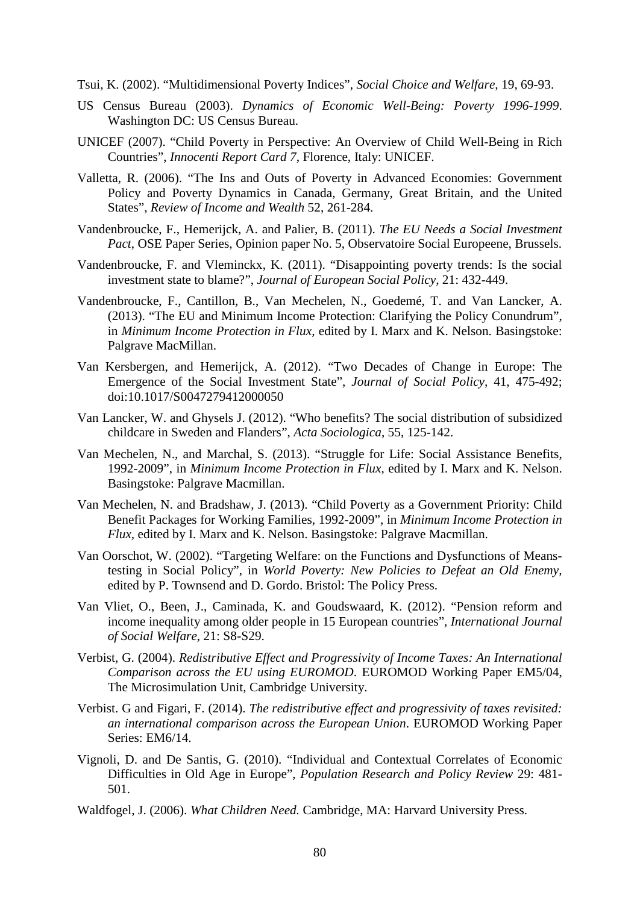Tsui, K. (2002). "Multidimensional Poverty Indices", *Social Choice and Welfare,* 19, 69-93.

- US Census Bureau (2003). *Dynamics of Economic Well-Being: Poverty 1996-1999*. Washington DC: US Census Bureau.
- UNICEF (2007). "Child Poverty in Perspective: An Overview of Child Well-Being in Rich Countries", *Innocenti Report Card 7*, Florence, Italy: UNICEF.
- Valletta, R. (2006). "The Ins and Outs of Poverty in Advanced Economies: Government Policy and Poverty Dynamics in Canada, Germany, Great Britain, and the United States", *Review of Income and Wealth* 52, 261-284.
- Vandenbroucke, F., Hemerijck, A. and Palier, B. (2011). *The EU Needs a Social Investment Pact*, OSE Paper Series, Opinion paper No. 5, Observatoire Social Europeene, Brussels.
- Vandenbroucke, F. and Vleminckx, K. (2011). "Disappointing poverty trends: Is the social investment state to blame?", *Journal of European Social Policy*, 21: 432-449.
- Vandenbroucke, F., Cantillon, B., Van Mechelen, N., Goedemé, T. and Van Lancker, A. (2013). "The EU and Minimum Income Protection: Clarifying the Policy Conundrum", in *Minimum Income Protection in Flux,* edited by I. Marx and K. Nelson. Basingstoke: Palgrave MacMillan.
- Van Kersbergen, and Hemerijck, A. (2012). "Two Decades of Change in Europe: The Emergence of the Social Investment State", *Journal of Social Policy,* 41, 475-492; doi:10.1017/S0047279412000050
- Van Lancker, W. and Ghysels J. (2012). "Who benefits? The social distribution of subsidized childcare in Sweden and Flanders", *Acta Sociologica*, 55, 125-142.
- Van Mechelen, N., and Marchal, S. (2013). "Struggle for Life: Social Assistance Benefits, 1992-2009", in *Minimum Income Protection in Flux*, edited by I. Marx and K. Nelson. Basingstoke: Palgrave Macmillan.
- Van Mechelen, N. and Bradshaw, J. (2013). "Child Poverty as a Government Priority: Child Benefit Packages for Working Families, 1992-2009", in *Minimum Income Protection in Flux,* edited by I. Marx and K. Nelson. Basingstoke: Palgrave Macmillan.
- Van Oorschot, W. (2002). "Targeting Welfare: on the Functions and Dysfunctions of Meanstesting in Social Policy", in *World Poverty: New Policies to Defeat an Old Enemy,*  edited by P. Townsend and D. Gordo. Bristol: The Policy Press.
- Van Vliet, O., Been, J., Caminada, K. and Goudswaard, K. (2012). "Pension reform and income inequality among older people in 15 European countries", *International Journal of Social Welfare*, 21: S8-S29.
- Verbist, G. (2004). *Redistributive Effect and Progressivity of Income Taxes: An International Comparison across the EU using EUROMOD*. EUROMOD Working Paper EM5/04, The Microsimulation Unit, Cambridge University.
- Verbist. G and Figari, F. (2014). *The redistributive effect and progressivity of taxes revisited: an international comparison across the European Union*. EUROMOD Working Paper Series: EM6/14.
- Vignoli, D. and De Santis, G. (2010). "Individual and Contextual Correlates of Economic Difficulties in Old Age in Europe", *Population Research and Policy Review* 29: 481- 501.
- Waldfogel, J. (2006). *What Children Need.* Cambridge, MA: Harvard University Press.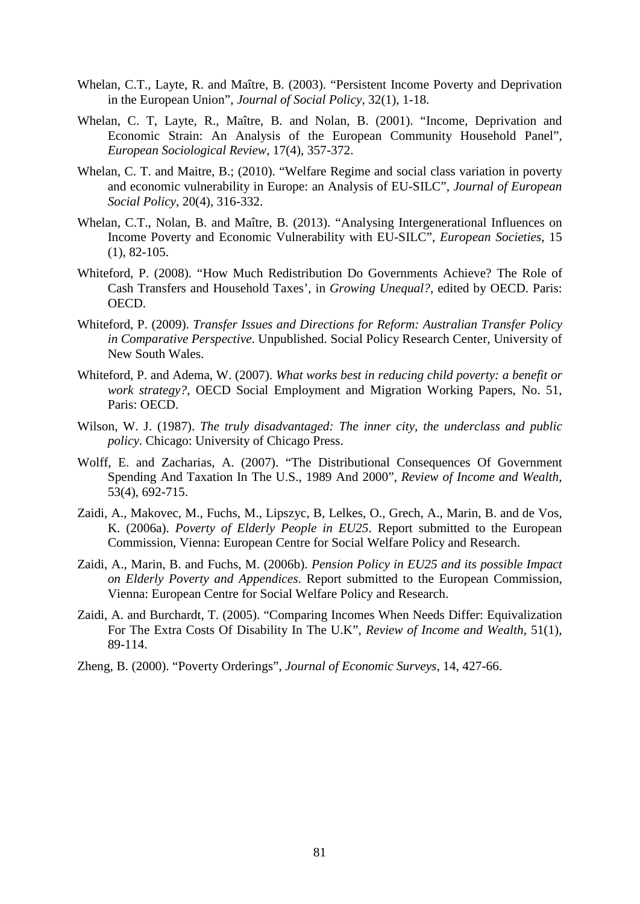- Whelan, C.T., Layte, R. and Maître, B. (2003). "Persistent Income Poverty and Deprivation in the European Union", *Journal of Social Policy*, 32(1), 1-18.
- Whelan, C. T, Layte, R., Maître, B. and Nolan, B. (2001). "Income, Deprivation and Economic Strain: An Analysis of the European Community Household Panel", *European Sociological Review,* 17(4), 357-372.
- Whelan, C. T. and Maitre, B.; (2010). "Welfare Regime and social class variation in poverty and economic vulnerability in Europe: an Analysis of EU-SILC", *Journal of European Social Policy*, 20(4), 316-332.
- Whelan, C.T., Nolan, B. and Maître, B. (2013). "Analysing Intergenerational Influences on Income Poverty and Economic Vulnerability with EU-SILC", *European Societies*, 15 (1), 82-105.
- Whiteford, P. (2008). "How Much Redistribution Do Governments Achieve? The Role of Cash Transfers and Household Taxes', in *Growing Unequal?*, edited by OECD. Paris: OECD.
- Whiteford, P. (2009). *Transfer Issues and Directions for Reform: Australian Transfer Policy in Comparative Perspective*. Unpublished. Social Policy Research Center, University of New South Wales.
- Whiteford, P. and Adema, W. (2007). *What works best in reducing child poverty: a benefit or work strategy?*, OECD Social Employment and Migration Working Papers, No. 51, Paris: OECD.
- Wilson, W. J. (1987). *The truly disadvantaged: The inner city, the underclass and public policy*. Chicago: University of Chicago Press.
- Wolff, E. and Zacharias, A. (2007). "The Distributional Consequences Of Government Spending And Taxation In The U.S., 1989 And 2000", *Review of Income and Wealth*, 53(4), 692-715.
- Zaidi, A., Makovec, M., Fuchs, M., Lipszyc, B, Lelkes, O., Grech, A., Marin, B. and de Vos, K. (2006a). *Poverty of Elderly People in EU25*. Report submitted to the European Commission, Vienna: European Centre for Social Welfare Policy and Research.
- Zaidi, A., Marin, B. and Fuchs, M. (2006b). *Pension Policy in EU25 and its possible Impact on Elderly Poverty and Appendices*. Report submitted to the European Commission, Vienna: European Centre for Social Welfare Policy and Research.
- Zaidi, A. and Burchardt, T. (2005). "Comparing Incomes When Needs Differ: Equivalization For The Extra Costs Of Disability In The U.K", *Review of Income and Wealth*, 51(1), 89-114.
- Zheng, B. (2000). "Poverty Orderings", *Journal of Economic Surveys*, 14, 427-66.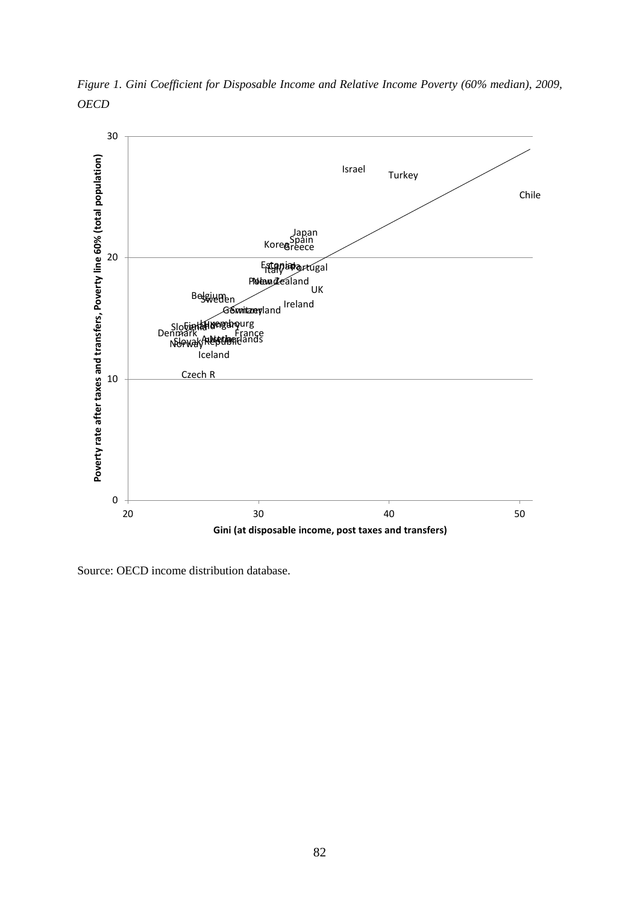*Figure 1. Gini Coefficient for Disposable Income and Relative Income Poverty (60% median), 2009, OECD*



Source: OECD income distribution database.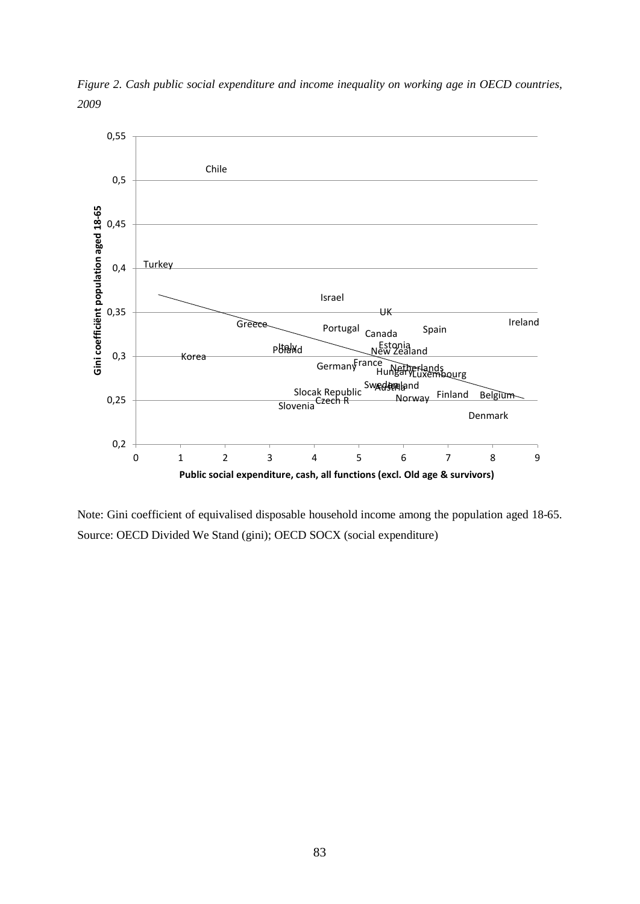*Figure 2. Cash public social expenditure and income inequality on working age in OECD countries, 2009*



Note: Gini coefficient of equivalised disposable household income among the population aged 18-65. Source: OECD Divided We Stand (gini); OECD SOCX (social expenditure)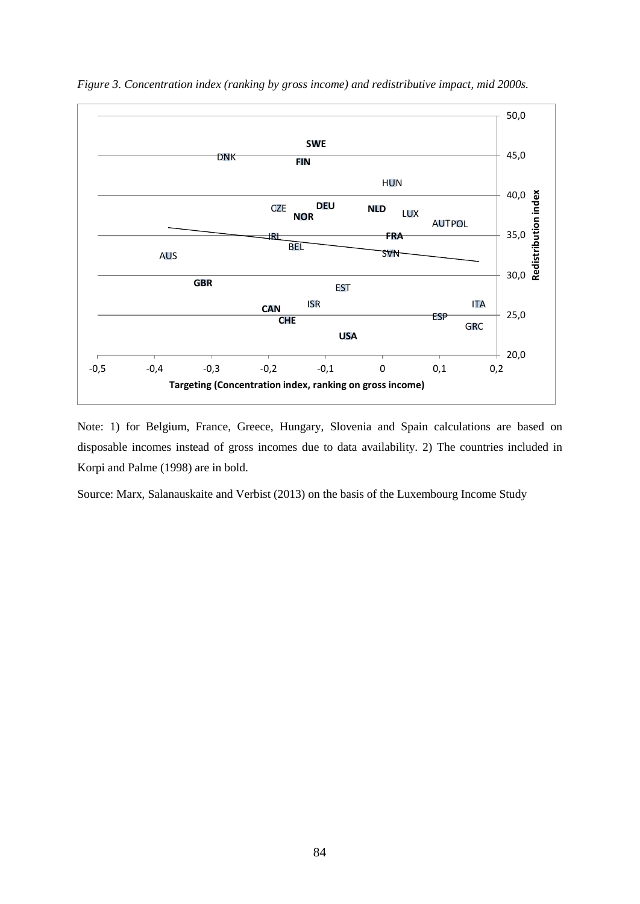

*Figure 3. Concentration index (ranking by gross income) and redistributive impact, mid 2000s.* 

Note: 1) for Belgium, France, Greece, Hungary, Slovenia and Spain calculations are based on disposable incomes instead of gross incomes due to data availability. 2) The countries included in Korpi and Palme (1998) are in bold.

Source: Marx, Salanauskaite and Verbist (2013) on the basis of the Luxembourg Income Study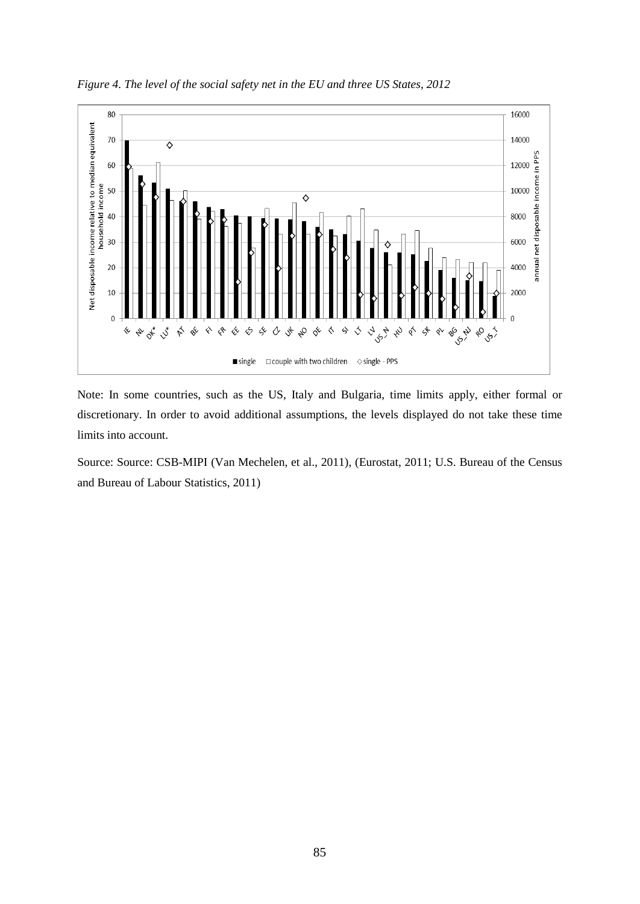

*Figure 4. The level of the social safety net in the EU and three US States, 2012*

Note: In some countries, such as the US, Italy and Bulgaria, time limits apply, either formal or discretionary. In order to avoid additional assumptions, the levels displayed do not take these time limits into account.

Source: Source: CSB-MIPI (Van Mechelen, et al., 2011), (Eurostat, 2011; U.S. Bureau of the Census and Bureau of Labour Statistics, 2011)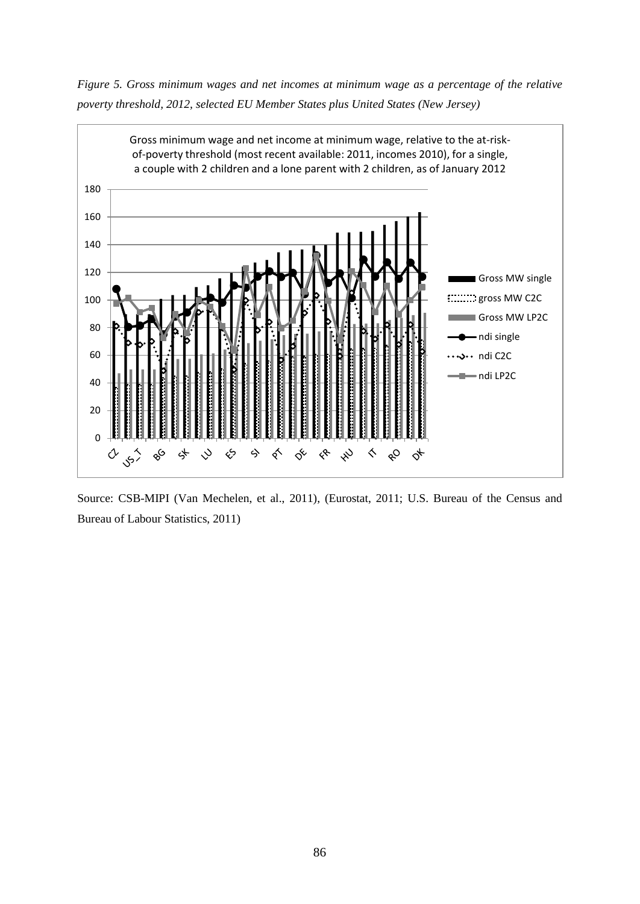*Figure 5. Gross minimum wages and net incomes at minimum wage as a percentage of the relative poverty threshold, 2012, selected EU Member States plus United States (New Jersey)*



Source: CSB-MIPI (Van Mechelen, et al., 2011), (Eurostat, 2011; U.S. Bureau of the Census and Bureau of Labour Statistics, 2011)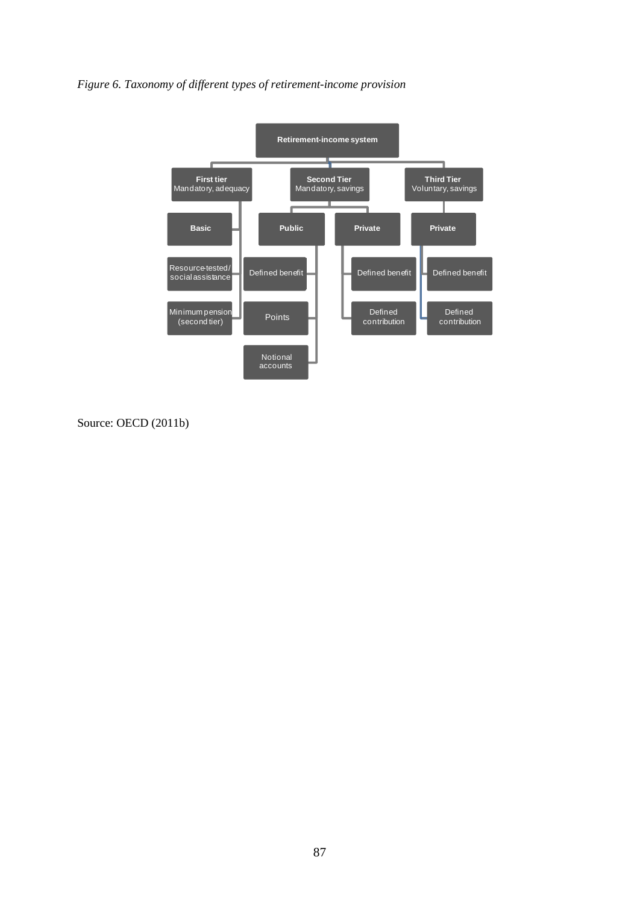## *Figure 6. Taxonomy of different types of retirement-income provision*



Source: OECD (2011b)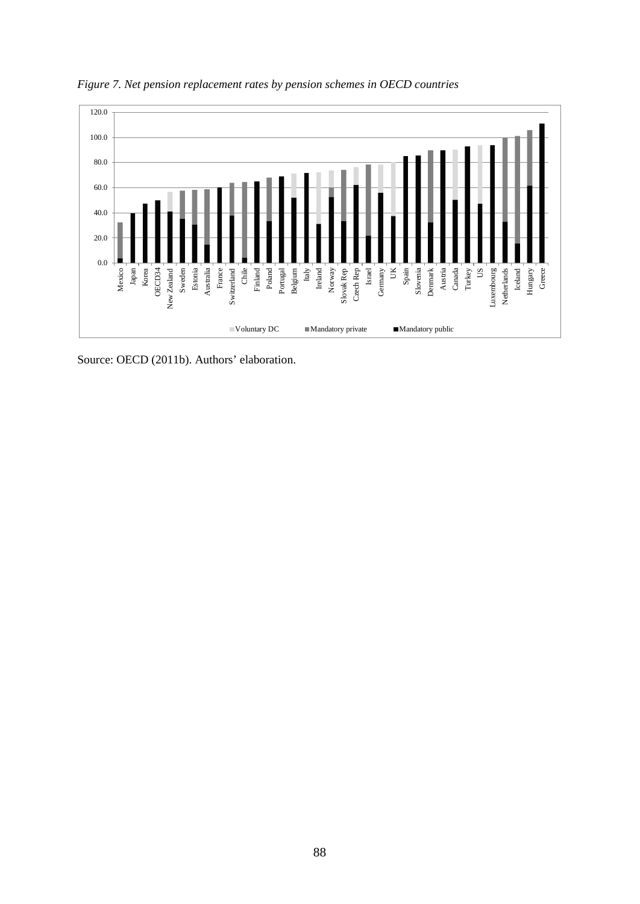

*Figure 7. Net pension replacement rates by pension schemes in OECD countries*

Source: OECD (2011b). Authors' elaboration.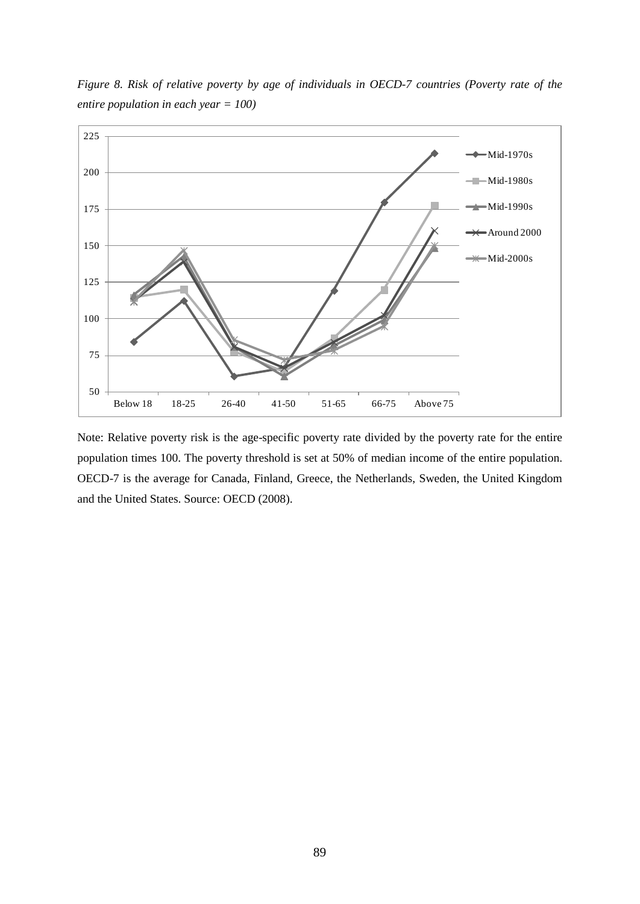

*Figure 8. Risk of relative poverty by age of individuals in OECD-7 countries (Poverty rate of the entire population in each year = 100)*

Note: Relative poverty risk is the age-specific poverty rate divided by the poverty rate for the entire population times 100. The poverty threshold is set at 50% of median income of the entire population. OECD-7 is the average for Canada, Finland, Greece, the Netherlands, Sweden, the United Kingdom and the United States. Source: OECD (2008).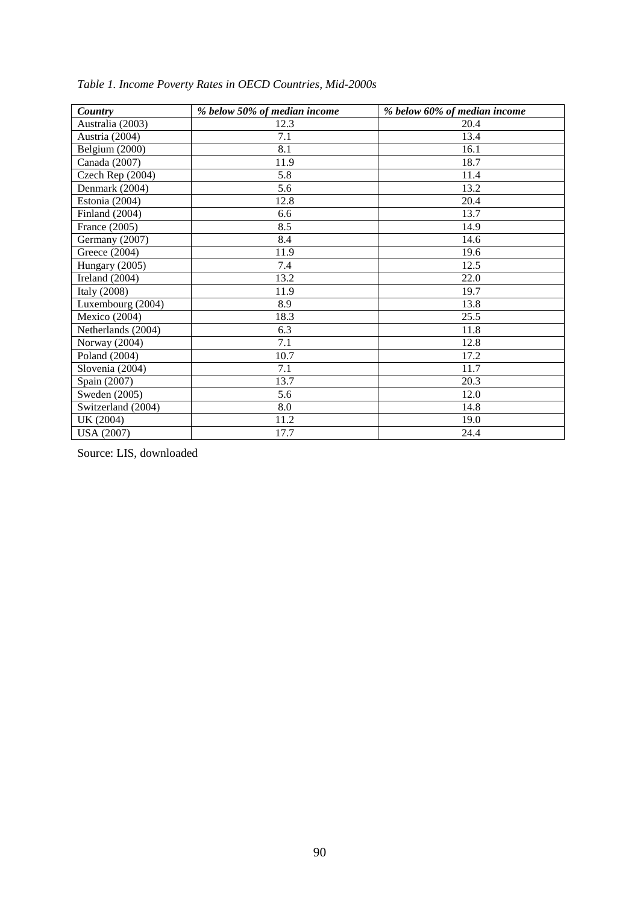| Country            | % below 50% of median income | % below 60% of median income |
|--------------------|------------------------------|------------------------------|
| Australia (2003)   | 12.3                         | 20.4                         |
| Austria (2004)     | 7.1                          | 13.4                         |
| Belgium (2000)     | 8.1                          | 16.1                         |
| Canada (2007)      | 11.9                         | 18.7                         |
| Czech Rep (2004)   | 5.8                          | 11.4                         |
| Denmark (2004)     | 5.6                          | 13.2                         |
| Estonia (2004)     | 12.8                         | 20.4                         |
| Finland (2004)     | 6.6                          | 13.7                         |
| France (2005)      | 8.5                          | 14.9                         |
| Germany (2007)     | 8.4                          | 14.6                         |
| Greece (2004)      | 11.9                         | 19.6                         |
| Hungary (2005)     | 7.4                          | 12.5                         |
| Ireland $(2004)$   | 13.2                         | 22.0                         |
| Italy (2008)       | 11.9                         | 19.7                         |
| Luxembourg (2004)  | 8.9                          | 13.8                         |
| Mexico (2004)      | 18.3                         | 25.5                         |
| Netherlands (2004) | 6.3                          | 11.8                         |
| Norway (2004)      | 7.1                          | 12.8                         |
| Poland (2004)      | 10.7                         | 17.2                         |
| Slovenia (2004)    | 7.1                          | 11.7                         |
| Spain (2007)       | 13.7                         | 20.3                         |
| Sweden (2005)      | 5.6                          | 12.0                         |
| Switzerland (2004) | 8.0                          | 14.8                         |
| UK (2004)          | 11.2                         | 19.0                         |
| <b>USA</b> (2007)  | 17.7                         | 24.4                         |

## *Table 1. Income Poverty Rates in OECD Countries, Mid-2000s*

Source: LIS, downloaded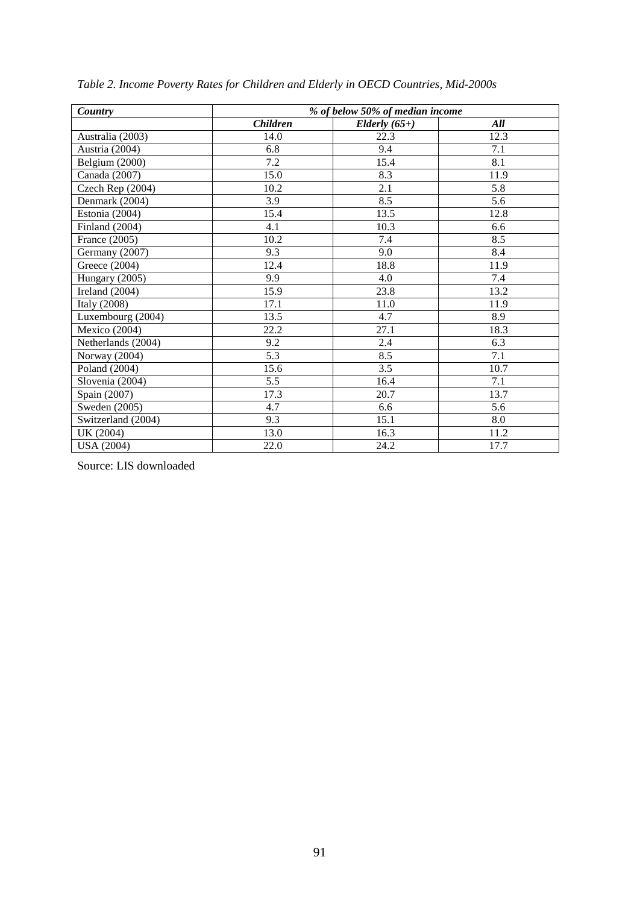| Country            | % of below 50% of median income |                 |      |  |  |
|--------------------|---------------------------------|-----------------|------|--|--|
|                    | <b>Children</b>                 | Elderly $(65+)$ | All  |  |  |
| Australia (2003)   | 14.0                            | 22.3            | 12.3 |  |  |
| Austria (2004)     | 6.8                             | 9.4             | 7.1  |  |  |
| Belgium (2000)     | 7.2                             | 15.4            | 8.1  |  |  |
| Canada (2007)      | 15.0                            | 8.3             | 11.9 |  |  |
| Czech Rep (2004)   | 10.2                            | 2.1             | 5.8  |  |  |
| Denmark (2004)     | 3.9                             | 8.5             | 5.6  |  |  |
| Estonia (2004)     | 15.4                            | 13.5            | 12.8 |  |  |
| Finland (2004)     | 4.1                             | 10.3            | 6.6  |  |  |
| France $(2005)$    | 10.2                            | 7.4             | 8.5  |  |  |
| Germany (2007)     | 9.3                             | 9.0             | 8.4  |  |  |
| Greece (2004)      | 12.4                            | 18.8            | 11.9 |  |  |
| Hungary (2005)     | 9.9                             | 4.0             | 7.4  |  |  |
| Ireland $(2004)$   | 15.9                            | 23.8            | 13.2 |  |  |
| Italy (2008)       | 17.1                            | 11.0            | 11.9 |  |  |
| Luxembourg (2004)  | 13.5                            | 4.7             | 8.9  |  |  |
| Mexico (2004)      | 22.2                            | 27.1            | 18.3 |  |  |
| Netherlands (2004) | 9.2                             | 2.4             | 6.3  |  |  |
| Norway (2004)      | 5.3                             | 8.5             | 7.1  |  |  |
| Poland (2004)      | 15.6                            | 3.5             | 10.7 |  |  |
| Slovenia (2004)    | 5.5                             | 16.4            | 7.1  |  |  |
| Spain (2007)       | 17.3                            | 20.7            | 13.7 |  |  |
| Sweden (2005)      | 4.7                             | 6.6             | 5.6  |  |  |
| Switzerland (2004) | 9.3                             | 15.1            | 8.0  |  |  |
| UK (2004)          | 13.0                            | 16.3            | 11.2 |  |  |
| <b>USA</b> (2004)  | 22.0                            | 24.2            | 17.7 |  |  |

*Table 2. Income Poverty Rates for Children and Elderly in OECD Countries, Mid-2000s*

Source: LIS downloaded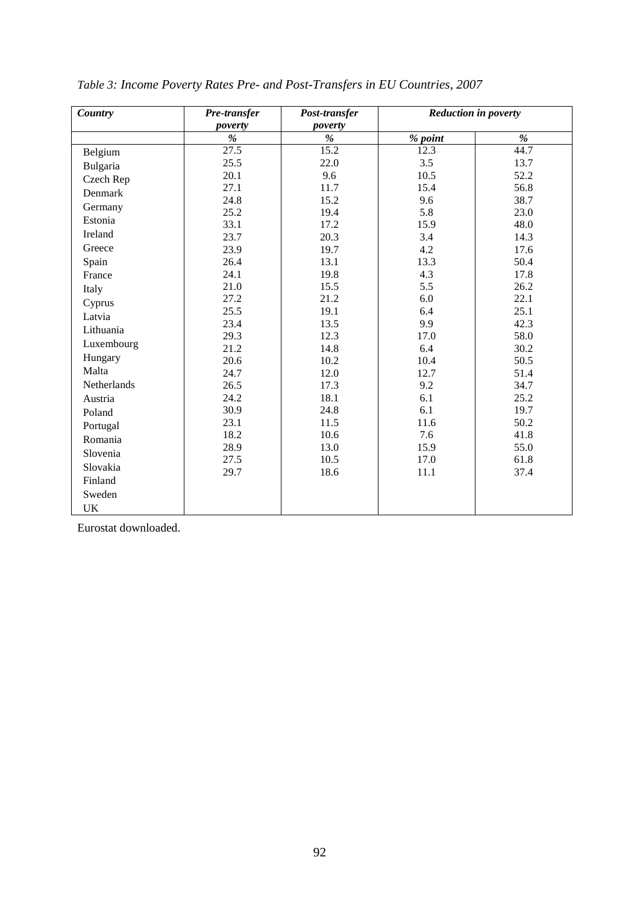| Country     | Pre-transfer | Post-transfer | <b>Reduction in poverty</b> |              |
|-------------|--------------|---------------|-----------------------------|--------------|
|             | poverty      | poverty       |                             |              |
|             | %            | %             | % point                     | $\%$         |
| Belgium     | 27.5         | 15.2          | 12.3                        | 44.7         |
| Bulgaria    | 25.5         | 22.0          | 3.5                         | 13.7         |
| Czech Rep   | 20.1         | 9.6           | 10.5                        | 52.2         |
| Denmark     | 27.1         | 11.7          | 15.4                        | 56.8         |
| Germany     | 24.8         | 15.2          | 9.6                         | 38.7         |
| Estonia     | 25.2         | 19.4          | 5.8                         | 23.0         |
|             | 33.1         | 17.2          | 15.9                        | 48.0         |
| Ireland     | 23.7         | 20.3          | 3.4                         | 14.3         |
| Greece      | 23.9         | 19.7          | 4.2                         | 17.6         |
| Spain       | 26.4         | 13.1          | 13.3                        | 50.4         |
| France      | 24.1         | 19.8          | 4.3                         | 17.8         |
| Italy       | 21.0         | 15.5          | 5.5                         | 26.2         |
| Cyprus      | 27.2         | 21.2          | 6.0                         | 22.1         |
| Latvia      | 25.5         | 19.1          | 6.4                         | 25.1         |
| Lithuania   | 23.4         | 13.5          | 9.9                         | 42.3         |
| Luxembourg  | 29.3         | 12.3          | 17.0                        | 58.0         |
| Hungary     | 21.2         | 14.8          | 6.4                         | 30.2         |
| Malta       | 20.6<br>24.7 | 10.2<br>12.0  | 10.4<br>12.7                | 50.5<br>51.4 |
| Netherlands | 26.5         | 17.3          | 9.2                         | 34.7         |
| Austria     | 24.2         | 18.1          | 6.1                         | 25.2         |
|             | 30.9         | 24.8          | 6.1                         | 19.7         |
| Poland      | 23.1         | 11.5          | 11.6                        | 50.2         |
| Portugal    | 18.2         | 10.6          | 7.6                         | 41.8         |
| Romania     | 28.9         | 13.0          | 15.9                        | 55.0         |
| Slovenia    | 27.5         | 10.5          | 17.0                        | 61.8         |
| Slovakia    | 29.7         | 18.6          | 11.1                        | 37.4         |
| Finland     |              |               |                             |              |
| Sweden      |              |               |                             |              |
| UK          |              |               |                             |              |

*Table 3: Income Poverty Rates Pre- and Post-Transfers in EU Countries, 2007*

Eurostat downloaded.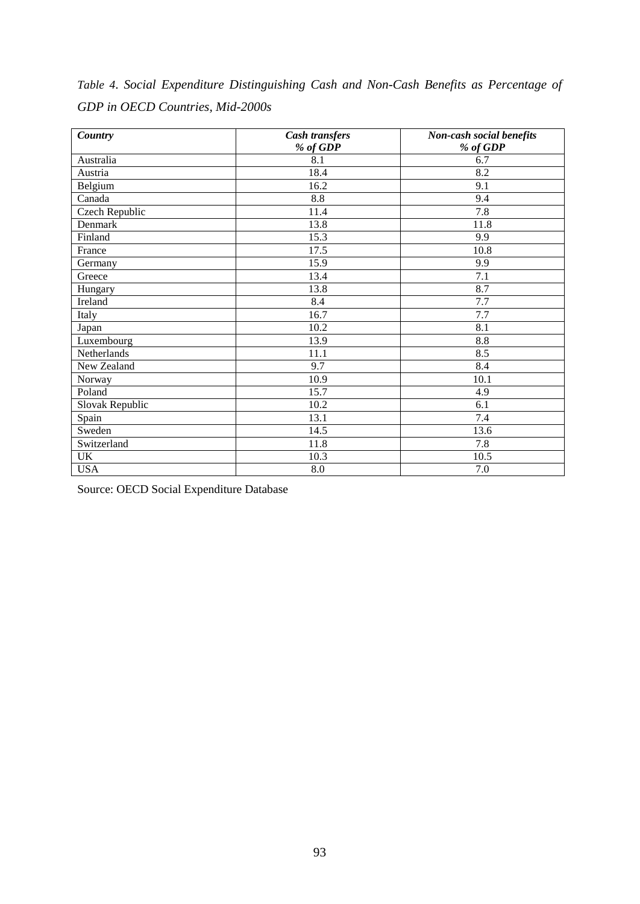| Country         | <b>Cash transfers</b> | <b>Non-cash social benefits</b> |
|-----------------|-----------------------|---------------------------------|
|                 | % of GDP              | % of GDP                        |
| Australia       | 8.1                   | 6.7                             |
| Austria         | 18.4                  | 8.2                             |
| Belgium         | 16.2                  | 9.1                             |
| Canada          | 8.8                   | 9.4                             |
| Czech Republic  | 11.4                  | 7.8                             |
| Denmark         | 13.8                  | 11.8                            |
| Finland         | 15.3                  | 9.9                             |
| France          | 17.5                  | 10.8                            |
| Germany         | 15.9                  | 9.9                             |
| Greece          | 13.4                  | 7.1                             |
| Hungary         | 13.8                  | 8.7                             |
| Ireland         | 8.4                   | 7.7                             |
| Italy           | 16.7                  | 7.7                             |
| Japan           | 10.2                  | 8.1                             |
| Luxembourg      | 13.9                  | 8.8                             |
| Netherlands     | 11.1                  | 8.5                             |
| New Zealand     | 9.7                   | 8.4                             |
| Norway          | 10.9                  | 10.1                            |
| Poland          | 15.7                  | 4.9                             |
| Slovak Republic | 10.2                  | 6.1                             |
| Spain           | 13.1                  | 7.4                             |
| Sweden          | 14.5                  | 13.6                            |
| Switzerland     | 11.8                  | 7.8                             |
| UK              | 10.3                  | 10.5                            |
| <b>USA</b>      | $\boldsymbol{8.0}$    | 7.0                             |

*Table 4*. *Social Expenditure Distinguishing Cash and Non-Cash Benefits as Percentage of GDP in OECD Countries, Mid-2000s*

Source: OECD Social Expenditure Database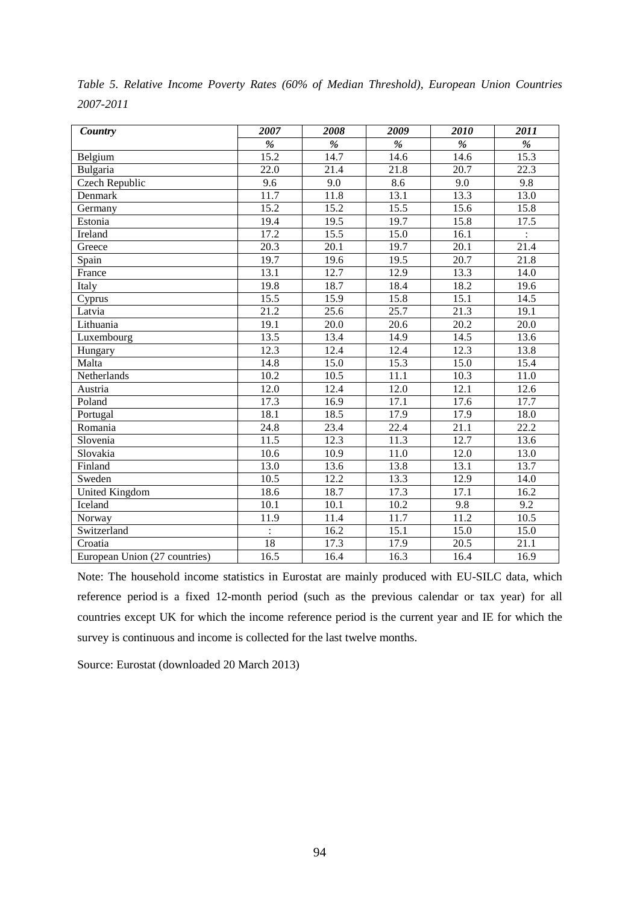| Country                       | 2007                     | 2008                          | 2009                     | 2010              | 2011                          |
|-------------------------------|--------------------------|-------------------------------|--------------------------|-------------------|-------------------------------|
|                               | $\overline{\frac{9}{6}}$ | $\overline{\frac{\theta}{6}}$ | $\overline{\mathcal{U}}$ | $\frac{9}{6}$     | $\overline{\frac{\theta}{6}}$ |
| Belgium                       | 15.2                     | 14.7                          | 14.6                     | 14.6              | 15.3                          |
| Bulgaria                      | 22.0                     | 21.4                          | $\overline{21.8}$        | $\overline{20.7}$ | $\overline{22.3}$             |
| <b>Czech Republic</b>         | 9.6                      | 9.0                           | 8.6                      | 9.0               | 9.8                           |
| Denmark                       | 11.7                     | 11.8                          | 13.1                     | 13.3              | 13.0                          |
| Germany                       | 15.2                     | 15.2                          | 15.5                     | 15.6              | 15.8                          |
| Estonia                       | 19.4                     | 19.5                          | 19.7                     | 15.8              | 17.5                          |
| Ireland                       | 17.2                     | 15.5                          | 15.0                     | 16.1              | $\ddot{\cdot}$                |
| Greece                        | 20.3                     | 20.1                          | 19.7                     | 20.1              | 21.4                          |
| Spain                         | 19.7                     | 19.6                          | 19.5                     | 20.7              | 21.8                          |
| France                        | 13.1                     | 12.7                          | 12.9                     | 13.3              | 14.0                          |
| Italy                         | 19.8                     | 18.7                          | 18.4                     | 18.2              | 19.6                          |
| Cyprus                        | 15.5                     | 15.9                          | 15.8                     | 15.1              | 14.5                          |
| Latvia                        | 21.2                     | 25.6                          | 25.7                     | 21.3              | 19.1                          |
| Lithuania                     | 19.1                     | 20.0                          | 20.6                     | 20.2              | 20.0                          |
| Luxembourg                    | 13.5                     | 13.4                          | 14.9                     | 14.5              | 13.6                          |
| Hungary                       | 12.3                     | 12.4                          | 12.4                     | 12.3              | 13.8                          |
| Malta                         | 14.8                     | 15.0                          | 15.3                     | 15.0              | 15.4                          |
| Netherlands                   | 10.2                     | 10.5                          | 11.1                     | 10.3              | 11.0                          |
| Austria                       | 12.0                     | 12.4                          | 12.0                     | 12.1              | 12.6                          |
| Poland                        | 17.3                     | 16.9                          | 17.1                     | 17.6              | 17.7                          |
| Portugal                      | 18.1                     | 18.5                          | 17.9                     | 17.9              | 18.0                          |
| Romania                       | 24.8                     | 23.4                          | 22.4                     | 21.1              | 22.2                          |
| Slovenia                      | 11.5                     | 12.3                          | 11.3                     | 12.7              | 13.6                          |
| Slovakia                      | 10.6                     | 10.9                          | 11.0                     | 12.0              | 13.0                          |
| Finland                       | 13.0                     | 13.6                          | 13.8                     | 13.1              | 13.7                          |
| Sweden                        | 10.5                     | 12.2                          | 13.3                     | 12.9              | 14.0                          |
| United Kingdom                | 18.6                     | 18.7                          | 17.3                     | 17.1              | 16.2                          |
| Iceland                       | 10.1                     | 10.1                          | 10.2                     | $\overline{9.8}$  | 9.2                           |
| Norway                        | 11.9                     | 11.4                          | 11.7                     | 11.2              | 10.5                          |
| Switzerland                   | $\ddot{\cdot}$           | 16.2                          | 15.1                     | 15.0              | 15.0                          |
| Croatia                       | 18                       | 17.3                          | 17.9                     | 20.5              | 21.1                          |
| European Union (27 countries) | 16.5                     | 16.4                          | 16.3                     | 16.4              | 16.9                          |

*Table 5. Relative Income Poverty Rates (60% of Median Threshold), European Union Countries 2007-2011*

Note: The household income statistics in Eurostat are mainly produced with EU-SILC data, which reference period is a fixed 12-month period (such as the previous calendar or tax year) for all countries except UK for which the income reference period is the current year and IE for which the survey is continuous and income is collected for the last twelve months.

Source: Eurostat (downloaded 20 March 2013)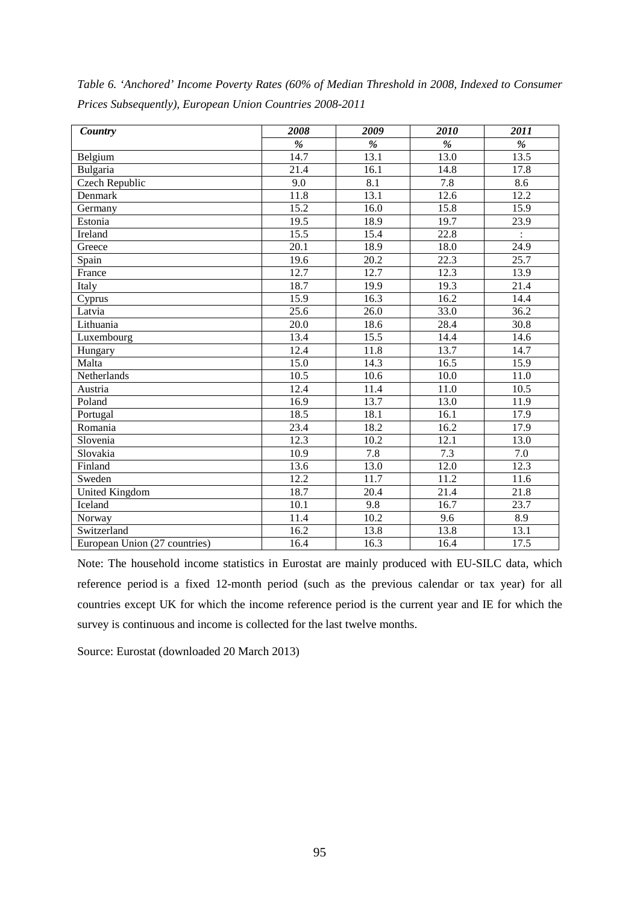| Country                       | 2008 | 2009 | 2010 | 2011           |
|-------------------------------|------|------|------|----------------|
|                               | $\%$ | $\%$ | %    | $\%$           |
| Belgium                       | 14.7 | 13.1 | 13.0 | 13.5           |
| Bulgaria                      | 21.4 | 16.1 | 14.8 | 17.8           |
| <b>Czech Republic</b>         | 9.0  | 8.1  | 7.8  | 8.6            |
| Denmark                       | 11.8 | 13.1 | 12.6 | 12.2           |
| Germany                       | 15.2 | 16.0 | 15.8 | 15.9           |
| Estonia                       | 19.5 | 18.9 | 19.7 | 23.9           |
| Ireland                       | 15.5 | 15.4 | 22.8 | $\ddot{\cdot}$ |
| Greece                        | 20.1 | 18.9 | 18.0 | 24.9           |
| Spain                         | 19.6 | 20.2 | 22.3 | 25.7           |
| France                        | 12.7 | 12.7 | 12.3 | 13.9           |
| Italy                         | 18.7 | 19.9 | 19.3 | 21.4           |
| Cyprus                        | 15.9 | 16.3 | 16.2 | 14.4           |
| Latvia                        | 25.6 | 26.0 | 33.0 | 36.2           |
| Lithuania                     | 20.0 | 18.6 | 28.4 | 30.8           |
| Luxembourg                    | 13.4 | 15.5 | 14.4 | 14.6           |
| Hungary                       | 12.4 | 11.8 | 13.7 | 14.7           |
| Malta                         | 15.0 | 14.3 | 16.5 | 15.9           |
| Netherlands                   | 10.5 | 10.6 | 10.0 | 11.0           |
| Austria                       | 12.4 | 11.4 | 11.0 | 10.5           |
| Poland                        | 16.9 | 13.7 | 13.0 | 11.9           |
| Portugal                      | 18.5 | 18.1 | 16.1 | 17.9           |
| Romania                       | 23.4 | 18.2 | 16.2 | 17.9           |
| Slovenia                      | 12.3 | 10.2 | 12.1 | 13.0           |
| Slovakia                      | 10.9 | 7.8  | 7.3  | 7.0            |
| Finland                       | 13.6 | 13.0 | 12.0 | 12.3           |
| Sweden                        | 12.2 | 11.7 | 11.2 | 11.6           |
| <b>United Kingdom</b>         | 18.7 | 20.4 | 21.4 | 21.8           |
| Iceland                       | 10.1 | 9.8  | 16.7 | 23.7           |
| Norway                        | 11.4 | 10.2 | 9.6  | 8.9            |
| Switzerland                   | 16.2 | 13.8 | 13.8 | 13.1           |
| European Union (27 countries) | 16.4 | 16.3 | 16.4 | 17.5           |

*Table 6. 'Anchored' Income Poverty Rates (60% of Median Threshold in 2008, Indexed to Consumer Prices Subsequently), European Union Countries 2008-2011*

Note: The household income statistics in Eurostat are mainly produced with EU-SILC data, which reference period is a fixed 12-month period (such as the previous calendar or tax year) for all countries except UK for which the income reference period is the current year and IE for which the survey is continuous and income is collected for the last twelve months.

Source: Eurostat (downloaded 20 March 2013)